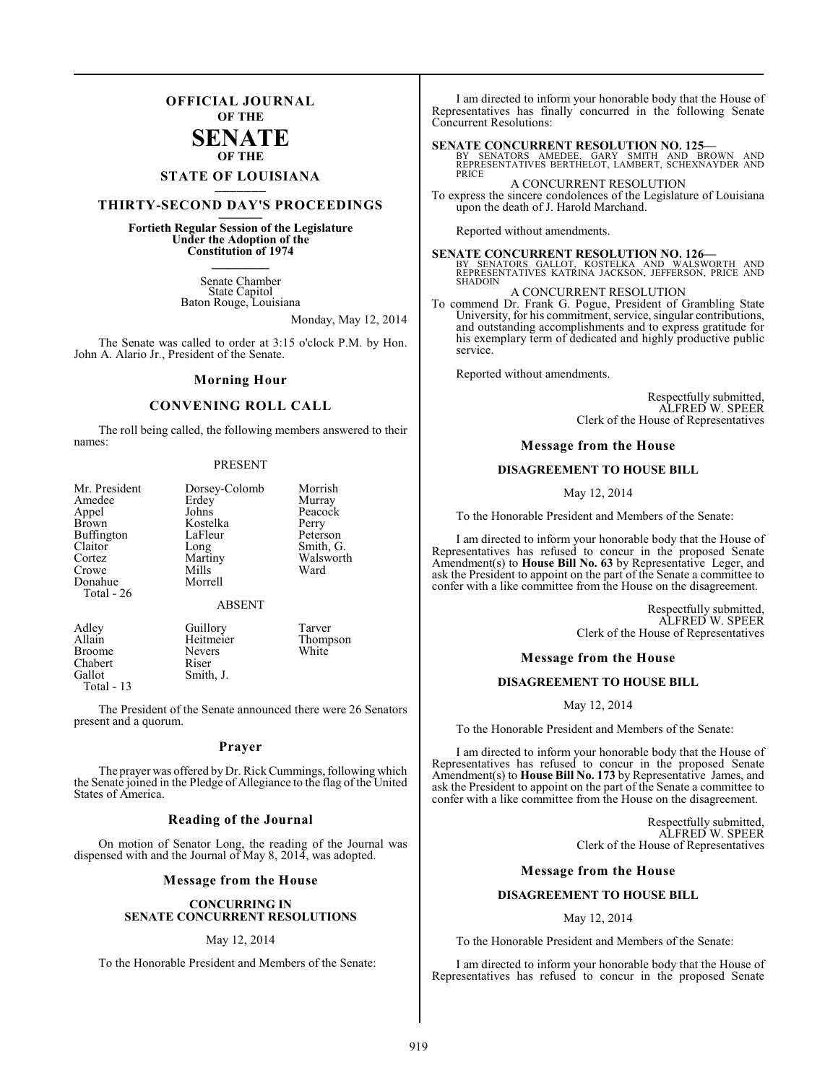### **OFFICIAL JOURNAL OF THE**

### **SENATE OF THE**

## **STATE OF LOUISIANA \_\_\_\_\_\_\_**

### **THIRTY-SECOND DAY'S PROCEEDINGS \_\_\_\_\_\_\_**

### **Fortieth Regular Session of the Legislature Under the Adoption of the Constitution of 1974 \_\_\_\_\_\_\_**

Senate Chamber State Capitol Baton Rouge, Louisiana

Monday, May 12, 2014

The Senate was called to order at 3:15 o'clock P.M. by Hon. John A. Alario Jr., President of the Senate.

#### **Morning Hour**

### **CONVENING ROLL CALL**

The roll being called, the following members answered to their names:

#### PRESENT

| Mr. President | Dorsey-Colomb | Morrish   |
|---------------|---------------|-----------|
| Amedee        | Erdey         | Murray    |
| Appel         | Johns         | Peacock   |
| <b>Brown</b>  | Kostelka      | Perry     |
| Buffington    | LaFleur       | Peterson  |
| Claitor       | Long          | Smith, G. |
| Cortez        | Martiny       | Walsworth |
| Crowe         | Mills         | Ward      |
| Donahue       | Morrell       |           |
| Total - 26    |               |           |
|               | ABSENT        |           |

Adley Guillory Tarver<br>Allain Heitmeier Thomr Heitmeier Thompson<br>Nevers White Broome Never<br>
Chabert Riser Chabert<br>Gallot Smith, J. Total - 13

The President of the Senate announced there were 26 Senators present and a quorum.

#### **Prayer**

The prayer was offered by Dr. Rick Cummings, following which the Senate joined in the Pledge of Allegiance to the flag of the United States of America.

#### **Reading of the Journal**

On motion of Senator Long, the reading of the Journal was dispensed with and the Journal of May 8, 2014, was adopted.

#### **Message from the House**

#### **CONCURRING IN SENATE CONCURRENT RESOLUTIONS**

#### May 12, 2014

To the Honorable President and Members of the Senate:

I am directed to inform your honorable body that the House of Representatives has finally concurred in the following Senate Concurrent Resolutions:

**SENATE CONCURRENT RESOLUTION NO. 125—**<br>BY SENATORS AMEDEE, GARY SMITH AND BROWN AND<br>REPRESENTATIVES BERTHELOT, LAMBERT, SCHEXNAYDER AND **PRICE** 

A CONCURRENT RESOLUTION To express the sincere condolences of the Legislature of Louisiana

Reported without amendments.

upon the death of J. Harold Marchand.

### **SENATE CONCURRENT RESOLUTION NO. 126—**

BY SENATORS GALLOT, KOSTELKA AND WALSWORTH AND REPRESENTATIVES KATRINA JACKSON, JEFFERSON, PRICE AND SHADOIN

A CONCURRENT RESOLUTION

To commend Dr. Frank G. Pogue, President of Grambling State University, for his commitment, service, singular contributions, and outstanding accomplishments and to express gratitude for his exemplary term of dedicated and highly productive public service.

Reported without amendments.

Respectfully submitted, ALFRED W. SPEER Clerk of the House of Representatives

#### **Message from the House**

#### **DISAGREEMENT TO HOUSE BILL**

May 12, 2014

To the Honorable President and Members of the Senate:

I am directed to inform your honorable body that the House of Representatives has refused to concur in the proposed Senate Amendment(s) to **House Bill No. 63** by Representative Leger, and ask the President to appoint on the part of the Senate a committee to confer with a like committee from the House on the disagreement.

> Respectfully submitted, ALFRED W. SPEER Clerk of the House of Representatives

#### **Message from the House**

#### **DISAGREEMENT TO HOUSE BILL**

May 12, 2014

To the Honorable President and Members of the Senate:

I am directed to inform your honorable body that the House of Representatives has refused to concur in the proposed Senate Amendment(s) to **House Bill No. 173** by Representative James, and ask the President to appoint on the part of the Senate a committee to confer with a like committee from the House on the disagreement.

> Respectfully submitted, ALFRED W. SPEER Clerk of the House of Representatives

#### **Message from the House**

#### **DISAGREEMENT TO HOUSE BILL**

#### May 12, 2014

To the Honorable President and Members of the Senate:

I am directed to inform your honorable body that the House of Representatives has refused to concur in the proposed Senate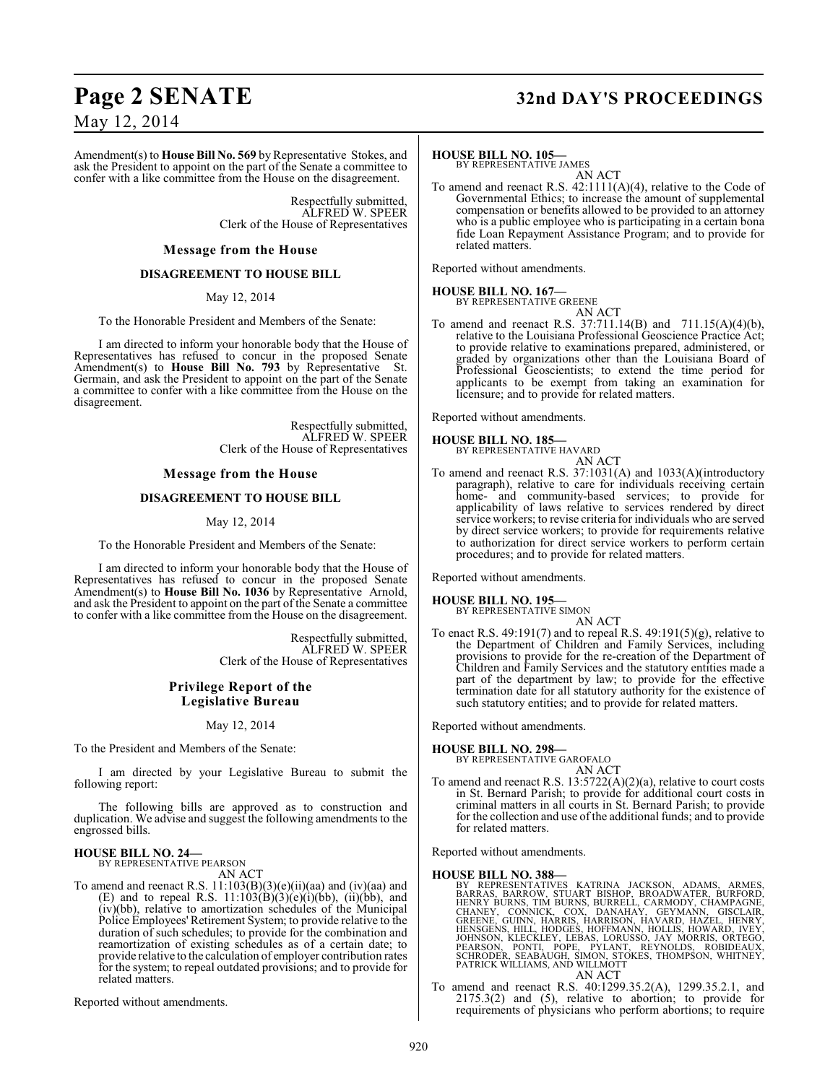## **Page 2 SENATE 32nd DAY'S PROCEEDINGS**

May 12, 2014

Amendment(s) to **House Bill No. 569** by Representative Stokes, and ask the President to appoint on the part of the Senate a committee to confer with a like committee from the House on the disagreement.

> Respectfully submitted, ALFRED W. SPEER Clerk of the House of Representatives

#### **Message from the House**

#### **DISAGREEMENT TO HOUSE BILL**

#### May 12, 2014

To the Honorable President and Members of the Senate:

I am directed to inform your honorable body that the House of Representatives has refused to concur in the proposed Senate Amendment(s) to **House Bill No. 793** by Representative St. Germain, and ask the President to appoint on the part of the Senate a committee to confer with a like committee from the House on the disagreement.

> Respectfully submitted, ALFRED W. SPEER Clerk of the House of Representatives

#### **Message from the House**

#### **DISAGREEMENT TO HOUSE BILL**

#### May 12, 2014

To the Honorable President and Members of the Senate:

I am directed to inform your honorable body that the House of Representatives has refused to concur in the proposed Senate Amendment(s) to **House Bill No. 1036** by Representative Arnold, and ask the President to appoint on the part of the Senate a committee to confer with a like committee from the House on the disagreement.

> Respectfully submitted, ALFRED W. SPEER Clerk of the House of Representatives

#### **Privilege Report of the Legislative Bureau**

May 12, 2014

To the President and Members of the Senate:

I am directed by your Legislative Bureau to submit the following report:

The following bills are approved as to construction and duplication. We advise and suggest the following amendments to the engrossed bills.

## **HOUSE BILL NO. 24—** BY REPRESENTATIVE PEARSON

AN ACT

To amend and reenact R.S. 11:103(B)(3)(e)(ii)(aa) and (iv)(aa) and (E) and to repeal R.S.  $11:103(B)(3)(e)(i)(bb)$ ,  $(ii)(bb)$ , and (iv)(bb), relative to amortization schedules of the Municipal Police Employees' Retirement System; to provide relative to the duration of such schedules; to provide for the combination and reamortization of existing schedules as of a certain date; to provide relative to the calculation of employer contribution rates for the system; to repeal outdated provisions; and to provide for related matters.

Reported without amendments.

#### **HOUSE BILL NO. 105—**

BY REPRESENTATIVE JAMES AN ACT

To amend and reenact R.S. 42:1111(A)(4), relative to the Code of Governmental Ethics; to increase the amount of supplemental compensation or benefits allowed to be provided to an attorney who is a public employee who is participating in a certain bona fide Loan Repayment Assistance Program; and to provide for related matters.

Reported without amendments.

### **HOUSE BILL NO. 167—**

BY REPRESENTATIVE GREENE AN ACT

To amend and reenact R.S. 37:711.14(B) and 711.15(A)(4)(b), relative to the Louisiana Professional Geoscience Practice Act; to provide relative to examinations prepared, administered, or graded by organizations other than the Louisiana Board of Professional Geoscientists; to extend the time period for applicants to be exempt from taking an examination for licensure; and to provide for related matters.

Reported without amendments.

#### **HOUSE BILL NO. 185—**



To amend and reenact R.S. 37:1031(A) and 1033(A)(introductory paragraph), relative to care for individuals receiving certain home- and community-based services; to provide for applicability of laws relative to services rendered by direct service workers; to revise criteria for individuals who are served by direct service workers; to provide for requirements relative to authorization for direct service workers to perform certain procedures; and to provide for related matters.

Reported without amendments.

#### **HOUSE BILL NO. 195—**

BY REPRESENTATIVE SIMON AN ACT

To enact R.S. 49:191(7) and to repeal R.S. 49:191(5)(g), relative to the Department of Children and Family Services, including provisions to provide for the re-creation of the Department of Children and Family Services and the statutory entities made a part of the department by law; to provide for the effective termination date for all statutory authority for the existence of such statutory entities; and to provide for related matters.

Reported without amendments.

## **HOUSE BILL NO. 298—** BY REPRESENTATIVE GAROFALO

- AN ACT
- To amend and reenact R.S. 13:5722(A)(2)(a), relative to court costs in St. Bernard Parish; to provide for additional court costs in criminal matters in all courts in St. Bernard Parish; to provide for the collection and use of the additional funds; and to provide for related matters.

Reported without amendments.

- HOUSE BILL NO. 388—<br>
BY REPRESENTATIVES KATRINA JACKSON, ADAMS, ARMES, BARRAS, BARROW, STUART BISHOP, BROADWATER, BURFORD,<br>
HENRY BURNS, TIM BURNS, BURRELL, CARMODY, CHAMPAGNE,<br>
CHANEY, CONNICK, COX, DANAHAY, GEYMANN, GISC
- AN ACT To amend and reenact R.S. 40:1299.35.2(A), 1299.35.2.1, and 2175.3(2) and (5), relative to abortion; to provide for requirements of physicians who perform abortions; to require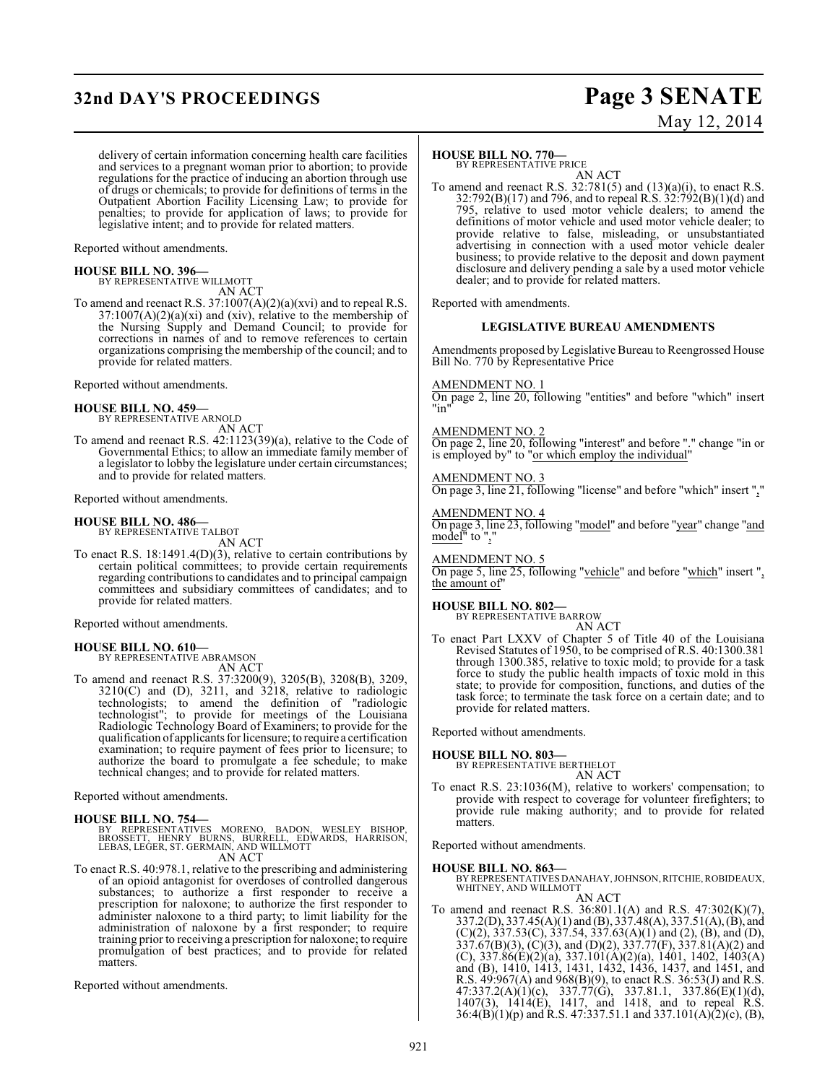## **32nd DAY'S PROCEEDINGS Page 3 SENATE**

# May 12, 2014

delivery of certain information concerning health care facilities and services to a pregnant woman prior to abortion; to provide regulations for the practice of inducing an abortion through use of drugs or chemicals; to provide for definitions of terms in the Outpatient Abortion Facility Licensing Law; to provide for penalties; to provide for application of laws; to provide for legislative intent; and to provide for related matters.

Reported without amendments.

#### **HOUSE BILL NO. 396—**

BY REPRESENTATIVE WILLMOTT AN ACT

To amend and reenact R.S. 37:1007(A)(2)(a)(xvi) and to repeal R.S.  $37:1007(A)(2)(a)(xi)$  and (xiv), relative to the membership of the Nursing Supply and Demand Council; to provide for corrections in names of and to remove references to certain organizations comprising the membership of the council; and to provide for related matters.

Reported without amendments.

#### **HOUSE BILL NO. 459—**

BY REPRESENTATIVE ARNOLD AN ACT

To amend and reenact R.S. 42:1123(39)(a), relative to the Code of Governmental Ethics; to allow an immediate family member of a legislator to lobby the legislature under certain circumstances; and to provide for related matters.

Reported without amendments.

#### **HOUSE BILL NO. 486—**

BY REPRESENTATIVE TALBOT

AN ACT To enact R.S. 18:1491.4(D)(3), relative to certain contributions by certain political committees; to provide certain requirements regarding contributions to candidates and to principal campaign committees and subsidiary committees of candidates; and to provide for related matters.

Reported without amendments.

## **HOUSE BILL NO. 610—** BY REPRESENTATIVE ABRAMSON

AN ACT

To amend and reenact R.S. 37:3200(9), 3205(B), 3208(B), 3209, 3210(C) and (D), 3211, and 3218, relative to radiologic technologists; to amend the definition of "radiologic technologist"; to provide for meetings of the Louisiana Radiologic Technology Board of Examiners; to provide for the qualification of applicants for licensure; to require a certification examination; to require payment of fees prior to licensure; to authorize the board to promulgate a fee schedule; to make technical changes; and to provide for related matters.

Reported without amendments.

#### **HOUSE BILL NO. 754—**

BY REPRESENTATIVES MORENO, BADON, WESLEY BISHOP,<br>BROSSETT, HENRY BURNS, BURRELL, EDWARDS, HARRISON,<br>LEBAS,LEGER,ST.GERMAIN,ANDWILLMOTT AN ACT

To enact R.S. 40:978.1, relative to the prescribing and administering of an opioid antagonist for overdoses of controlled dangerous substances; to authorize a first responder to receive a prescription for naloxone; to authorize the first responder to administer naloxone to a third party; to limit liability for the administration of naloxone by a first responder; to require training prior to receiving a prescription for naloxone; to require promulgation of best practices; and to provide for related matters.

Reported without amendments.

### **HOUSE BILL NO. 770—**

BY REPRESENTATIVE PRICE

AN ACT To amend and reenact R.S.  $32:781(5)$  and  $(13)(a)(i)$ , to enact R.S. 32:792(B)(17) and 796, and to repeal R.S. 32:792(B)(1)(d) and 795, relative to used motor vehicle dealers; to amend the definitions of motor vehicle and used motor vehicle dealer; to provide relative to false, misleading, or unsubstantiated advertising in connection with a used motor vehicle dealer business; to provide relative to the deposit and down payment disclosure and delivery pending a sale by a used motor vehicle dealer; and to provide for related matters.

Reported with amendments.

#### **LEGISLATIVE BUREAU AMENDMENTS**

Amendments proposed by Legislative Bureau to Reengrossed House Bill No. 770 by Representative Price

#### AMENDMENT NO. 1

On page 2, line 20, following "entities" and before "which" insert "in"

#### AMENDMENT NO. 2

On page 2, line 20, following "interest" and before "." change "in or is employed by" to "or which employ the individual"

#### AMENDMENT NO. 3

On page 3, line 21, following "license" and before "which" insert ","

### AMENDMENT NO. 4

On page 3, line 23, following "model" and before "year" change "and model" to ","

#### AMENDMENT NO. 5

On page 5, line 25, following "vehicle" and before "which" insert ", the amount of

#### **HOUSE BILL NO. 802—**

BY REPRESENTATIVE BARROW AN ACT

To enact Part LXXV of Chapter 5 of Title 40 of the Louisiana Revised Statutes of 1950, to be comprised of R.S. 40:1300.381 through 1300.385, relative to toxic mold; to provide for a task force to study the public health impacts of toxic mold in this state; to provide for composition, functions, and duties of the task force; to terminate the task force on a certain date; and to provide for related matters.

Reported without amendments.

#### **HOUSE BILL NO. 803—**

BY REPRESENTATIVE BERTHELOT AN ACT

To enact R.S. 23:1036(M), relative to workers' compensation; to provide with respect to coverage for volunteer firefighters; to provide rule making authority; and to provide for related matters.

Reported without amendments.

**HOUSE BILL NO. 863—** BY REPRESENTATIVES DANAHAY, JOHNSON, RITCHIE, ROBIDEAUX, WHITNEY, AND WILLMOTT AN ACT

To amend and reenact R.S. 36:801.1(A) and R.S. 47:302(K)(7), 337.2(D), 337.45(A)(1) and (B), 337.48(A), 337.51(A), (B), and  $(C)(2)$ , 337.53 $(C)$ , 337.54, 337.63 $(A)(1)$  and  $(2)$ ,  $(B)$ , and  $(D)$ , 337.67(B)(3), (C)(3), and (D)(2), 337.77(F), 337.81(A)(2) and (C), 337.86(E)(2)(a), 337.101(A)(2)(a), 1401, 1402, 1403(A) and (B), 1410, 1413, 1431, 1432, 1436, 1437, and 1451, and R.S. 49:967(A) and 968(B)(9), to enact R.S. 36:53(J) and R.S.  $47:337.2(A)(1)(c), 337.77(G), 337.81.1, 337.86(E)(1)(d),$ 1407(3), 1414(E), 1417, and 1418, and to repeal R.S.  $36:4(B)(1)(p)$  and R.S.  $47:337.51.1$  and  $337.101(A)(2)(c)$ ,  $(B)$ ,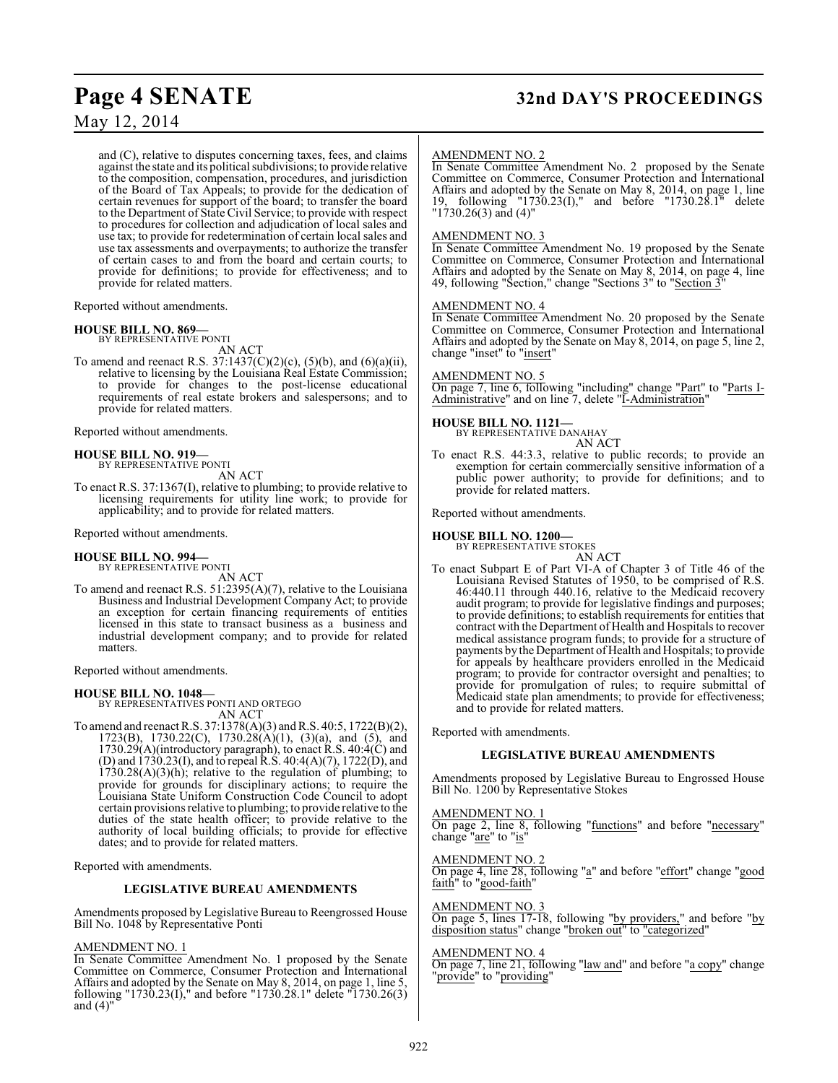## **Page 4 SENATE 32nd DAY'S PROCEEDINGS**

May 12, 2014

and (C), relative to disputes concerning taxes, fees, and claims against the state and its political subdivisions; to provide relative to the composition, compensation, procedures, and jurisdiction of the Board of Tax Appeals; to provide for the dedication of certain revenues for support of the board; to transfer the board to the Department of State Civil Service; to provide with respect to procedures for collection and adjudication of local sales and use tax; to provide for redetermination of certain local sales and use tax assessments and overpayments; to authorize the transfer of certain cases to and from the board and certain courts; to provide for definitions; to provide for effectiveness; and to provide for related matters.

Reported without amendments.

#### **HOUSE BILL NO. 869—** BY REPRESENTATIVE PONTI

AN ACT

To amend and reenact R.S. 37:1437(C)(2)(c), (5)(b), and (6)(a)(ii), relative to licensing by the Louisiana Real Estate Commission; to provide for changes to the post-license educational requirements of real estate brokers and salespersons; and to provide for related matters.

Reported without amendments.

#### **HOUSE BILL NO. 919—** BY REPRESENTATIVE PONTI

AN ACT

To enact R.S. 37:1367(I), relative to plumbing; to provide relative to licensing requirements for utility line work; to provide for applicability; and to provide for related matters.

Reported without amendments.

## **HOUSE BILL NO. 994—** BY REPRESENTATIVE PONTI

AN ACT

To amend and reenact R.S. 51:2395(A)(7), relative to the Louisiana Business and Industrial Development Company Act; to provide an exception for certain financing requirements of entities licensed in this state to transact business as a business and industrial development company; and to provide for related matters.

Reported without amendments.

**HOUSE BILL NO. 1048—** BY REPRESENTATIVES PONTI AND ORTEGO AN ACT

To amend and reenact R.S. 37:1378(A)(3) and R.S. 40:5, 1722(B)(2), 1723(B), 1730.22(C), 1730.28(A)(1), (3)(a), and (5), and 1730.29(A)(introductory paragraph), to enact R.S. 40:4(C) and (D) and 1730.23(I), and to repeal R.S. 40:4(A)(7), 1722(D), and  $1730.28(A)(3)(h)$ ; relative to the regulation of plumbing; to provide for grounds for disciplinary actions; to require the Louisiana State Uniform Construction Code Council to adopt certain provisions relative to plumbing; to provide relative to the duties of the state health officer; to provide relative to the authority of local building officials; to provide for effective dates; and to provide for related matters.

Reported with amendments.

#### **LEGISLATIVE BUREAU AMENDMENTS**

Amendments proposed by Legislative Bureau to Reengrossed House Bill No. 1048 by Representative Ponti

#### AMENDMENT NO. 1

In Senate Committee Amendment No. 1 proposed by the Senate Committee on Commerce, Consumer Protection and International Affairs and adopted by the Senate on May 8, 2014, on page 1, line 5, following "1730.23(I)," and before "1730.28.1" delete "1730.26(3) and  $(4)$ "

#### AMENDMENT NO. 2

In Senate Committee Amendment No. 2 proposed by the Senate Committee on Commerce, Consumer Protection and International Affairs and adopted by the Senate on May 8, 2014, on page 1, line 19, following "1730.23(I)," and before "1730.28.1" delete "1730.26(3) and (4)"

#### AMENDMENT NO. 3

In Senate Committee Amendment No. 19 proposed by the Senate Committee on Commerce, Consumer Protection and International Affairs and adopted by the Senate on May 8, 2014, on page 4, line 49, following "Section," change "Sections 3" to "Section 3"

#### AMENDMENT NO. 4

In Senate Committee Amendment No. 20 proposed by the Senate Committee on Commerce, Consumer Protection and International Affairs and adopted by the Senate on May 8, 2014, on page 5, line 2, change "inset" to "insert"

#### AMENDMENT NO. 5

On page 7, line 6, following "including" change "Part" to "Parts I-Administrative" and on line 7, delete "I-Administration"

#### **HOUSE BILL NO. 1121—**

BY REPRESENTATIVE DANAHAY AN ACT

To enact R.S. 44:3.3, relative to public records; to provide an exemption for certain commercially sensitive information of a public power authority; to provide for definitions; and to provide for related matters.

Reported without amendments.

## **HOUSE BILL NO. 1200—** BY REPRESENTATIVE STOKES

AN ACT

To enact Subpart E of Part VI-A of Chapter 3 of Title 46 of the Louisiana Revised Statutes of 1950, to be comprised of R.S. 46:440.11 through 440.16, relative to the Medicaid recovery audit program; to provide for legislative findings and purposes; to provide definitions; to establish requirements for entities that contract with the Department of Health and Hospitals to recover medical assistance program funds; to provide for a structure of payments by the Department of Health and Hospitals; to provide for appeals by healthcare providers enrolled in the Medicaid program; to provide for contractor oversight and penalties; to provide for promulgation of rules; to require submittal of Medicaid state plan amendments; to provide for effectiveness; and to provide for related matters.

Reported with amendments.

#### **LEGISLATIVE BUREAU AMENDMENTS**

Amendments proposed by Legislative Bureau to Engrossed House Bill No. 1200 by Representative Stokes

#### AMENDMENT NO. 1

On page 2, line 8, following "functions" and before "necessary" change "are" to "is"

#### AMENDMENT NO. 2

On page 4, line 28, following "a" and before "effort" change "good faith" to "good-faith"

#### AMENDMENT NO. 3

On page 5, lines 17-18, following "by providers," and before "by disposition status" change "broken out" to "categorized"

#### AMENDMENT NO. 4

On page 7, line 21, following "law and" and before "a copy" change "provide" to "providing"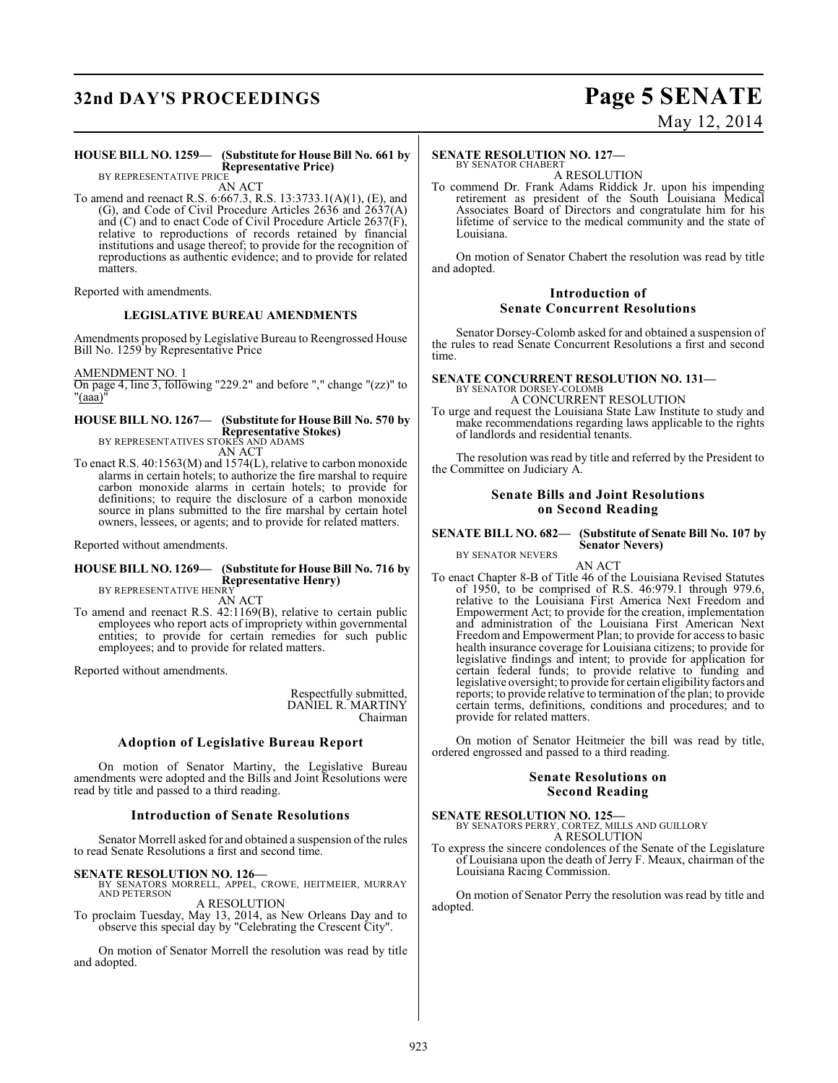## **32nd DAY'S PROCEEDINGS Page 5 SENATE**

# May 12, 2014

#### **HOUSE BILL NO. 1259— (Substitute for House Bill No. 661 by Representative Price)**

BY REPRESENTATIVE PRICE AN ACT

To amend and reenact R.S. 6:667.3, R.S. 13:3733.1(A)(1), (E), and (G), and Code of Civil Procedure Articles 2636 and 2637(A) and (C) and to enact Code of Civil Procedure Article 2637(F), relative to reproductions of records retained by financial institutions and usage thereof; to provide for the recognition of reproductions as authentic evidence; and to provide for related matters.

Reported with amendments.

#### **LEGISLATIVE BUREAU AMENDMENTS**

Amendments proposed by Legislative Bureau to Reengrossed House Bill No. 1259 by Representative Price

AMENDMENT NO. 1

On page 4, line 3, following "229.2" and before "," change "(zz)" to  $"(\overline{\text{aaa}})"$ 

#### **HOUSE BILL NO. 1267— (Substitute for House Bill No. 570 by Representative Stokes)** BY REPRESENTATIVES STOKES AND ADAMS

AN ACT

To enact R.S. 40:1563(M) and 1574(L), relative to carbon monoxide alarms in certain hotels; to authorize the fire marshal to require carbon monoxide alarms in certain hotels; to provide for definitions; to require the disclosure of a carbon monoxide source in plans submitted to the fire marshal by certain hotel owners, lessees, or agents; and to provide for related matters.

Reported without amendments.

#### **HOUSE BILL NO. 1269— (Substitute for House Bill No. 716 by Representative Henry)** BY REPRESENTATIVE HENRY

AN ACT

To amend and reenact R.S. 42:1169(B), relative to certain public employees who report acts of impropriety within governmental entities; to provide for certain remedies for such public employees; and to provide for related matters.

Reported without amendments.

Respectfully submitted, DANIEL R. MARTINY Chairman

#### **Adoption of Legislative Bureau Report**

On motion of Senator Martiny, the Legislative Bureau amendments were adopted and the Bills and Joint Resolutions were read by title and passed to a third reading.

#### **Introduction of Senate Resolutions**

Senator Morrell asked for and obtained a suspension of the rules to read Senate Resolutions a first and second time.

**SENATE RESOLUTION NO. 126—**<br>BY SENATORS MORRELL, APPEL, CROWE, HEITMEIER, MURRAY<br>AND PETERSON A RESOLUTION

To proclaim Tuesday, May 13, 2014, as New Orleans Day and to observe this special day by "Celebrating the Crescent City".

On motion of Senator Morrell the resolution was read by title and adopted.

#### **SENATE RESOLUTION NO. 127—**

BY SENATOR CHABERT A RESOLUTION

To commend Dr. Frank Adams Riddick Jr. upon his impending retirement as president of the South Louisiana Medical Associates Board of Directors and congratulate him for his lifetime of service to the medical community and the state of Louisiana.

On motion of Senator Chabert the resolution was read by title and adopted.

#### **Introduction of Senate Concurrent Resolutions**

Senator Dorsey-Colomb asked for and obtained a suspension of the rules to read Senate Concurrent Resolutions a first and second time.

## **SENATE CONCURRENT RESOLUTION NO. 131—** BY SENATOR DORSEY-COLOMB

A CONCURRENT RESOLUTION

To urge and request the Louisiana State Law Institute to study and make recommendations regarding laws applicable to the rights of landlords and residential tenants.

The resolution was read by title and referred by the President to the Committee on Judiciary A.

#### **Senate Bills and Joint Resolutions on Second Reading**

#### **SENATE BILL NO. 682— (Substitute of Senate Bill No. 107 by Senator Nevers)**

BY SENATOR NEVERS

AN ACT

To enact Chapter 8-B of Title 46 of the Louisiana Revised Statutes of 1950, to be comprised of R.S. 46:979.1 through 979.6, relative to the Louisiana First America Next Freedom and Empowerment Act; to provide for the creation, implementation and administration of the Louisiana First American Next Freedom and Empowerment Plan; to provide for access to basic health insurance coverage for Louisiana citizens; to provide for legislative findings and intent; to provide for application for certain federal funds; to provide relative to funding and legislative oversight; to provide for certain eligibility factors and reports; to provide relative to termination of the plan; to provide certain terms, definitions, conditions and procedures; and to provide for related matters.

On motion of Senator Heitmeier the bill was read by title, ordered engrossed and passed to a third reading.

#### **Senate Resolutions on Second Reading**

**SENATE RESOLUTION NO. 125—** BY SENATORS PERRY, CORTEZ, MILLS AND GUILLORY A RESOLUTION

To express the sincere condolences of the Senate of the Legislature of Louisiana upon the death of Jerry F. Meaux, chairman of the Louisiana Racing Commission.

On motion of Senator Perry the resolution was read by title and adopted.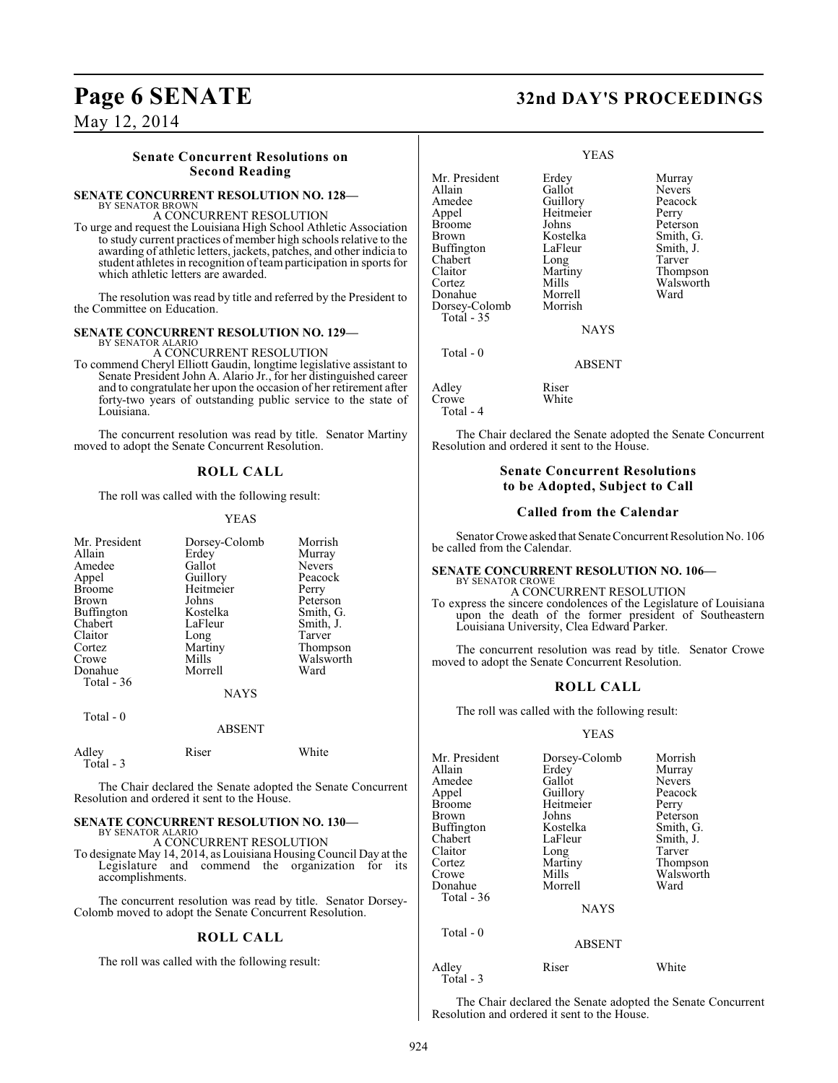### **Senate Concurrent Resolutions on Second Reading**

### **SENATE CONCURRENT RESOLUTION NO. 128—** BY SENATOR BROWN

A CONCURRENT RESOLUTION

To urge and request the Louisiana High School Athletic Association to study current practices of member high schools relative to the awarding of athletic letters, jackets, patches, and other indicia to student athletes in recognition of team participation in sports for which athletic letters are awarded.

The resolution was read by title and referred by the President to the Committee on Education.

#### **SENATE CONCURRENT RESOLUTION NO. 129—** BY SENATOR ALARIO

A CONCURRENT RESOLUTION

To commend Cheryl Elliott Gaudin, longtime legislative assistant to Senate President John A. Alario Jr., for her distinguished career and to congratulate her upon the occasion of her retirement after forty-two years of outstanding public service to the state of Louisiana.

The concurrent resolution was read by title. Senator Martiny moved to adopt the Senate Concurrent Resolution.

### **ROLL CALL**

The roll was called with the following result:

#### YEAS

| Mr. President<br>Allain<br>Amedee<br>Appel<br><b>Broome</b><br>Brown<br>Buffington<br>Chabert<br>Claitor<br>Cortez<br>Crowe<br>Donahue<br>Total $-36$ | Dorsey-Colomb<br>Erdey<br>Gallot<br>Guillory<br>Heitmeier<br>Johns<br>Kostelka<br>LaFleur<br>Long<br>Martiny<br>Mills<br>Morrell<br><b>NAYS</b> | Morrish<br>Murray<br><b>Nevers</b><br>Peacock<br>Perry<br>Peterson<br>Smith, G.<br>Smith, J.<br>Tarver<br>Thompson<br>Walsworth<br>Ward |
|-------------------------------------------------------------------------------------------------------------------------------------------------------|-------------------------------------------------------------------------------------------------------------------------------------------------|-----------------------------------------------------------------------------------------------------------------------------------------|
| Total $-0$                                                                                                                                            | <b>ABSENT</b>                                                                                                                                   |                                                                                                                                         |
| Adley                                                                                                                                                 | Riser                                                                                                                                           | White                                                                                                                                   |

The Chair declared the Senate adopted the Senate Concurrent Resolution and ordered it sent to the House.

### **SENATE CONCURRENT RESOLUTION NO. 130—**

Total - 3

BY SENATOR ALARIO A CONCURRENT RESOLUTION

To designate May 14, 2014, as Louisiana Housing Council Day at the Legislature and commend the organization for its accomplishments.

The concurrent resolution was read by title. Senator Dorsey-Colomb moved to adopt the Senate Concurrent Resolution.

#### **ROLL CALL**

The roll was called with the following result:

## **Page 6 SENATE 32nd DAY'S PROCEEDINGS**

#### YEAS

Mr. President Erdey Murray<br>Allain Gallot Nevers Allain Gallot Nevers<br>
Amedee Guillory Peacock Amedee Guillory Peaco<br>Appel Heitmeier Perry Buffington LaFleur Smith,<br>
Chabert Long Tarver Chabert Long<br>Claitor Martiny Claitor Martiny Thompson Donahue Morrell<br>Dorsey-Colomb Morrish Dorsey-Colomb

Heitmeier Perry<br>Johns Peterson Kostelka Smith, G.<br>LaFleur Smith, J. Mills Walsworth<br>
Morrell Ward

**NAYS** 

ABSENT

Adley Riser<br>Crowe White Crowe Total - 4

Total - 35

Total - 0

Broome<br>Brown

The Chair declared the Senate adopted the Senate Concurrent Resolution and ordered it sent to the House.

#### **Senate Concurrent Resolutions to be Adopted, Subject to Call**

#### **Called from the Calendar**

Senator Crowe asked that Senate Concurrent Resolution No. 106 be called from the Calendar.

#### **SENATE CONCURRENT RESOLUTION NO. 106—** BY SENATOR CROWE

A CONCURRENT RESOLUTION To express the sincere condolences of the Legislature of Louisiana upon the death of the former president of Southeastern Louisiana University, Clea Edward Parker.

The concurrent resolution was read by title. Senator Crowe moved to adopt the Senate Concurrent Resolution.

#### **ROLL CALL**

The roll was called with the following result:

#### YEAS

| Mr. President<br>Allain<br>Amedee<br>Appel<br><b>Broome</b><br>Brown<br>Buffington<br>Chabert<br>Claitor<br>Cortez<br>Crowe<br>Donahue<br>Total - 36 | Dorsey-Colomb<br>Erdey<br>Gallot<br>Guillory<br>Heitmeier<br>Johns<br>Kostelka<br>LaFleur<br>Long<br>Martiny<br>Mills<br>Morrell | Morrish<br>Murray<br>Nevers<br>Peacock<br>Perry<br>Peterson<br>Smith, G.<br>Smith, J.<br>Tarver<br>Thompson<br>Walsworth<br>Ward |
|------------------------------------------------------------------------------------------------------------------------------------------------------|----------------------------------------------------------------------------------------------------------------------------------|----------------------------------------------------------------------------------------------------------------------------------|
|                                                                                                                                                      | <b>NAYS</b>                                                                                                                      |                                                                                                                                  |
| Total - 0                                                                                                                                            | <b>ABSENT</b>                                                                                                                    |                                                                                                                                  |
| Adley<br>Total - 3                                                                                                                                   | Riser                                                                                                                            | White                                                                                                                            |

The Chair declared the Senate adopted the Senate Concurrent Resolution and ordered it sent to the House.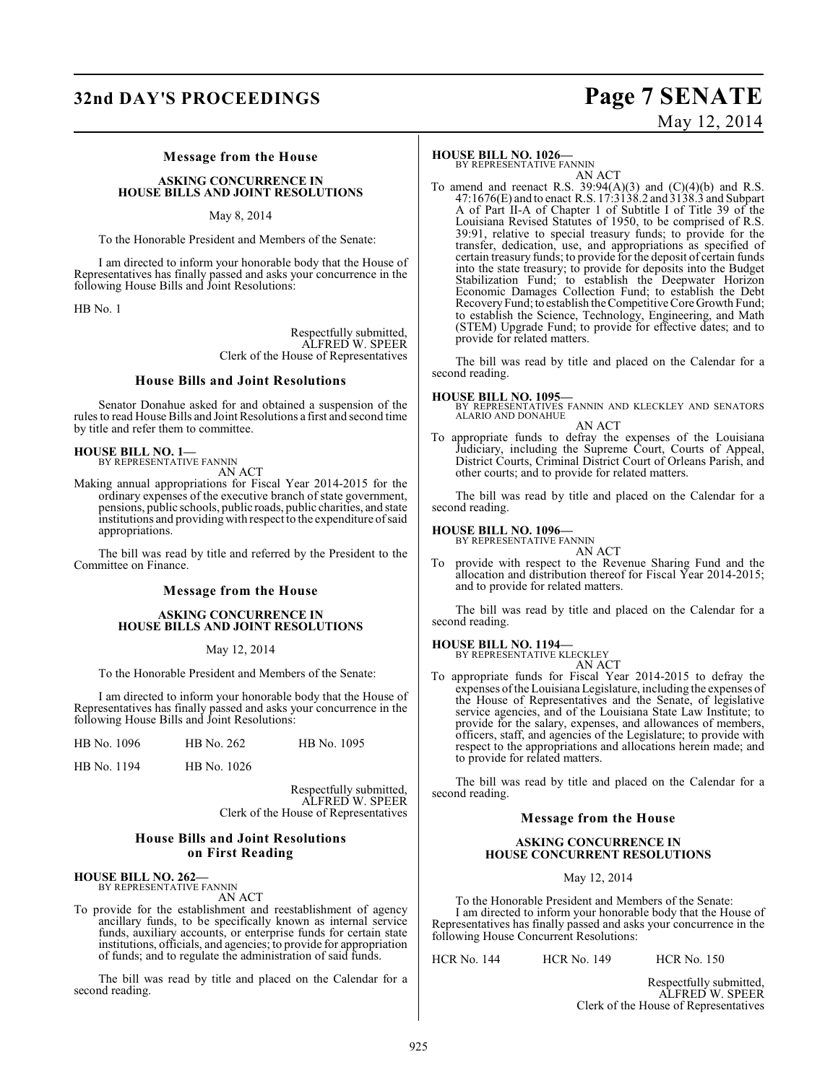## **32nd DAY'S PROCEEDINGS Page 7 SENATE**

# May 12, 2014

#### **Message from the House**

#### **ASKING CONCURRENCE IN HOUSE BILLS AND JOINT RESOLUTIONS**

May 8, 2014

To the Honorable President and Members of the Senate:

I am directed to inform your honorable body that the House of Representatives has finally passed and asks your concurrence in the following House Bills and Joint Resolutions:

HB No. 1

Respectfully submitted, ALFRED W. SPEER Clerk of the House of Representatives

#### **House Bills and Joint Resolutions**

Senator Donahue asked for and obtained a suspension of the rules to read House Bills and Joint Resolutions a first and second time by title and refer them to committee.

#### **HOUSE BILL NO. 1—**

BY REPRESENTATIVE FANNIN AN ACT

Making annual appropriations for Fiscal Year 2014-2015 for the ordinary expenses of the executive branch of state government, pensions, public schools, public roads, public charities, and state institutions and providing with respect to the expenditure of said appropriations.

The bill was read by title and referred by the President to the Committee on Finance.

### **Message from the House**

#### **ASKING CONCURRENCE IN HOUSE BILLS AND JOINT RESOLUTIONS**

May 12, 2014

To the Honorable President and Members of the Senate:

I am directed to inform your honorable body that the House of Representatives has finally passed and asks your concurrence in the following House Bills and Joint Resolutions:

| HB No. 1096 | HB No. 262 | HB No. 1095 |
|-------------|------------|-------------|
|             |            |             |

|  | HB No. 1194 |  | HB No. 1026 |  |
|--|-------------|--|-------------|--|
|--|-------------|--|-------------|--|

Respectfully submitted, ALFRED W. SPEER Clerk of the House of Representatives

#### **House Bills and Joint Resolutions on First Reading**

#### **HOUSE BILL NO. 262—** BY REPRESENTATIVE FANNIN

AN ACT

To provide for the establishment and reestablishment of agency ancillary funds, to be specifically known as internal service funds, auxiliary accounts, or enterprise funds for certain state institutions, officials, and agencies; to provide for appropriation of funds; and to regulate the administration of said funds.

The bill was read by title and placed on the Calendar for a second reading.

#### **HOUSE BILL NO. 1026—**

BY REPRESENTATIVE FANNIN

AN ACT To amend and reenact R.S.  $39:94(A)(3)$  and  $(C)(4)(b)$  and R.S. 47:1676(E) and to enact R.S. 17:3138.2 and 3138.3 and Subpart A of Part II-A of Chapter 1 of Subtitle I of Title 39 of the Louisiana Revised Statutes of 1950, to be comprised of R.S. 39:91, relative to special treasury funds; to provide for the transfer, dedication, use, and appropriations as specified of certain treasury funds; to provide for the deposit of certain funds into the state treasury; to provide for deposits into the Budget Stabilization Fund; to establish the Deepwater Horizon Economic Damages Collection Fund; to establish the Debt Recovery Fund; to establish the Competitive Core Growth Fund; to establish the Science, Technology, Engineering, and Math (STEM) Upgrade Fund; to provide for effective dates; and to provide for related matters.

The bill was read by title and placed on the Calendar for a second reading.

#### **HOUSE BILL NO. 1095—**

BY REPRESENTATIVES FANNIN AND KLECKLEY AND SENATORS ALARIO AND DONAHUE AN ACT

To appropriate funds to defray the expenses of the Louisiana Judiciary, including the Supreme Court, Courts of Appeal, District Courts, Criminal District Court of Orleans Parish, and other courts; and to provide for related matters.

The bill was read by title and placed on the Calendar for a second reading.

#### **HOUSE BILL NO. 1096—** BY REPRESENTATIVE FANNIN

AN ACT To provide with respect to the Revenue Sharing Fund and the allocation and distribution thereof for Fiscal Year 2014-2015; and to provide for related matters.

The bill was read by title and placed on the Calendar for a second reading.

### **HOUSE BILL NO. 1194—**

BY REPRESENTATIVE KLECKLEY AN ACT

To appropriate funds for Fiscal Year 2014-2015 to defray the expenses of the Louisiana Legislature, including the expenses of the House of Representatives and the Senate, of legislative service agencies, and of the Louisiana State Law Institute; to provide for the salary, expenses, and allowances of members, officers, staff, and agencies of the Legislature; to provide with respect to the appropriations and allocations herein made; and to provide for related matters.

The bill was read by title and placed on the Calendar for a second reading.

#### **Message from the House**

#### **ASKING CONCURRENCE IN HOUSE CONCURRENT RESOLUTIONS**

May 12, 2014

To the Honorable President and Members of the Senate: I am directed to inform your honorable body that the House of Representatives has finally passed and asks your concurrence in the following House Concurrent Resolutions:

HCR No. 144 HCR No. 149 HCR No. 150

Respectfully submitted, ALFRED W. SPEER Clerk of the House of Representatives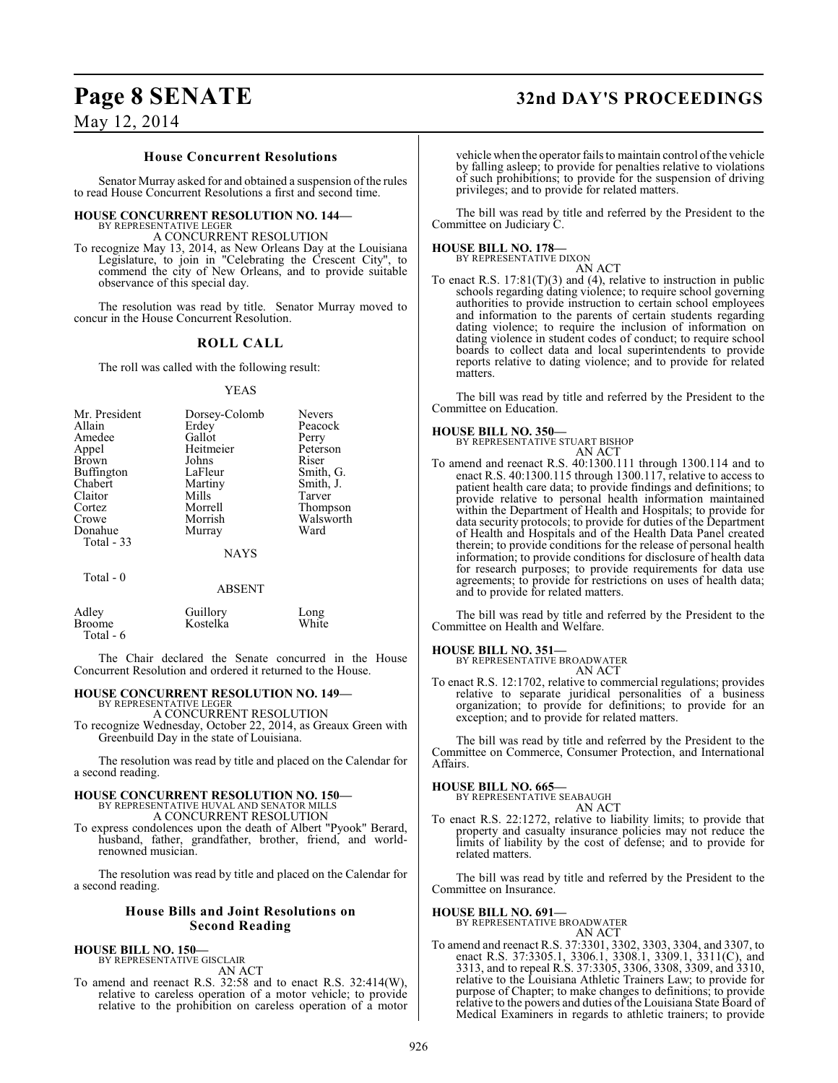## **Page 8 SENATE 32nd DAY'S PROCEEDINGS**

### May 12, 2014

#### **House Concurrent Resolutions**

Senator Murray asked for and obtained a suspension of the rules to read House Concurrent Resolutions a first and second time.

#### **HOUSE CONCURRENT RESOLUTION NO. 144—** BY REPRESENTATIVE LEGER

A CONCURRENT RESOLUTION

To recognize May 13, 2014, as New Orleans Day at the Louisiana Legislature, to join in "Celebrating the Crescent City", to commend the city of New Orleans, and to provide suitable observance of this special day.

The resolution was read by title. Senator Murray moved to concur in the House Concurrent Resolution.

#### **ROLL CALL**

The roll was called with the following result:

#### YEAS

| Mr. President         | Dorsey-Colomb | <b>Nevers</b> |
|-----------------------|---------------|---------------|
| Allain                | Erdey         | Peacock       |
| Amedee                | Gallot        | Perry         |
| Appel                 | Heitmeier     | Peterson      |
| <b>Brown</b>          | Johns         | Riser         |
| <b>Buffington</b>     | LaFleur       | Smith, G.     |
| Chabert               | Martiny       | Smith, J.     |
| Claitor               | Mills         | Tarver        |
| Cortez                | Morrell       | Thompson      |
| Crowe                 | Morrish       | Walsworth     |
| Donahue<br>Total - 33 | Murray        | Ward          |
|                       | <b>NAYS</b>   |               |
| Total - 0             |               |               |

#### ABSENT

| Adley     | Guillory | Long  |
|-----------|----------|-------|
| Broome    | Kostelka | White |
| Total - 6 |          |       |

The Chair declared the Senate concurred in the House Concurrent Resolution and ordered it returned to the House.

#### **HOUSE CONCURRENT RESOLUTION NO. 149—** BY REPRESENTATIVE LEGER

A CONCURRENT RESOLUTION

To recognize Wednesday, October 22, 2014, as Greaux Green with Greenbuild Day in the state of Louisiana.

The resolution was read by title and placed on the Calendar for a second reading.

### **HOUSE CONCURRENT RESOLUTION NO. 150—** BY REPRESENTATIVE HUVAL AND SENATOR MILLS A CONCURRENT RESOLUTION

To express condolences upon the death of Albert "Pyook" Berard, husband, father, grandfather, brother, friend, and worldrenowned musician.

The resolution was read by title and placed on the Calendar for a second reading.

#### **House Bills and Joint Resolutions on Second Reading**

#### **HOUSE BILL NO. 150—**

BY REPRESENTATIVE GISCLAIR AN ACT

To amend and reenact R.S. 32:58 and to enact R.S. 32:414(W), relative to careless operation of a motor vehicle; to provide relative to the prohibition on careless operation of a motor

vehicle when the operator fails to maintain control of the vehicle by falling asleep; to provide for penalties relative to violations of such prohibitions; to provide for the suspension of driving privileges; and to provide for related matters.

The bill was read by title and referred by the President to the Committee on Judiciary C.

### **HOUSE BILL NO. 178—**

BY REPRESENTATIVE DIXON

- AN ACT
- To enact R.S. 17:81(T)(3) and (4), relative to instruction in public schools regarding dating violence; to require school governing authorities to provide instruction to certain school employees and information to the parents of certain students regarding dating violence; to require the inclusion of information on dating violence in student codes of conduct; to require school boards to collect data and local superintendents to provide reports relative to dating violence; and to provide for related matters.

The bill was read by title and referred by the President to the Committee on Education.

#### **HOUSE BILL NO. 350—**

BY REPRESENTATIVE STUART BISHOP AN ACT

To amend and reenact R.S. 40:1300.111 through 1300.114 and to enact R.S. 40:1300.115 through 1300.117, relative to access to patient health care data; to provide findings and definitions; to provide relative to personal health information maintained within the Department of Health and Hospitals; to provide for data security protocols; to provide for duties of the Department of Health and Hospitals and of the Health Data Panel created therein; to provide conditions for the release of personal health information; to provide conditions for disclosure of health data for research purposes; to provide requirements for data use agreements; to provide for restrictions on uses of health data; and to provide for related matters.

The bill was read by title and referred by the President to the Committee on Health and Welfare.

#### **HOUSE BILL NO. 351—**

BY REPRESENTATIVE BROADWATER AN ACT

To enact R.S. 12:1702, relative to commercial regulations; provides relative to separate juridical personalities of a business organization; to provide for definitions; to provide for an exception; and to provide for related matters.

The bill was read by title and referred by the President to the Committee on Commerce, Consumer Protection, and International Affairs.

**HOUSE BILL NO. 665—** BY REPRESENTATIVE SEABAUGH AN ACT

To enact R.S. 22:1272, relative to liability limits; to provide that property and casualty insurance policies may not reduce the limits of liability by the cost of defense; and to provide for related matters.

The bill was read by title and referred by the President to the Committee on Insurance.

#### **HOUSE BILL NO. 691—**

BY REPRESENTATIVE BROADWATER

AN ACT To amend and reenact R.S. 37:3301, 3302, 3303, 3304, and 3307, to enact R.S. 37:3305.1, 3306.1, 3308.1, 3309.1, 3311(C), and 3313, and to repeal R.S. 37:3305, 3306, 3308, 3309, and 3310, relative to the Louisiana Athletic Trainers Law; to provide for purpose of Chapter; to make changes to definitions; to provide relative to the powers and duties of the Louisiana State Board of Medical Examiners in regards to athletic trainers; to provide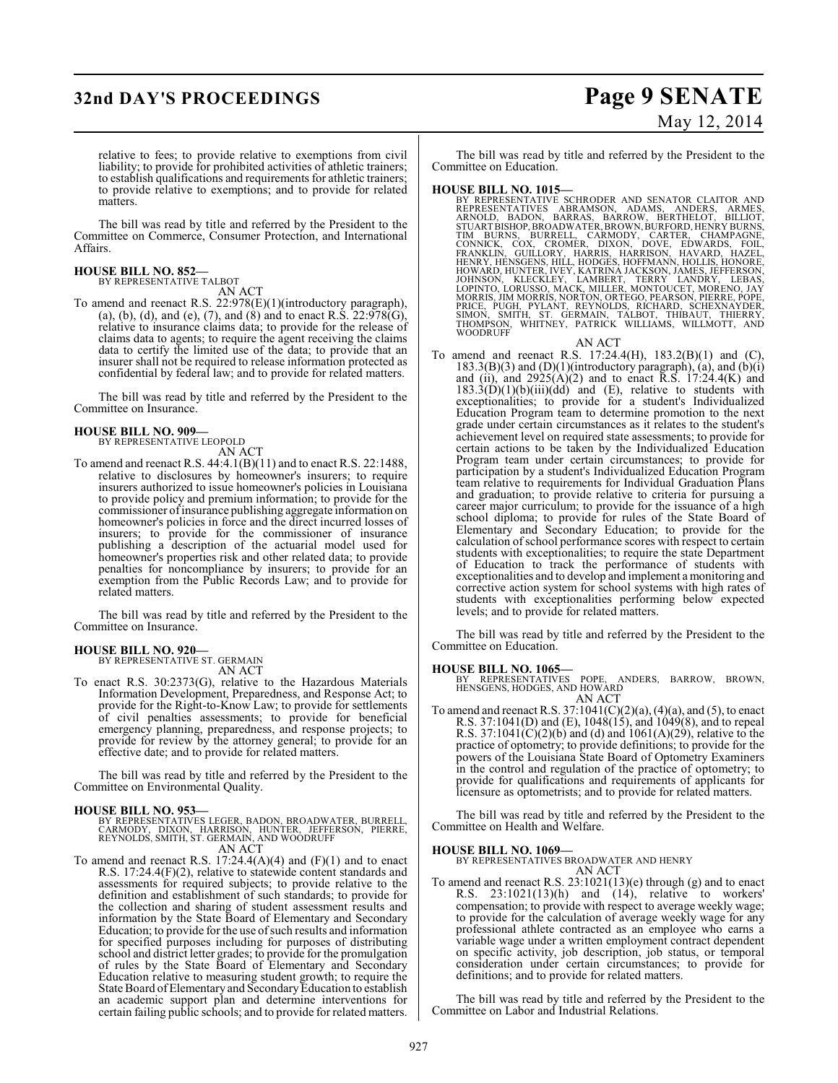## **32nd DAY'S PROCEEDINGS Page 9 SENATE**

# May 12, 2014

relative to fees; to provide relative to exemptions from civil liability; to provide for prohibited activities of athletic trainers; to establish qualifications and requirements for athletic trainers; to provide relative to exemptions; and to provide for related matters.

The bill was read by title and referred by the President to the Committee on Commerce, Consumer Protection, and International Affairs.

#### **HOUSE BILL NO. 852—**

BY REPRESENTATIVE TALBOT

AN ACT To amend and reenact R.S. 22:978(E)(1)(introductory paragraph), (a), (b), (d), and (e), (7), and (8) and to enact R.S.  $22:978(G)$ , relative to insurance claims data; to provide for the release of claims data to agents; to require the agent receiving the claims data to certify the limited use of the data; to provide that an insurer shall not be required to release information protected as confidential by federal law; and to provide for related matters.

The bill was read by title and referred by the President to the Committee on Insurance.

#### **HOUSE BILL NO. 909—**

BY REPRESENTATIVE LEOPOLD

- AN ACT To amend and reenact R.S. 44:4.1(B)(11) and to enact R.S. 22:1488, relative to disclosures by homeowner's insurers; to require insurers authorized to issue homeowner's policies in Louisiana
- to provide policy and premium information; to provide for the commissioner of insurance publishing aggregate information on homeowner's policies in force and the direct incurred losses of insurers; to provide for the commissioner of insurance publishing a description of the actuarial model used for homeowner's properties risk and other related data; to provide penalties for noncompliance by insurers; to provide for an exemption from the Public Records Law; and to provide for related matters.

The bill was read by title and referred by the President to the Committee on Insurance.

### **HOUSE BILL NO. 920—**

BY REPRESENTATIVE ST. GERMAIN AN ACT

To enact R.S. 30:2373(G), relative to the Hazardous Materials Information Development, Preparedness, and Response Act; to provide for the Right-to-Know Law; to provide for settlements of civil penalties assessments; to provide for beneficial emergency planning, preparedness, and response projects; to provide for review by the attorney general; to provide for an effective date; and to provide for related matters.

The bill was read by title and referred by the President to the Committee on Environmental Quality.

#### **HOUSE BILL NO. 953—**

- BY REPRESENTATIVES LEGER, BADON, BROADWATER, BURRELL,<br>CARMODY, DIXON, HARRISON, HUNTER, JEFFERSON, PIERRE,<br>REYNOLDS, SMITH, ST. GERMAIN, AND WOODRUFF AN ACT
- To amend and reenact R.S.  $17:24.4(A)(4)$  and  $(F)(1)$  and to enact R.S. 17:24.4(F)(2), relative to statewide content standards and assessments for required subjects; to provide relative to the definition and establishment of such standards; to provide for the collection and sharing of student assessment results and information by the State Board of Elementary and Secondary Education; to provide for the use ofsuch results and information for specified purposes including for purposes of distributing school and district letter grades; to provide for the promulgation of rules by the State Board of Elementary and Secondary Education relative to measuring student growth; to require the State Board of Elementary and Secondary Education to establish an academic support plan and determine interventions for certain failing public schools; and to provide for related matters.

The bill was read by title and referred by the President to the Committee on Education.

### **HOUSE BILL NO. 1015—**

BY REPRESENTATIVE SCHRODER AND SENATOR CLAITOR AND<br>REPRESENTATIVES ABRAMSON, ADAMS, ANDERS, ARMES, ARMES, ARMES, ARMES, ARMOLD, BADON, BARRAS, BARROW, BERTHELOT, BILLIOT,<br>STUARTBISHOP, BROADWATER, BROWN, BURFORD, HENRY BUR

AN ACT

To amend and reenact R.S. 17:24.4(H), 183.2(B)(1) and (C),  $183.3(B)(3)$  and  $(D)(1)$ (introductory paragraph), (a), and  $(b)(i)$ and (ii), and  $2925(A)(2)$  and to enact R.S. 17:24.4(K) and  $183.3(D)(1)(b)(iii)(dd)$  and (E), relative to students with exceptionalities; to provide for a student's Individualized Education Program team to determine promotion to the next grade under certain circumstances as it relates to the student's achievement level on required state assessments; to provide for certain actions to be taken by the Individualized Education Program team under certain circumstances; to provide for participation by a student's Individualized Education Program team relative to requirements for Individual Graduation Plans and graduation; to provide relative to criteria for pursuing a career major curriculum; to provide for the issuance of a high school diploma; to provide for rules of the State Board of Elementary and Secondary Education; to provide for the calculation of school performance scores with respect to certain students with exceptionalities; to require the state Department of Education to track the performance of students with exceptionalities and to develop and implement a monitoring and corrective action system for school systems with high rates of students with exceptionalities performing below expected levels; and to provide for related matters.

The bill was read by title and referred by the President to the Committee on Education.

**HOUSE BILL NO. 1065—** BY REPRESENTATIVES POPE, ANDERS, BARROW, BROWN, HENSGENS, HODGES, AND HOWARD AN ACT

To amend and reenact R.S.  $37:1041(C)(2)(a)$ ,  $(4)(a)$ , and  $(5)$ , to enact R.S. 37:1041(D) and (E), 1048(15), and 1049(8), and to repeal R.S. 37:1041(C)(2)(b) and (d) and 1061(A)(29), relative to the practice of optometry; to provide definitions; to provide for the powers of the Louisiana State Board of Optometry Examiners in the control and regulation of the practice of optometry; to provide for qualifications and requirements of applicants for licensure as optometrists; and to provide for related matters.

The bill was read by title and referred by the President to the Committee on Health and Welfare.

#### **HOUSE BILL NO. 1069—**

BY REPRESENTATIVES BROADWATER AND HENRY AN ACT

To amend and reenact R.S.  $23:1021(13)(e)$  through (g) and to enact R.S.  $23:1021(13)(h)$  and (14), relative to workers'  $23:1021(13)$ (h) and  $(14)$ , relative to workers' compensation; to provide with respect to average weekly wage; to provide for the calculation of average weekly wage for any professional athlete contracted as an employee who earns a variable wage under a written employment contract dependent on specific activity, job description, job status, or temporal consideration under certain circumstances; to provide for definitions; and to provide for related matters.

The bill was read by title and referred by the President to the Committee on Labor and Industrial Relations.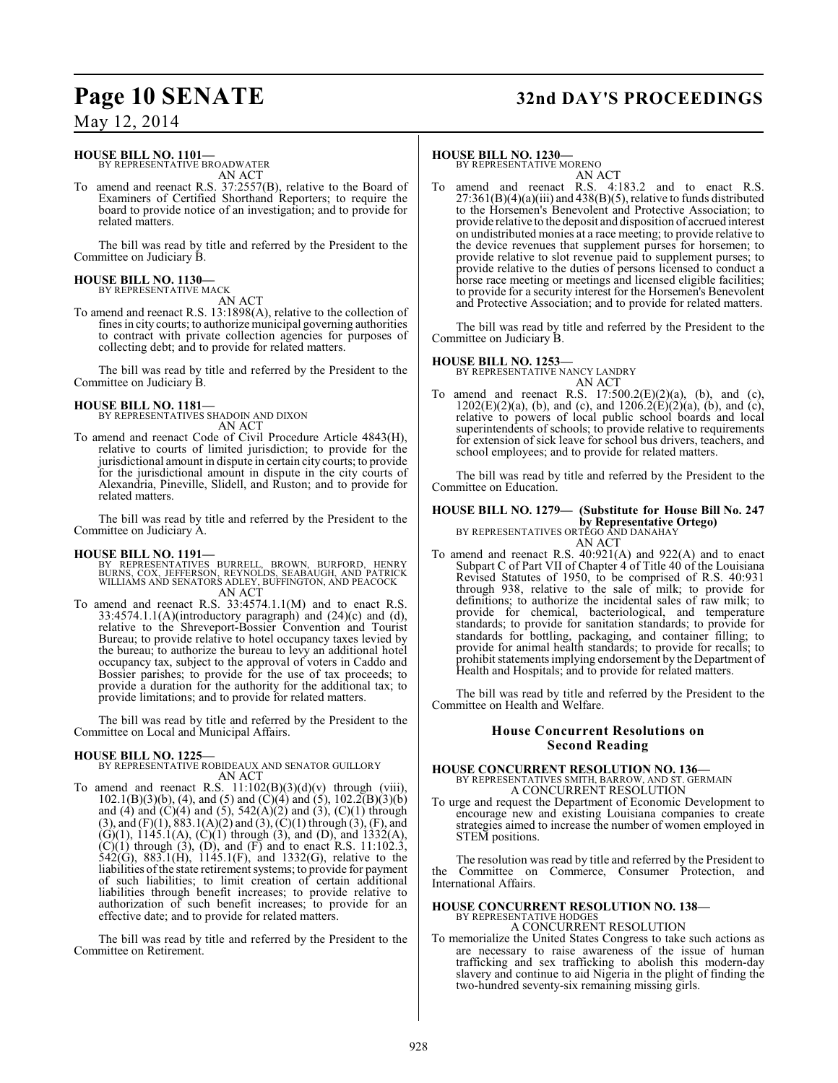## **Page 10 SENATE 32nd DAY'S PROCEEDINGS**

### May 12, 2014

#### **HOUSE BILL NO. 1101—**

BY REPRESENTATIVE BROADWATER AN ACT

To amend and reenact R.S. 37:2557(B), relative to the Board of Examiners of Certified Shorthand Reporters; to require the board to provide notice of an investigation; and to provide for related matters.

The bill was read by title and referred by the President to the Committee on Judiciary B.

## **HOUSE BILL NO. 1130—** BY REPRESENTATIVE MACK

AN ACT

To amend and reenact R.S. 13:1898(A), relative to the collection of fines in city courts; to authorize municipal governing authorities to contract with private collection agencies for purposes of collecting debt; and to provide for related matters.

The bill was read by title and referred by the President to the Committee on Judiciary B.

#### **HOUSE BILL NO. 1181—** BY REPRESENTATIVES SHADOIN AND DIXON

AN ACT

To amend and reenact Code of Civil Procedure Article 4843(H), relative to courts of limited jurisdiction; to provide for the jurisdictional amount in dispute in certain city courts; to provide for the jurisdictional amount in dispute in the city courts of Alexandria, Pineville, Slidell, and Ruston; and to provide for related matters.

The bill was read by title and referred by the President to the Committee on Judiciary A.

- **HOUSE BILL NO. 1191—** BY REPRESENTATIVES BURRELL, BROWN, BURFORD, HENRY BURNS, COX, JEFFERSON, REYNOLDS, SEABAUGH, AND PATRICK WILLIAMS AND SENATORS ADLEY, BUFFINGTON, AND PEACOCK AN ACT
- To amend and reenact R.S. 33:4574.1.1(M) and to enact R.S.  $33:4574.1.1(A)$ (introductory paragraph) and  $(24)$ (c) and  $(d)$ , relative to the Shreveport-Bossier Convention and Tourist Bureau; to provide relative to hotel occupancy taxes levied by the bureau; to authorize the bureau to levy an additional hotel occupancy tax, subject to the approval of voters in Caddo and Bossier parishes; to provide for the use of tax proceeds; to provide a duration for the authority for the additional tax; to provide limitations; and to provide for related matters.

The bill was read by title and referred by the President to the Committee on Local and Municipal Affairs.

**HOUSE BILL NO. 1225—** BY REPRESENTATIVE ROBIDEAUX AND SENATOR GUILLORY AN ACT

To amend and reenact R.S.  $11:102(B)(3)(d)(v)$  through (viii),  $102.1(B)(3)(b)$ , (4), and (5) and (C)(4) and (5),  $102.2(B)(3)(b)$ and (4) and (C)(4) and (5),  $542(A)(2)$  and (3), (C)(1) through  $(3)$ , and  $(F)(1)$ ,  $883.1(A)(2)$  and  $(3)$ ,  $(C)(1)$  through  $(3)$ ,  $(F)$ , and  $(G)(1)$ ,  $1145.1(A)$ ,  $(C)(1)$  through  $(3)$ , and  $(D)$ , and  $1332(A)$ ,  $(C)(1)$  through  $(3)$ ,  $(D)$ , and  $(F)$  and to enact R.S. 11:102.3, 542(G), 883.1(H), 1145.1(F), and 1332(G), relative to the liabilities of the state retirement systems; to provide for payment of such liabilities; to limit creation of certain additional liabilities through benefit increases; to provide relative to authorization of such benefit increases; to provide for an effective date; and to provide for related matters.

The bill was read by title and referred by the President to the Committee on Retirement.

#### **HOUSE BILL NO. 1230—**

BY REPRESENTATIVE MORENO

AN ACT To amend and reenact R.S. 4:183.2 and to enact R.S. 27:361(B)(4)(a)(iii) and 438(B)(5), relative to funds distributed to the Horsemen's Benevolent and Protective Association; to provide relative to the deposit and disposition of accrued interest on undistributed monies at a race meeting; to provide relative to the device revenues that supplement purses for horsemen; to provide relative to slot revenue paid to supplement purses; to provide relative to the duties of persons licensed to conduct a horse race meeting or meetings and licensed eligible facilities; to provide for a security interest for the Horsemen's Benevolent and Protective Association; and to provide for related matters.

The bill was read by title and referred by the President to the Committee on Judiciary B.

**HOUSE BILL NO. 1253—** BY REPRESENTATIVE NANCY LANDRY AN ACT

To amend and reenact R.S.  $17:500.2(E)(2)(a)$ , (b), and (c),  $1202(E)(2)(a)$ , (b), and (c), and  $1206.2(E)(2)(a)$ , (b), and (c), relative to powers of local public school boards and local superintendents of schools; to provide relative to requirements for extension of sick leave for school bus drivers, teachers, and school employees; and to provide for related matters.

The bill was read by title and referred by the President to the Committee on Education.

### **HOUSE BILL NO. 1279— (Substitute for House Bill No. 247 by Representative Ortego)** BY REPRESENTATIVES ORTEGO AND DANAHAY

AN ACT

To amend and reenact R.S. 40:921(A) and 922(A) and to enact Subpart C of Part VII of Chapter 4 of Title 40 of the Louisiana Revised Statutes of 1950, to be comprised of R.S. 40:931 through 938, relative to the sale of milk; to provide for definitions; to authorize the incidental sales of raw milk; to provide for chemical, bacteriological, and temperature standards; to provide for sanitation standards; to provide for standards for bottling, packaging, and container filling; to provide for animal health standards; to provide for recalls; to prohibit statements implying endorsement by the Department of Health and Hospitals; and to provide for related matters.

The bill was read by title and referred by the President to the Committee on Health and Welfare.

#### **House Concurrent Resolutions on Second Reading**

# **HOUSE CONCURRENT RESOLUTION NO. 136—**<br>BY REPRESENTATIVES SMITH, BARROW, AND ST. GERMAIN A CONCURRENT RESOLUTION

To urge and request the Department of Economic Development to encourage new and existing Louisiana companies to create strategies aimed to increase the number of women employed in STEM positions.

The resolution was read by title and referred by the President to the Committee on Commerce, Consumer Protection, and International Affairs.

## **HOUSE CONCURRENT RESOLUTION NO. 138—** BY REPRESENTATIVE HODGES

A CONCURRENT RESOLUTION

To memorialize the United States Congress to take such actions as are necessary to raise awareness of the issue of human trafficking and sex trafficking to abolish this modern-day slavery and continue to aid Nigeria in the plight of finding the two-hundred seventy-six remaining missing girls.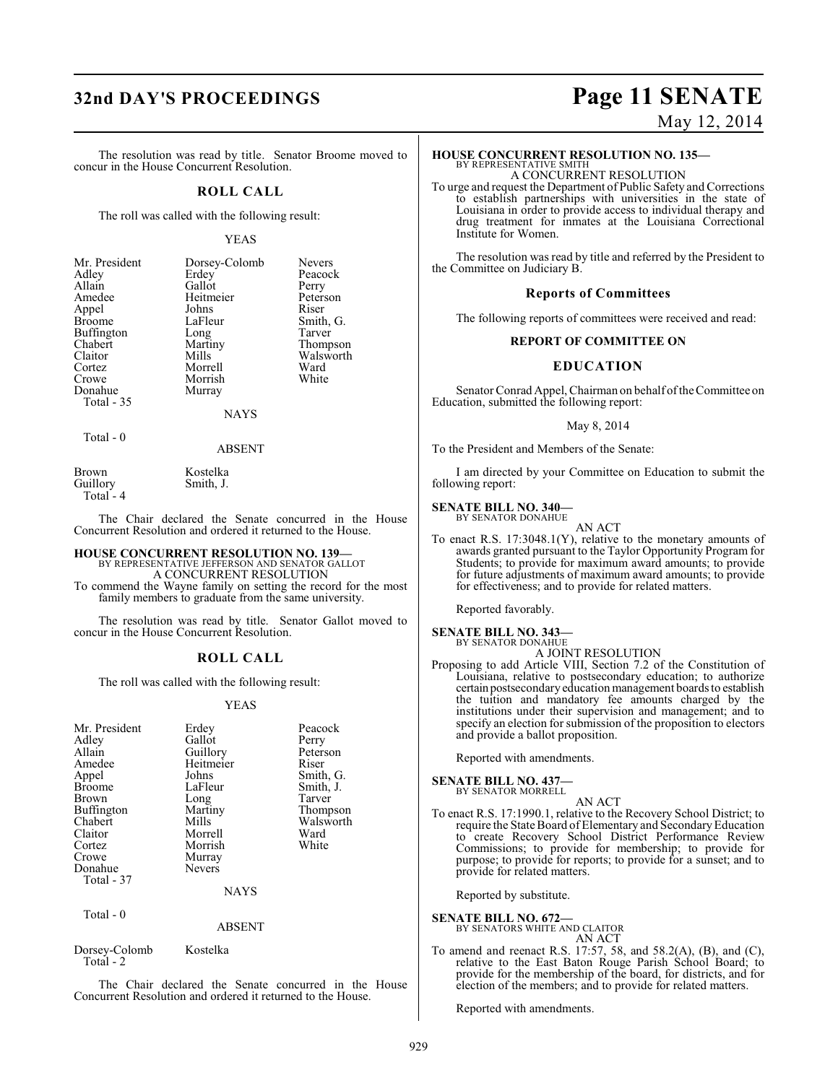## **32nd DAY'S PROCEEDINGS Page 11 SENATE**

#### The resolution was read by title. Senator Broome moved to concur in the House Concurrent Resolution.

#### **ROLL CALL**

The roll was called with the following result:

#### YEAS

| Mr. President | Dorsey-Colomb | <b>Nevers</b> |
|---------------|---------------|---------------|
| Adley         | Erdey         | Peacock       |
| Allain        | Gallot        | Perry         |
| Amedee        | Heitmeier     | Peterson      |
| Appel         | Johns         | Riser         |
| <b>Broome</b> | LaFleur       | Smith, G.     |
| Buffington    | Long          | Tarver        |
| Chabert       | Martiny       | Thompson      |
| Claitor       | Mills         | Walsworth     |
| Cortez        | Morrell       | Ward          |
| Crowe         | Morrish       | White         |
| Donahue       | Murray        |               |
| Total - 35    |               |               |
|               | <b>NAYS</b>   |               |

Total - 0

ABSENT

Brown Kostelka<br>Guillory Smith, J. Total - 4

The Chair declared the Senate concurred in the House Concurrent Resolution and ordered it returned to the House.

### **HOUSE CONCURRENT RESOLUTION NO. 139—** BY REPRESENTATIVE JEFFERSON AND SENATOR GALLOT

Smith, J.

A CONCURRENT RESOLUTION

To commend the Wayne family on setting the record for the most family members to graduate from the same university.

The resolution was read by title. Senator Gallot moved to concur in the House Concurrent Resolution.

#### **ROLL CALL**

The roll was called with the following result:

#### YEAS

| Mr. President<br>Adley<br>Allain<br>Amedee<br>Appel<br><b>Broome</b><br><b>Brown</b><br>Buffington<br>Chabert<br>Claitor<br>Cortez<br>Crowe<br>Donahue<br>Total - 37 | Erdey<br>Gallot<br>Guillory<br>Heitmeier<br>Johns<br>LaFleur<br>Long<br>Martiny<br>Mills<br>Morrell<br>Morrish<br>Murray<br><b>Nevers</b><br><b>NAYS</b> | Peacock<br>Perry<br>Peterson<br>Riser<br>Smith, G.<br>Smith, J.<br>Tarver<br>Thompson<br>Walsworth<br>Ward<br>White |
|----------------------------------------------------------------------------------------------------------------------------------------------------------------------|----------------------------------------------------------------------------------------------------------------------------------------------------------|---------------------------------------------------------------------------------------------------------------------|
| Total - 0                                                                                                                                                            |                                                                                                                                                          |                                                                                                                     |
|                                                                                                                                                                      |                                                                                                                                                          |                                                                                                                     |

#### ABSENT

Dorsey-Colomb Kostelka Total - 2

The Chair declared the Senate concurred in the House Concurrent Resolution and ordered it returned to the House.

May 12, 2014

### **HOUSE CONCURRENT RESOLUTION NO. 135—** BY REPRESENTATIVE SMITH

A CONCURRENT RESOLUTION

To urge and request the Department of Public Safety and Corrections to establish partnerships with universities in the state of Louisiana in order to provide access to individual therapy and drug treatment for inmates at the Louisiana Correctional Institute for Women.

The resolution was read by title and referred by the President to the Committee on Judiciary B.

#### **Reports of Committees**

The following reports of committees were received and read:

#### **REPORT OF COMMITTEE ON**

#### **EDUCATION**

Senator Conrad Appel, Chairman on behalf of the Committee on Education, submitted the following report:

#### May 8, 2014

To the President and Members of the Senate:

I am directed by your Committee on Education to submit the following report:

#### **SENATE BILL NO. 340—** BY SENATOR DONAHUE

AN ACT

To enact R.S. 17:3048.1(Y), relative to the monetary amounts of awards granted pursuant to the Taylor Opportunity Program for Students; to provide for maximum award amounts; to provide for future adjustments of maximum award amounts; to provide for effectiveness; and to provide for related matters.

Reported favorably.

#### **SENATE BILL NO. 343—** BY SENATOR DONAHUE

A JOINT RESOLUTION

Proposing to add Article VIII, Section 7.2 of the Constitution of Louisiana, relative to postsecondary education; to authorize certain postsecondary education management boards to establish the tuition and mandatory fee amounts charged by the institutions under their supervision and management; and to specify an election for submission of the proposition to electors and provide a ballot proposition.

Reported with amendments.

#### **SENATE BILL NO. 437—**

BY SENATOR MORRELL AN ACT

To enact R.S. 17:1990.1, relative to the Recovery School District; to require the State Board of Elementary and Secondary Education to create Recovery School District Performance Review Commissions; to provide for membership; to provide for purpose; to provide for reports; to provide for a sunset; and to provide for related matters.

Reported by substitute.

**SENATE BILL NO. 672—** BY SENATORS WHITE AND CLAITOR AN ACT

To amend and reenact R.S. 17:57, 58, and 58.2(A), (B), and (C), relative to the East Baton Rouge Parish School Board; to provide for the membership of the board, for districts, and for election of the members; and to provide for related matters.

Reported with amendments.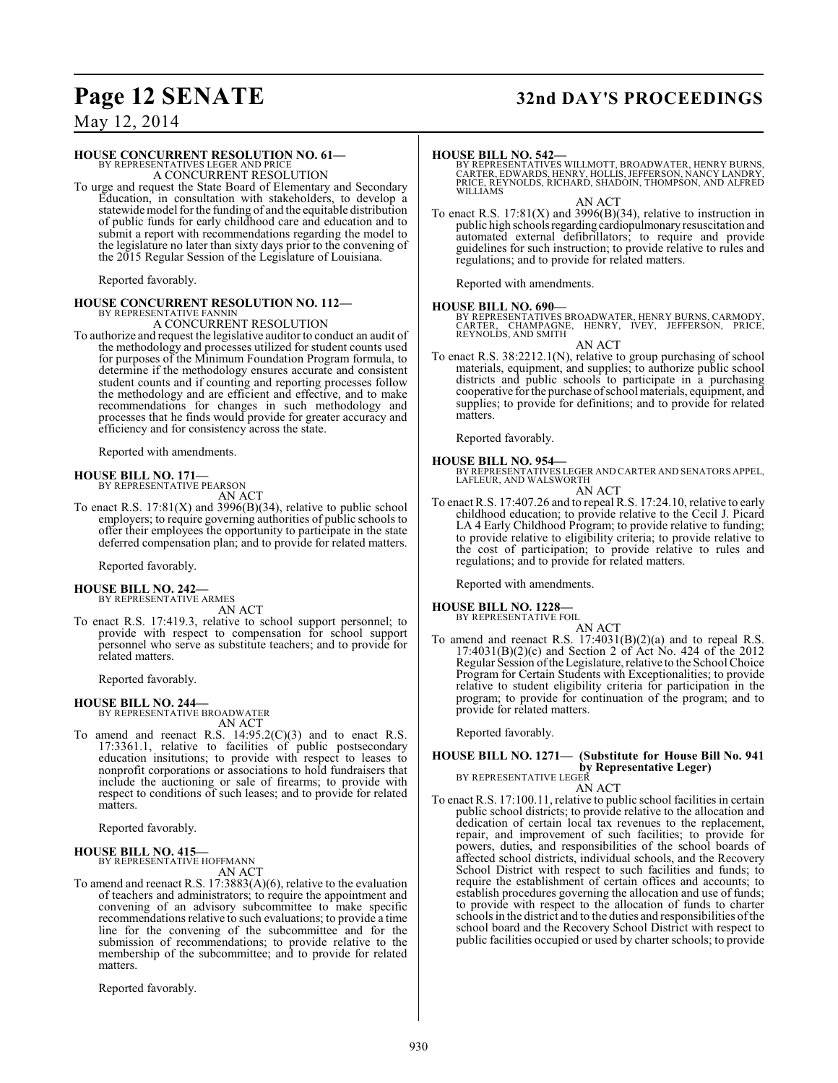## **Page 12 SENATE 32nd DAY'S PROCEEDINGS**

May 12, 2014

#### **HOUSE CONCURRENT RESOLUTION NO. 61—**

BY REPRESENTATIVES LEGER AND PRICE A CONCURRENT RESOLUTION

To urge and request the State Board of Elementary and Secondary Education, in consultation with stakeholders, to develop a statewide model for the funding of and the equitable distribution of public funds for early childhood care and education and to submit a report with recommendations regarding the model to the legislature no later than sixty days prior to the convening of the 2015 Regular Session of the Legislature of Louisiana.

Reported favorably.

#### **HOUSE CONCURRENT RESOLUTION NO. 112—** BY REPRESENTATIVE FANNIN

A CONCURRENT RESOLUTION

To authorize and request the legislative auditor to conduct an audit of the methodology and processes utilized for student counts used for purposes of the Minimum Foundation Program formula, to determine if the methodology ensures accurate and consistent student counts and if counting and reporting processes follow the methodology and are efficient and effective, and to make recommendations for changes in such methodology and processes that he finds would provide for greater accuracy and efficiency and for consistency across the state.

Reported with amendments.

#### **HOUSE BILL NO. 171—**

BY REPRESENTATIVE PEARSON AN ACT

To enact R.S.  $17:81(X)$  and  $3996(B)(34)$ , relative to public school employers; to require governing authorities of public schools to offer their employees the opportunity to participate in the state deferred compensation plan; and to provide for related matters.

Reported favorably.

#### **HOUSE BILL NO. 242—**

BY REPRESENTATIVE ARMES AN ACT

To enact R.S. 17:419.3, relative to school support personnel; to provide with respect to compensation for school support personnel who serve as substitute teachers; and to provide for related matters.

Reported favorably.

**HOUSE BILL NO. 244—** BY REPRESENTATIVE BROADWATER AN ACT

To amend and reenact R.S.  $14:95.2(C)(3)$  and to enact R.S. 17:3361.1, relative to facilities of public postsecondary education insitutions; to provide with respect to leases to nonprofit corporations or associations to hold fundraisers that include the auctioning or sale of firearms; to provide with respect to conditions of such leases; and to provide for related matters.

Reported favorably.

#### **HOUSE BILL NO. 415—** BY REPRESENTATIVE HOFFMANN

AN ACT

To amend and reenact R.S. 17:3883(A)(6), relative to the evaluation of teachers and administrators; to require the appointment and convening of an advisory subcommittee to make specific recommendations relative to such evaluations; to provide a time line for the convening of the subcommittee and for the submission of recommendations; to provide relative to the membership of the subcommittee; and to provide for related matters.

Reported favorably.

**HOUSE BILL NO. 542—** BY REPRESENTATIVES WILLMOTT, BROADWATER, HENRY BURNS, CARTER, EDWARDS, HENRY, HOLLIS, JEFFERSON, NANCY LANDRY, PRICE, REYNOLDS, RICHARD, SHADOIN, THOMPSON, AND ALFRED WILLIAMS

AN ACT

To enact R.S.  $17:81(X)$  and  $3996(B)(34)$ , relative to instruction in public high schools regarding cardiopulmonary resuscitation and automated external defibrillators; to require and provide guidelines for such instruction; to provide relative to rules and regulations; and to provide for related matters.

Reported with amendments.

#### **HOUSE BILL NO. 690—**

BY REPRESENTATIVES BROADWATER, HENRY BURNS, CARMODY,<br>CARTER, CHAMPAGNE, HENRY, IVEY, JEFFERSON, PRICE,<br>REYNOLDS, AND SMITH

AN ACT

To enact R.S. 38:2212.1(N), relative to group purchasing of school materials, equipment, and supplies; to authorize public school districts and public schools to participate in a purchasing cooperative for the purchase of school materials, equipment, and supplies; to provide for definitions; and to provide for related matters.

Reported favorably.

#### **HOUSE BILL NO. 954—**

BY REPRESENTATIVES LEGER AND CARTER AND SENATORS APPEL, LAFLEUR, AND WALSWORTH AN ACT

To enact R.S. 17:407.26 and to repeal R.S. 17:24.10, relative to early childhood education; to provide relative to the Cecil J. Picard LA 4 Early Childhood Program; to provide relative to funding; to provide relative to eligibility criteria; to provide relative to the cost of participation; to provide relative to rules and regulations; and to provide for related matters.

Reported with amendments.

#### **HOUSE BILL NO. 1228—** BY REPRESENTATIVE FOIL

AN ACT

To amend and reenact R.S. 17:4031(B)(2)(a) and to repeal R.S. 17:4031(B)(2)(c) and Section 2 of Act No. 424 of the 2012 Regular Session of the Legislature, relative to the School Choice Program for Certain Students with Exceptionalities; to provide relative to student eligibility criteria for participation in the program; to provide for continuation of the program; and to provide for related matters.

Reported favorably.

## **HOUSE BILL NO. 1271— (Substitute for House Bill No. 941 by Representative Leger)**<br>BY REPRESENTATIVE LEGER<br>AN ACT

To enact R.S. 17:100.11, relative to public school facilities in certain public school districts; to provide relative to the allocation and dedication of certain local tax revenues to the replacement, repair, and improvement of such facilities; to provide for powers, duties, and responsibilities of the school boards of affected school districts, individual schools, and the Recovery School District with respect to such facilities and funds; to require the establishment of certain offices and accounts; to establish procedures governing the allocation and use of funds; to provide with respect to the allocation of funds to charter schools in the district and to the duties and responsibilities of the school board and the Recovery School District with respect to public facilities occupied or used by charter schools; to provide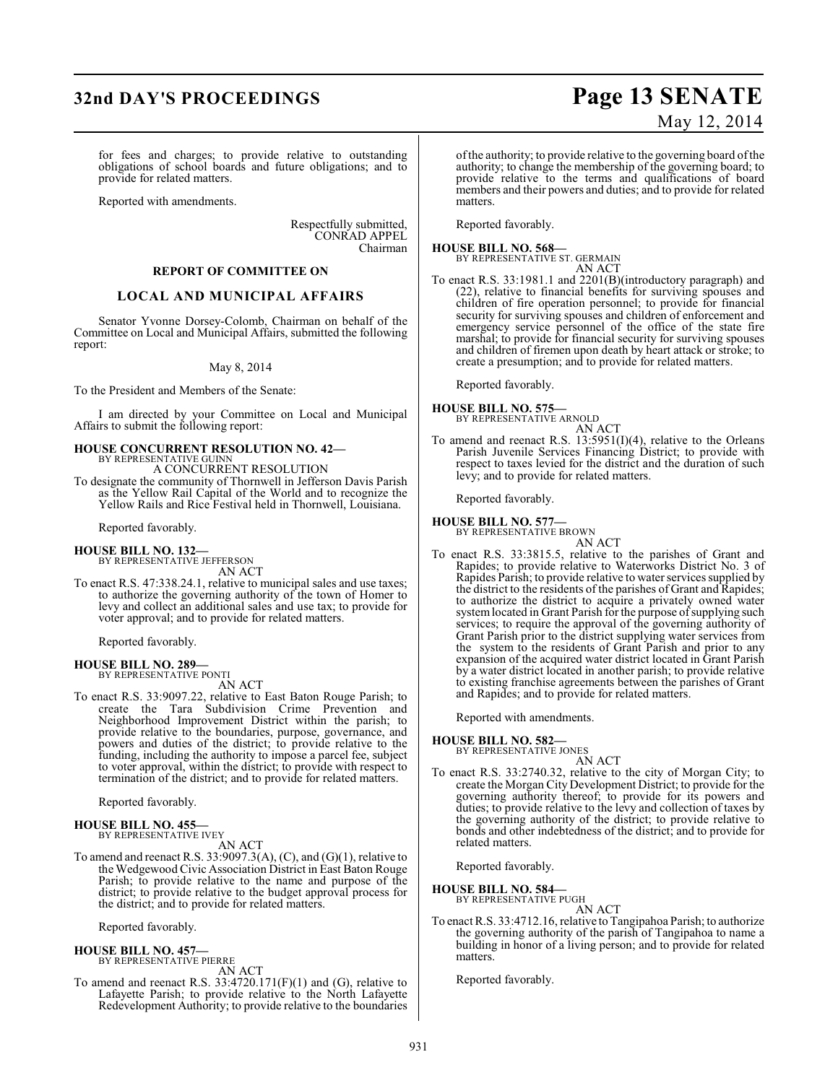## **32nd DAY'S PROCEEDINGS Page 13 SENATE**

for fees and charges; to provide relative to outstanding obligations of school boards and future obligations; and to provide for related matters.

Reported with amendments.

Respectfully submitted, CONRAD APPEL Chairman

### **REPORT OF COMMITTEE ON**

#### **LOCAL AND MUNICIPAL AFFAIRS**

Senator Yvonne Dorsey-Colomb, Chairman on behalf of the Committee on Local and Municipal Affairs, submitted the following report:

#### May 8, 2014

To the President and Members of the Senate:

I am directed by your Committee on Local and Municipal Affairs to submit the following report:

## **HOUSE CONCURRENT RESOLUTION NO. 42—** BY REPRESENTATIVE GUINN

A CONCURRENT RESOLUTION

To designate the community of Thornwell in Jefferson Davis Parish as the Yellow Rail Capital of the World and to recognize the Yellow Rails and Rice Festival held in Thornwell, Louisiana.

Reported favorably.

**HOUSE BILL NO. 132—** BY REPRESENTATIVE JEFFERSON AN ACT

To enact R.S. 47:338.24.1, relative to municipal sales and use taxes; to authorize the governing authority of the town of Homer to levy and collect an additional sales and use tax; to provide for voter approval; and to provide for related matters.

Reported favorably.

#### **HOUSE BILL NO. 289—** BY REPRESENTATIVE PONTI

AN ACT

To enact R.S. 33:9097.22, relative to East Baton Rouge Parish; to create the Tara Subdivision Crime Prevention and Neighborhood Improvement District within the parish; to provide relative to the boundaries, purpose, governance, and powers and duties of the district; to provide relative to the funding, including the authority to impose a parcel fee, subject to voter approval, within the district; to provide with respect to termination of the district; and to provide for related matters.

Reported favorably.

#### **HOUSE BILL NO. 455—** BY REPRESENTATIVE IVEY

AN ACT

To amend and reenact R.S. 33:9097.3(A), (C), and (G)(1), relative to the Wedgewood Civic Association District in East Baton Rouge Parish; to provide relative to the name and purpose of the district; to provide relative to the budget approval process for the district; and to provide for related matters.

Reported favorably.

#### **HOUSE BILL NO. 457—**

BY REPRESENTATIVE PIERRE AN ACT

To amend and reenact R.S. 33:4720.171(F)(1) and (G), relative to Lafayette Parish; to provide relative to the North Lafayette Redevelopment Authority; to provide relative to the boundaries

# May 12, 2014

of the authority; to provide relative to the governing board of the authority; to change the membership of the governing board; to provide relative to the terms and qualifications of board members and their powers and duties; and to provide for related matters.

Reported favorably.

**HOUSE BILL NO. 568—** BY REPRESENTATIVE ST. GERMAIN

AN ACT

To enact R.S. 33:1981.1 and 2201(B)(introductory paragraph) and (22), relative to financial benefits for surviving spouses and children of fire operation personnel; to provide for financial security for surviving spouses and children of enforcement and emergency service personnel of the office of the state fire marshal; to provide for financial security for surviving spouses and children of firemen upon death by heart attack or stroke; to create a presumption; and to provide for related matters.

Reported favorably.

**HOUSE BILL NO. 575—**

BY REPRESENTATIVE ARNOLD AN ACT

To amend and reenact R.S. 13:5951(I)(4), relative to the Orleans Parish Juvenile Services Financing District; to provide with respect to taxes levied for the district and the duration of such levy; and to provide for related matters.

Reported favorably.

**HOUSE BILL NO. 577—**

BY REPRESENTATIVE BROWN

- AN ACT
- To enact R.S. 33:3815.5, relative to the parishes of Grant and Rapides; to provide relative to Waterworks District No. 3 of Rapides Parish; to provide relative to water services supplied by the district to the residents of the parishes of Grant and Rapides; to authorize the district to acquire a privately owned water system located in Grant Parish for the purpose of supplying such services; to require the approval of the governing authority of Grant Parish prior to the district supplying water services from the system to the residents of Grant Parish and prior to any expansion of the acquired water district located in Grant Parish by a water district located in another parish; to provide relative to existing franchise agreements between the parishes of Grant and Rapides; and to provide for related matters.

Reported with amendments.

#### **HOUSE BILL NO. 582—**

BY REPRESENTATIVE JONES AN ACT

To enact R.S. 33:2740.32, relative to the city of Morgan City; to create the Morgan City Development District; to provide for the governing authority thereof; to provide for its powers and duties; to provide relative to the levy and collection of taxes by the governing authority of the district; to provide relative to bonds and other indebtedness of the district; and to provide for related matters.

Reported favorably.

**HOUSE BILL NO. 584—** BY REPRESENTATIVE PUGH

AN ACT

To enact R.S. 33:4712.16, relative to Tangipahoa Parish; to authorize the governing authority of the parish of Tangipahoa to name a building in honor of a living person; and to provide for related matters.

Reported favorably.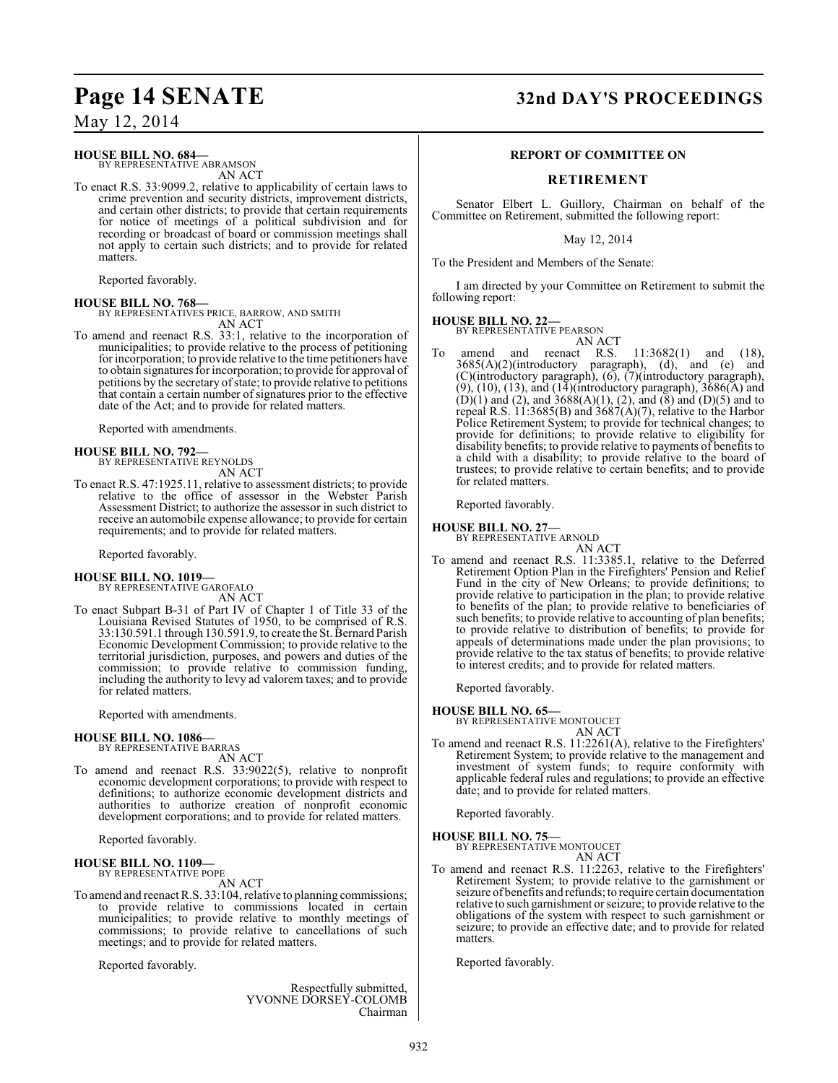### **HOUSE BILL NO. 684—**

BY REPRESENTATIVE ABRAMSON AN ACT

To enact R.S. 33:9099.2, relative to applicability of certain laws to crime prevention and security districts, improvement districts, and certain other districts; to provide that certain requirements for notice of meetings of a political subdivision and for recording or broadcast of board or commission meetings shall not apply to certain such districts; and to provide for related matters.

Reported favorably.

#### **HOUSE BILL NO. 768—**

BY REPRESENTATIVES PRICE, BARROW, AND SMITH AN ACT

To amend and reenact R.S. 33:1, relative to the incorporation of municipalities; to provide relative to the process of petitioning for incorporation; to provide relative to the time petitioners have to obtain signatures for incorporation; to provide for approval of petitions by the secretary of state; to provide relative to petitions that contain a certain number of signatures prior to the effective date of the Act; and to provide for related matters.

Reported with amendments.

#### **HOUSE BILL NO. 792—** BY REPRESENTATIVE REYNOLDS

AN ACT

To enact R.S. 47:1925.11, relative to assessment districts; to provide relative to the office of assessor in the Webster Parish Assessment District; to authorize the assessor in such district to receive an automobile expense allowance; to provide for certain requirements; and to provide for related matters.

Reported favorably.

#### **HOUSE BILL NO. 1019—** BY REPRESENTATIVE GAROFALO

AN ACT

To enact Subpart B-31 of Part IV of Chapter 1 of Title 33 of the Louisiana Revised Statutes of 1950, to be comprised of R.S. 33:130.591.1 through 130.591.9, to create the St. Bernard Parish Economic Development Commission; to provide relative to the territorial jurisdiction, purposes, and powers and duties of the commission; to provide relative to commission funding, including the authority to levy ad valorem taxes; and to provide for related matters.

Reported with amendments.

## **HOUSE BILL NO. 1086—** BY REPRESENTATIVE BARRAS

AN ACT

To amend and reenact R.S. 33:9022(5), relative to nonprofit economic development corporations; to provide with respect to definitions; to authorize economic development districts and authorities to authorize creation of nonprofit economic development corporations; and to provide for related matters.

Reported favorably.

#### **HOUSE BILL NO. 1109—** BY REPRESENTATIVE POPE

AN ACT

To amend and reenact R.S. 33:104, relative to planning commissions; to provide relative to commissions located in certain municipalities; to provide relative to monthly meetings of commissions; to provide relative to cancellations of such meetings; and to provide for related matters.

Reported favorably.

Respectfully submitted, YVONNE DORSEY-COLOMB Chairman

### **Page 14 SENATE 32nd DAY'S PROCEEDINGS**

#### **REPORT OF COMMITTEE ON**

### **RETIREMENT**

Senator Elbert L. Guillory, Chairman on behalf of the Committee on Retirement, submitted the following report:

May 12, 2014

To the President and Members of the Senate:

I am directed by your Committee on Retirement to submit the following report:

### **HOUSE BILL NO. 22—**

BY REPRESENTATIVE PEARSON

AN ACT<br>amend and reenact R.S. To amend and reenact R.S. 11:3682(1) and (18),  $3685(A)(2)$ (introductory paragraph), (d), and (e) and (C)(introductory paragraph), (6), (7)(introductory paragraph), (9), (10), (13), and (14)(introductory paragraph), 3686(A) and  $(D)(1)$  and  $(2)$ , and  $3688(A)(1)$ ,  $(2)$ , and  $(8)$  and  $(D)(5)$  and to repeal R.S. 11:3685(B) and 3687(A)(7), relative to the Harbor Police Retirement System; to provide for technical changes; to provide for definitions; to provide relative to eligibility for disability benefits; to provide relative to payments of benefits to a child with a disability; to provide relative to the board of trustees; to provide relative to certain benefits; and to provide for related matters.

Reported favorably.

### **HOUSE BILL NO. 27—** BY REPRESENTATIVE ARNOLD

AN ACT To amend and reenact R.S. 11:3385.1, relative to the Deferred Retirement Option Plan in the Firefighters' Pension and Relief Fund in the city of New Orleans; to provide definitions; to provide relative to participation in the plan; to provide relative to benefits of the plan; to provide relative to beneficiaries of such benefits; to provide relative to accounting of plan benefits; to provide relative to distribution of benefits; to provide for appeals of determinations made under the plan provisions; to provide relative to the tax status of benefits; to provide relative to interest credits; and to provide for related matters.

Reported favorably.

### **HOUSE BILL NO. 65—**

BY REPRESENTATIVE MONTOUCET AN ACT

To amend and reenact R.S. 11:2261(A), relative to the Firefighters' Retirement System; to provide relative to the management and investment of system funds; to require conformity with applicable federal rules and regulations; to provide an effective date; and to provide for related matters.

Reported favorably.

**HOUSE BILL NO. 75—** BY REPRESENTATIVE MONTOUCET

AN ACT

To amend and reenact R.S. 11:2263, relative to the Firefighters' Retirement System; to provide relative to the garnishment or seizure of benefits and refunds; to require certain documentation relative to such garnishment or seizure; to provide relative to the obligations of the system with respect to such garnishment or seizure; to provide an effective date; and to provide for related matters.

Reported favorably.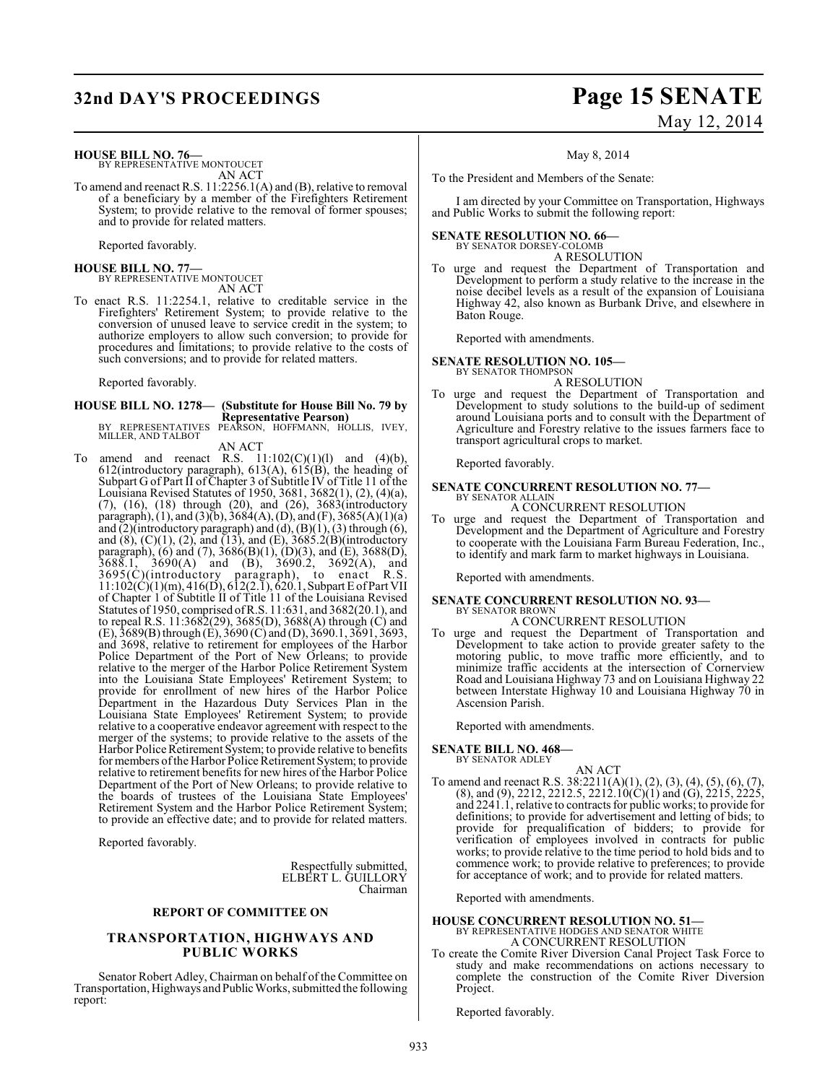## **32nd DAY'S PROCEEDINGS Page 15 SENATE**

#### **HOUSE BILL NO. 76—**

BY REPRESENTATIVE MONTOUCET AN ACT

To amend and reenact R.S. 11:2256.1(A) and (B), relative to removal of a beneficiary by a member of the Firefighters Retirement System; to provide relative to the removal of former spouses; and to provide for related matters.

Reported favorably.

## **HOUSE BILL NO. 77—** BY REPRESENTATIVE MONTOUCET

AN ACT

To enact R.S. 11:2254.1, relative to creditable service in the Firefighters' Retirement System; to provide relative to the conversion of unused leave to service credit in the system; to authorize employers to allow such conversion; to provide for procedures and limitations; to provide relative to the costs of such conversions; and to provide for related matters.

Reported favorably.

## **HOUSE BILL NO. 1278— (Substitute for House Bill No. 79 by Representative Pearson)**<br>BY REPRESENTATIVES PEARSON, HOFFMANN, HOLLIS, IVEY,<br>MILLER, AND TALBOT

AN ACT

To amend and reenact R.S.  $11:102(C)(1)(1)$  and  $(4)(b)$ , 612(introductory paragraph), 613(A), 615(B), the heading of Subpart G of Part II of Chapter 3 of Subtitle IV of Title 11 of the Louisiana Revised Statutes of 1950, 3681, 3682(1), (2), (4)(a), (7), (16), (18) through (20), and (26), 3683(introductory paragraph), (1), and (3)(b), 3684(A), (D), and (F), 3685(A)(1)(a) and  $(2)$ (introductory paragraph) and  $(d)$ ,  $(B)(1)$ ,  $(3)$  through  $(6)$ , and  $(8)$ ,  $(C)(1)$ ,  $(2)$ , and  $(13)$ , and  $(E)$ ,  $3685.2(E)(introducing$ paragraph), (6) and (7), 3686(B)(1), (D)(3), and (E), 3688(D),  $3688.1, 3690(A)$  and  $(B), 3690.2, 3692(A),$  and 3695(C)(introductory paragraph), to enact R.S. 11:102(C)(1)(m), 416(D), 612(2.1), 620.1, Subpart E of Part VII of Chapter 1 of Subtitle II of Title 11 of the Louisiana Revised Statutes of 1950, comprised ofR.S. 11:631, and 3682(20.1), and to repeal R.S. 11:3682(29), 3685(D), 3688(A) through (C) and (E), 3689(B) through (E), 3690 (C) and (D), 3690.1, 3691, 3693, and 3698, relative to retirement for employees of the Harbor Police Department of the Port of New Orleans; to provide relative to the merger of the Harbor Police Retirement System into the Louisiana State Employees' Retirement System; to provide for enrollment of new hires of the Harbor Police Department in the Hazardous Duty Services Plan in the Louisiana State Employees' Retirement System; to provide relative to a cooperative endeavor agreement with respect to the merger of the systems; to provide relative to the assets of the Harbor Police Retirement System; to provide relative to benefits for members of the Harbor Police Retirement System; to provide relative to retirement benefits for new hires of the Harbor Police Department of the Port of New Orleans; to provide relative to the boards of trustees of the Louisiana State Employees' Retirement System and the Harbor Police Retirement System; to provide an effective date; and to provide for related matters.

Reported favorably.

Respectfully submitted, ELBERT L. GUILLORY Chairman

#### **REPORT OF COMMITTEE ON**

#### **TRANSPORTATION, HIGHWAYS AND PUBLIC WORKS**

Senator Robert Adley, Chairman on behalf of the Committee on Transportation, Highways and Public Works, submitted the following report:

# May 12, 2014

May 8, 2014

To the President and Members of the Senate:

I am directed by your Committee on Transportation, Highways and Public Works to submit the following report:

#### **SENATE RESOLUTION NO. 66—**

BY SENATOR DORSEY-COLOMB A RESOLUTION

To urge and request the Department of Transportation and Development to perform a study relative to the increase in the noise decibel levels as a result of the expansion of Louisiana Highway 42, also known as Burbank Drive, and elsewhere in Baton Rouge.

Reported with amendments.

## **SENATE RESOLUTION NO. 105—** BY SENATOR THOMPSON

A RESOLUTION

To urge and request the Department of Transportation and Development to study solutions to the build-up of sediment around Louisiana ports and to consult with the Department of Agriculture and Forestry relative to the issues farmers face to transport agricultural crops to market.

Reported favorably.

#### **SENATE CONCURRENT RESOLUTION NO. 77—** BY SENATOR ALLAIN

A CONCURRENT RESOLUTION

To urge and request the Department of Transportation and Development and the Department of Agriculture and Forestry to cooperate with the Louisiana Farm Bureau Federation, Inc., to identify and mark farm to market highways in Louisiana.

Reported with amendments.

#### **SENATE CONCURRENT RESOLUTION NO. 93—** BY SENATOR BROWN

A CONCURRENT RESOLUTION

To urge and request the Department of Transportation and Development to take action to provide greater safety to the motoring public, to move traffic more efficiently, and to minimize traffic accidents at the intersection of Cornerview Road and Louisiana Highway 73 and on Louisiana Highway 22 between Interstate Highway 10 and Louisiana Highway 70 in Ascension Parish.

Reported with amendments.

**SENATE BILL NO. 468—** BY SENATOR ADLEY

AN ACT

To amend and reenact R.S. 38:2211(A)(1), (2), (3), (4), (5), (6), (7),  $(8)$ , and  $(9)$ , 2212, 2212.5, 2212.10 $(C)(1)$  and  $(G)$ , 2215, 2225, and 2241.1, relative to contracts for public works; to provide for definitions; to provide for advertisement and letting of bids; to provide for prequalification of bidders; to provide for verification of employees involved in contracts for public works; to provide relative to the time period to hold bids and to commence work; to provide relative to preferences; to provide for acceptance of work; and to provide for related matters.

Reported with amendments.

### **HOUSE CONCURRENT RESOLUTION NO. 51—** BY REPRESENTATIVE HODGES AND SENATOR WHITE A CONCURRENT RESOLUTION

To create the Comite River Diversion Canal Project Task Force to study and make recommendations on actions necessary to complete the construction of the Comite River Diversion Project.

Reported favorably.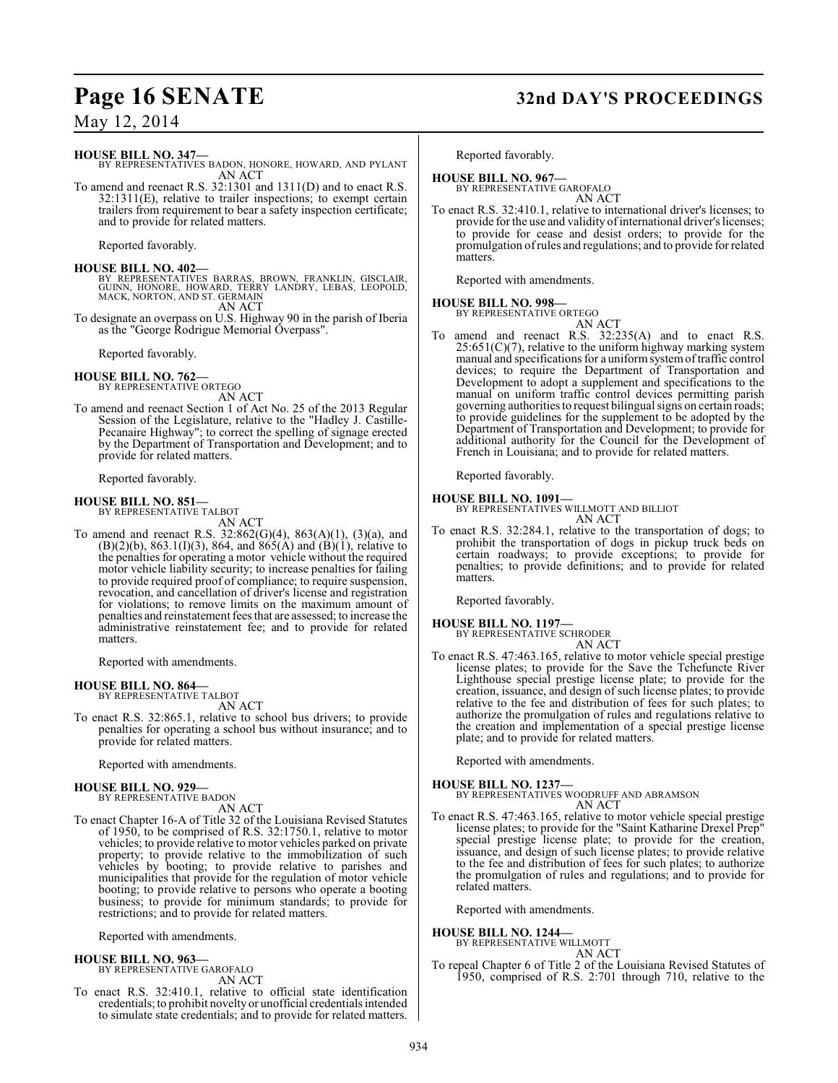## **Page 16 SENATE 32nd DAY'S PROCEEDINGS**

**HOUSE BILL NO. 347—** BY REPRESENTATIVES BADON, HONORE, HOWARD, AND PYLANT

AN ACT To amend and reenact R.S. 32:1301 and 1311(D) and to enact R.S. 32:1311(E), relative to trailer inspections; to exempt certain trailers from requirement to bear a safety inspection certificate; and to provide for related matters.

Reported favorably.

**HOUSE BILL NO. 402—** BY REPRESENTATIVES BARRAS, BROWN, FRANKLIN, GISCLAIR, GUINN, HONORE, HOWARD, TERRY LANDRY, LEBAS, LEOPOLD, MACK, NORTON, AND ST. GERMAIN AN ACT

To designate an overpass on U.S. Highway 90 in the parish of Iberia as the "George Rodrigue Memorial Overpass".

Reported favorably.

## **HOUSE BILL NO. 762—** BY REPRESENTATIVE ORTEGO

AN ACT

To amend and reenact Section 1 of Act No. 25 of the 2013 Regular Session of the Legislature, relative to the "Hadley J. Castille-Pecanaire Highway"; to correct the spelling of signage erected by the Department of Transportation and Development; and to provide for related matters.

Reported favorably.

### **HOUSE BILL NO. 851—**

BY REPRESENTATIVE TALBOT AN ACT

To amend and reenact R.S. 32:862(G)(4), 863(A)(1), (3)(a), and  $(B)(2)(b)$ , 863.1(I)(3), 864, and 865(A) and  $(B)(1)$ , relative to the penalties for operating a motor vehicle without the required motor vehicle liability security; to increase penalties for failing to provide required proof of compliance; to require suspension, revocation, and cancellation of driver's license and registration for violations; to remove limits on the maximum amount of penalties and reinstatement fees that are assessed; to increase the administrative reinstatement fee; and to provide for related matters.

Reported with amendments.

#### **HOUSE BILL NO. 864—**

BY REPRESENTATIVE TALBOT AN ACT

To enact R.S. 32:865.1, relative to school bus drivers; to provide penalties for operating a school bus without insurance; and to provide for related matters.

Reported with amendments.

#### **HOUSE BILL NO. 929—** BY REPRESENTATIVE BADON

AN ACT

To enact Chapter 16-A of Title 32 of the Louisiana Revised Statutes of 1950, to be comprised of R.S. 32:1750.1, relative to motor vehicles; to provide relative to motor vehicles parked on private property; to provide relative to the immobilization of such vehicles by booting; to provide relative to parishes and municipalities that provide for the regulation of motor vehicle booting; to provide relative to persons who operate a booting business; to provide for minimum standards; to provide for restrictions; and to provide for related matters.

Reported with amendments.

#### **HOUSE BILL NO. 963—** BY REPRESENTATIVE GAROFALO

AN ACT

To enact R.S. 32:410.1, relative to official state identification credentials; to prohibit novelty or unofficial credentials intended to simulate state credentials; and to provide for related matters. Reported favorably.

#### **HOUSE BILL NO. 967—** BY REPRESENTATIVE GAROFALO

AN ACT

To enact R.S. 32:410.1, relative to international driver's licenses; to provide for the use and validity of international driver's licenses; to provide for cease and desist orders; to provide for the promulgation of rules and regulations; and to provide for related matters.

Reported with amendments.

### **HOUSE BILL NO. 998—**

BY REPRESENTATIVE ORTEGO

AN ACT To amend and reenact R.S. 32:235(A) and to enact R.S. 25:651(C)(7), relative to the uniform highway marking system manual and specifications for a uniformsystemof traffic control devices; to require the Department of Transportation and Development to adopt a supplement and specifications to the manual on uniform traffic control devices permitting parish governing authorities to request bilingual signs on certain roads; to provide guidelines for the supplement to be adopted by the Department of Transportation and Development; to provide for additional authority for the Council for the Development of French in Louisiana; and to provide for related matters.

Reported favorably.

**HOUSE BILL NO. 1091—** BY REPRESENTATIVES WILLMOTT AND BILLIOT AN ACT

To enact R.S. 32:284.1, relative to the transportation of dogs; to prohibit the transportation of dogs in pickup truck beds on certain roadways; to provide exceptions; to provide for penalties; to provide definitions; and to provide for related matters.

Reported favorably.

**HOUSE BILL NO. 1197—**

BY REPRESENTATIVE SCHRODER AN ACT

To enact R.S. 47:463.165, relative to motor vehicle special prestige license plates; to provide for the Save the Tchefuncte River Lighthouse special prestige license plate; to provide for the creation, issuance, and design of such license plates; to provide relative to the fee and distribution of fees for such plates; to authorize the promulgation of rules and regulations relative to the creation and implementation of a special prestige license plate; and to provide for related matters.

Reported with amendments.

#### **HOUSE BILL NO. 1237—**

BY REPRESENTATIVES WOODRUFF AND ABRAMSON AN ACT

To enact R.S. 47:463.165, relative to motor vehicle special prestige license plates; to provide for the "Saint Katharine Drexel Prep" special prestige license plate; to provide for the creation, issuance, and design of such license plates; to provide relative to the fee and distribution of fees for such plates; to authorize the promulgation of rules and regulations; and to provide for related matters.

Reported with amendments.

#### **HOUSE BILL NO. 1244—**

BY REPRESENTATIVE WILLMOTT AN ACT

To repeal Chapter 6 of Title 2 of the Louisiana Revised Statutes of 1950, comprised of R.S. 2:701 through 710, relative to the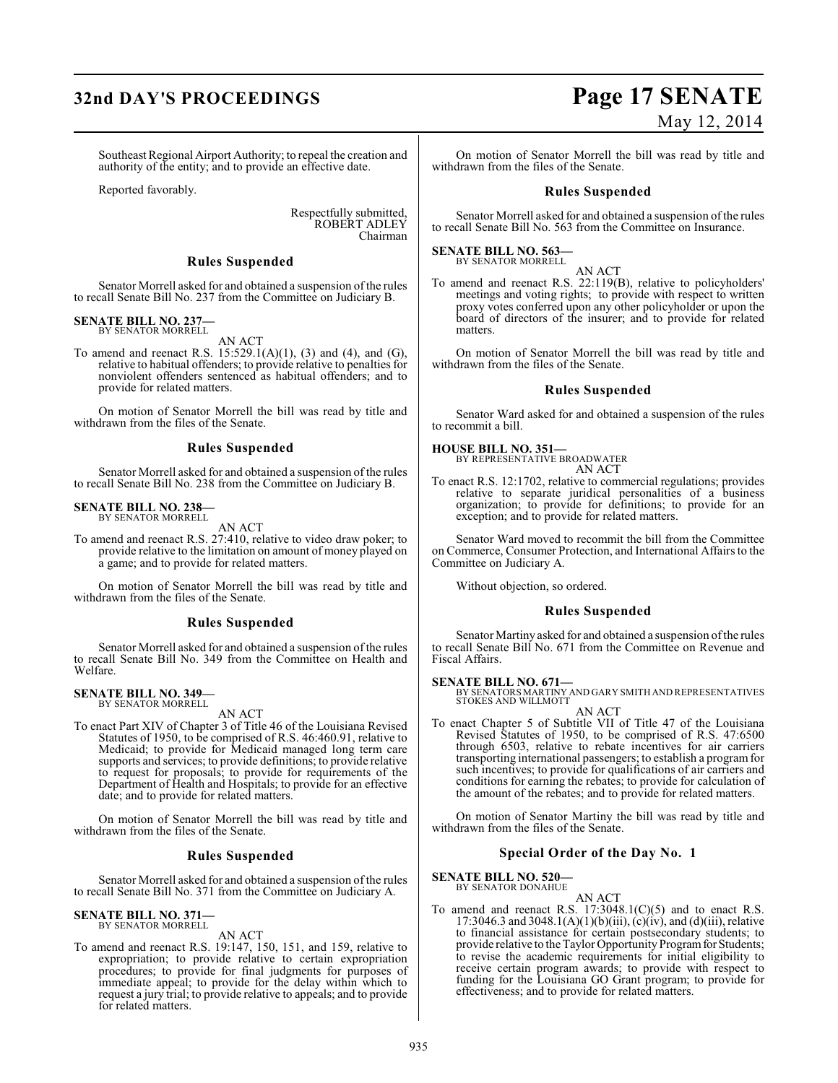## **32nd DAY'S PROCEEDINGS Page 17 SENATE**

Southeast Regional Airport Authority; to repeal the creation and authority of the entity; and to provide an effective date.

Reported favorably.

Respectfully submitted, ROBERT ADLEY Chairman

#### **Rules Suspended**

Senator Morrell asked for and obtained a suspension of the rules to recall Senate Bill No. 237 from the Committee on Judiciary B.

#### **SENATE BILL NO. 237—** BY SENATOR MORRELL

AN ACT

To amend and reenact R.S. 15:529.1(A)(1), (3) and (4), and (G), relative to habitual offenders; to provide relative to penalties for nonviolent offenders sentenced as habitual offenders; and to provide for related matters.

On motion of Senator Morrell the bill was read by title and withdrawn from the files of the Senate.

#### **Rules Suspended**

Senator Morrell asked for and obtained a suspension of the rules to recall Senate Bill No. 238 from the Committee on Judiciary B.

### **SENATE BILL NO. 238—** BY SENATOR MORRELL

AN ACT

To amend and reenact R.S. 27:410, relative to video draw poker; to provide relative to the limitation on amount of money played on a game; and to provide for related matters.

On motion of Senator Morrell the bill was read by title and withdrawn from the files of the Senate.

#### **Rules Suspended**

Senator Morrell asked for and obtained a suspension of the rules to recall Senate Bill No. 349 from the Committee on Health and Welfare.

#### **SENATE BILL NO. 349—** BY SENATOR MORRELL

AN ACT

To enact Part XIV of Chapter 3 of Title 46 of the Louisiana Revised Statutes of 1950, to be comprised of R.S. 46:460.91, relative to Medicaid; to provide for Medicaid managed long term care supports and services; to provide definitions; to provide relative to request for proposals; to provide for requirements of the Department of Health and Hospitals; to provide for an effective date; and to provide for related matters.

On motion of Senator Morrell the bill was read by title and withdrawn from the files of the Senate.

#### **Rules Suspended**

Senator Morrell asked for and obtained a suspension of the rules to recall Senate Bill No. 371 from the Committee on Judiciary A.

## **SENATE BILL NO. 371—** BY SENATOR MORRELL

AN ACT

To amend and reenact R.S. 19:147, 150, 151, and 159, relative to expropriation; to provide relative to certain expropriation procedures; to provide for final judgments for purposes of immediate appeal; to provide for the delay within which to request a jury trial; to provide relative to appeals; and to provide for related matters.

# May 12, 2014

On motion of Senator Morrell the bill was read by title and withdrawn from the files of the Senate.

#### **Rules Suspended**

Senator Morrell asked for and obtained a suspension of the rules to recall Senate Bill No. 563 from the Committee on Insurance.

**SENATE BILL NO. 563—** BY SENATOR MORRELL

AN ACT

To amend and reenact R.S. 22:119(B), relative to policyholders' meetings and voting rights; to provide with respect to written proxy votes conferred upon any other policyholder or upon the board of directors of the insurer; and to provide for related matters.

On motion of Senator Morrell the bill was read by title and withdrawn from the files of the Senate.

#### **Rules Suspended**

Senator Ward asked for and obtained a suspension of the rules to recommit a bill.

## **HOUSE BILL NO. 351—** BY REPRESENTATIVE BROADWATER

AN ACT

To enact R.S. 12:1702, relative to commercial regulations; provides relative to separate juridical personalities of a business organization; to provide for definitions; to provide for an exception; and to provide for related matters.

Senator Ward moved to recommit the bill from the Committee on Commerce, Consumer Protection, and International Affairs to the Committee on Judiciary A.

Without objection, so ordered.

#### **Rules Suspended**

Senator Martiny asked for and obtained a suspension of the rules to recall Senate Bill No. 671 from the Committee on Revenue and Fiscal Affairs.

**SENATE BILL NO. 671—**<br>BY SENATORS MARTINY AND GARY SMITH AND REPRESENTATIVES<br>STOKES AND WILLMOTT AN ACT

To enact Chapter 5 of Subtitle VII of Title 47 of the Louisiana Revised Statutes of 1950, to be comprised of R.S. 47:6500 through 6503, relative to rebate incentives for air carriers transporting international passengers; to establish a program for such incentives; to provide for qualifications of air carriers and conditions for earning the rebates; to provide for calculation of the amount of the rebates; and to provide for related matters.

On motion of Senator Martiny the bill was read by title and withdrawn from the files of the Senate.

#### **Special Order of the Day No. 1**

**SENATE BILL NO. 520—** BY SENATOR DONAHUE

AN ACT

To amend and reenact R.S.  $17:3048.1(C)(5)$  and to enact R.S. 17:3046.3 and 3048.1(A)(1)(b)(iii), (c)(iv), and (d)(iii), relative to financial assistance for certain postsecondary students; to provide relative to the Taylor Opportunity Program for Students; to revise the academic requirements for initial eligibility to receive certain program awards; to provide with respect to funding for the Louisiana GO Grant program; to provide for effectiveness; and to provide for related matters.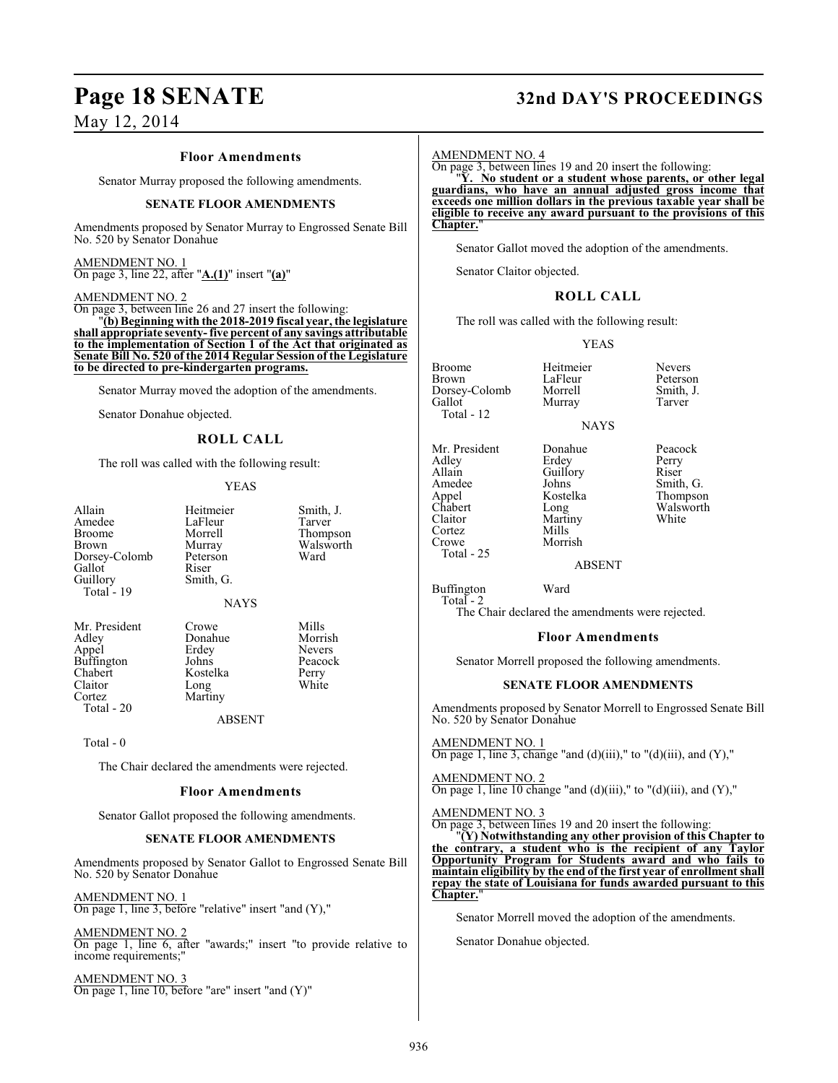#### **Floor Amendments**

Senator Murray proposed the following amendments.

#### **SENATE FLOOR AMENDMENTS**

Amendments proposed by Senator Murray to Engrossed Senate Bill No. 520 by Senator Donahue

#### AMENDMENT NO. 1 On page 3, line 22, after "**A.(1)**" insert "**(a)**"

#### AMENDMENT NO. 2

On page 3, between line 26 and 27 insert the following: "**(b) Beginning with the 2018-2019 fiscal year, the legislature shall appropriate seventy- five percent of any savings attributable to the implementation of Section 1 of the Act that originated as Senate Bill No. 520 of the 2014 Regular Session of the Legislature to be directed to pre-kindergarten programs.**

Senator Murray moved the adoption of the amendments.

Senator Donahue objected.

### **ROLL CALL**

The roll was called with the following result:

#### YEAS

Smith, J.<br>Tarver

Thompson Walsworth<br>Ward

| Allain<br>Amedee<br>Broome<br>Brown<br>Dorsey-Colomb<br>Gallot<br>Guillory<br>Total - 19 | Heitmeier<br>LaFleur<br>Morrell<br>Murray<br>Peterson<br>Riser<br>Smith, G.<br><b>NAYS</b> | Smith,<br>Tarver<br>Thomp<br>Walsw<br>Ward |
|------------------------------------------------------------------------------------------|--------------------------------------------------------------------------------------------|--------------------------------------------|
| $\mathbf{M}$ $\mathbf{D}$ $\mathbf{1}$                                                   |                                                                                            | <b>A</b> 4'11                              |

Claitor<br>Cortez Total - 20

Mr. President Crowe Mills<br>Adley Donahue Morrish Donahue Morrish<br>Erdey Nevers Appel Erdey Nevers Puffington Johns Peacock<br>Chabert Kostelka Perry Kostelka Perry<br>Long White Martiny

ABSENT

Total - 0

The Chair declared the amendments were rejected.

#### **Floor Amendments**

Senator Gallot proposed the following amendments.

#### **SENATE FLOOR AMENDMENTS**

Amendments proposed by Senator Gallot to Engrossed Senate Bill No. 520 by Senator Donahue

AMENDMENT NO. 1 On page 1, line 3, before "relative" insert "and (Y),"

AMENDMENT NO. 2 On page 1, line 6, after "awards;" insert "to provide relative to income requirements;"

AMENDMENT NO. 3 On page 1, line 10, before "are" insert "and (Y)"

### **Page 18 SENATE 32nd DAY'S PROCEEDINGS**

AMENDMENT NO. 4

On page 3, between lines 19 and 20 insert the following:

"**Y. No student or a student whose parents, or other legal guardians, who have an annual adjusted gross income that exceeds one million dollars in the previous taxable year shall be eligible to receive any award pursuant to the provisions of this Chapter.** 

Senator Gallot moved the adoption of the amendments.

Senator Claitor objected.

#### **ROLL CALL**

The roll was called with the following result:

Murray

#### YEAS

**NAYS** 

LaFleur Peterson<br>Morrell Smith, J.

Broome Heitmeier Nevers<br>Brown LaFleur Peterso Dorsey-Colomb Morrell Smith,<br>
Gallot Murray Tarver Total - 12

Mr. President Donahue Peacock<br>Adley Erdey Perry Adley Erdey Perry Allain Guillory<br>Amedee Johns Amedee Johns Smith, G.<br>Appel Kostelka Thompson Appel Kostelka Thompson Chabert Long Walsworth<br>Claitor Martiny White Cortez<br>Crowe Total - 25

Martiny<br>Mills Morrish

ABSENT

Buffington Ward Total - 2

The Chair declared the amendments were rejected.

#### **Floor Amendments**

Senator Morrell proposed the following amendments.

#### **SENATE FLOOR AMENDMENTS**

Amendments proposed by Senator Morrell to Engrossed Senate Bill No. 520 by Senator Donahue

AMENDMENT NO. 1 On page 1, line 3, change "and  $(d)(iii)$ ," to " $(d)(iii)$ , and  $(Y)$ ,"

#### AMENDMENT NO. 2

On page 1, line 10 change "and (d)(iii)," to "(d)(iii), and  $(Y)$ ,"

AMENDMENT NO. 3

On page 3, between lines 19 and 20 insert the following: "**(Y) Notwithstanding any other provision of this Chapter to the contrary, a student who is the recipient of any Taylor Opportunity Program for Students award and who fails to maintain eligibility by the end of the first year of enrollment shall repay the state of Louisiana for funds awarded pursuant to this Chapter.**"

Senator Morrell moved the adoption of the amendments.

Senator Donahue objected.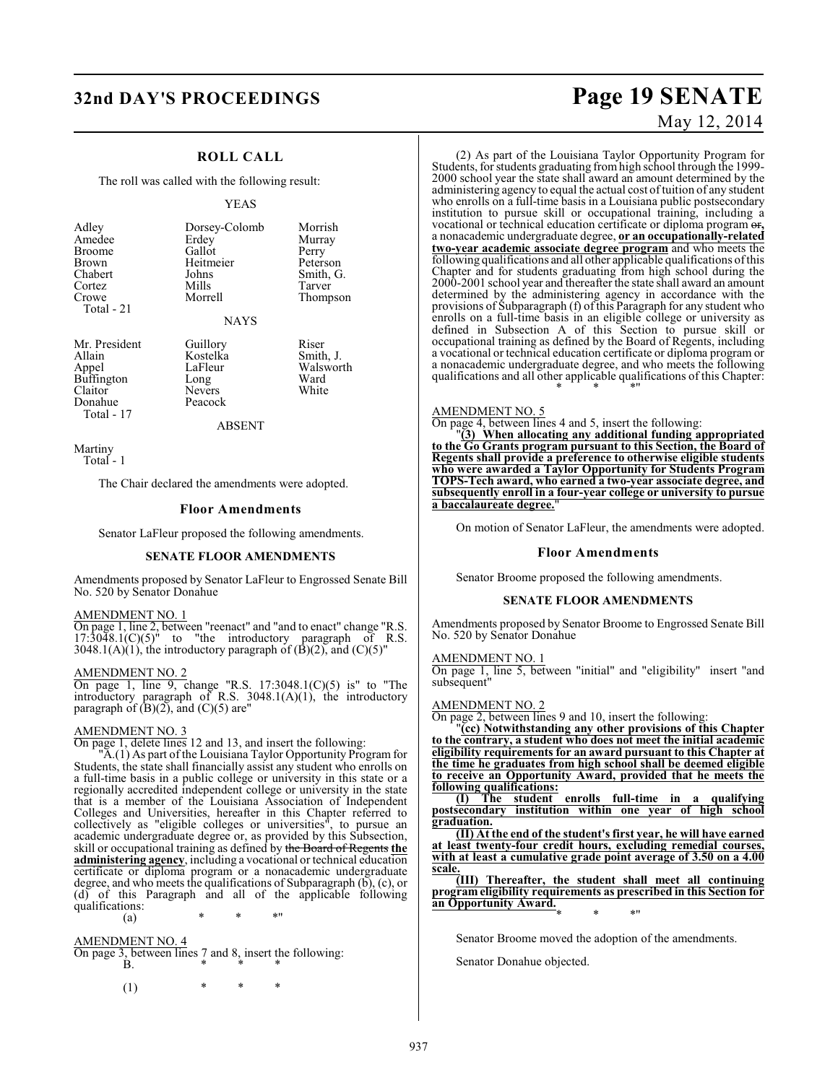### **32nd DAY'S PROCEEDINGS Page 19 SENATE**

### **ROLL CALL**

The roll was called with the following result:

#### YEAS

|                        |               | Morrish   |
|------------------------|---------------|-----------|
| Adley                  | Dorsey-Colomb |           |
| Amedee                 | Erdey         | Murray    |
| <b>Broome</b>          | Gallot        | Perry     |
| <b>Brown</b>           | Heitmeier     | Peterson  |
| Chabert                | Johns         | Smith, G. |
| Cortez                 | Mills         | Tarver    |
| Crowe                  | Morrell       | Thompson  |
| Total - 21             |               |           |
|                        | <b>NAYS</b>   |           |
| Mr. President          | Guillory      | Riser     |
| $\lambda$ 11 $\lambda$ | TZ 11.        | $C = 11$  |

Allain Kostelka Smith, J. Buffington Long Ward<br>Claitor Nevers White Donahue Total - 17

LaFleur Walsworth<br>
Long Ward Nevers<br>Peacock

ABSENT

Martiny Total - 1

The Chair declared the amendments were adopted.

#### **Floor Amendments**

Senator LaFleur proposed the following amendments.

#### **SENATE FLOOR AMENDMENTS**

Amendments proposed by Senator LaFleur to Engrossed Senate Bill No. 520 by Senator Donahue

#### AMENDMENT NO. 1

On page 1, line 2, between "reenact" and "and to enact" change "R.S.  $17:30\overline{4}8.1$ (C)(5)" to "the introductory paragraph of R.S. 3048.1(A)(1), the introductory paragraph of  $(\dot{B})(2)$ , and  $(C)(5)$ "

#### AMENDMENT NO. 2

On page 1, line 9, change "R.S. 17:3048.1(C)(5) is" to "The introductory paragraph of R.S. 3048.1(A)(1), the introductory paragraph of  $(B)(2)$ , and  $(C)(5)$  are"

#### AMENDMENT NO. 3

On page 1, delete lines 12 and 13, and insert the following:

"A.(1) As part of the Louisiana Taylor Opportunity Program for Students, the state shall financially assist any student who enrolls on a full-time basis in a public college or university in this state or a regionally accredited independent college or university in the state that is a member of the Louisiana Association of Independent Colleges and Universities, hereafter in this Chapter referred to collectively as "eligible colleges or universities", to pursue an academic undergraduate degree or, as provided by this Subsection, skill or occupational training as defined by the Board of Regents **the administering agency**, including a vocational or technical education certificate or diploma program or a nonacademic undergraduate degree, and who meets the qualifications of Subparagraph (b), (c), or (d) of this Paragraph and all of the applicable following qualifications:

(a) \* \* \*"

### AMENDMENT NO. 4

On page 3, between lines 7 and 8, insert the following: B. \* \* \*

(1) \* \* \*

# May 12, 2014

(2) As part of the Louisiana Taylor Opportunity Program for Students, for students graduating from high school through the 1999- 2000 school year the state shall award an amount determined by the administering agency to equal the actual cost of tuition of any student who enrolls on a full-time basis in a Louisiana public postsecondary institution to pursue skill or occupational training, including a vocational or technical education certificate or diploma program or**,** a nonacademic undergraduate degree, **or an occupationally-related two-year academic associate degree program** and who meets the following qualifications and all other applicable qualifications of this Chapter and for students graduating from high school during the 2000-2001 school year and thereafter the state shall award an amount determined by the administering agency in accordance with the provisions of Subparagraph (f) of this Paragraph for any student who enrolls on a full-time basis in an eligible college or university as defined in Subsection A of this Section to pursue skill or occupational training as defined by the Board of Regents, including a vocational or technical education certificate or diploma program or a nonacademic undergraduate degree, and who meets the following qualifications and all other applicable qualifications of this Chapter: \* \* \*"

#### AMENDMENT NO. 5

On page 4, between lines 4 and 5, insert the following:

"**(3) When allocating any additional funding appropriated to the Go Grants program pursuant to this Section, the Board of Regents shall provide a preference to otherwise eligible students who were awarded a Taylor Opportunity for Students Program TOPS-Tech award, who earned a two-year associate degree, and subsequently enroll in a four-year college or university to pursue a baccalaureate degree.**"

On motion of Senator LaFleur, the amendments were adopted.

#### **Floor Amendments**

Senator Broome proposed the following amendments.

#### **SENATE FLOOR AMENDMENTS**

Amendments proposed by Senator Broome to Engrossed Senate Bill No. 520 by Senator Donahue

#### AMENDMENT NO. 1

On page 1, line 5, between "initial" and "eligibility" insert "and subsequent"

#### AMENDMENT NO. 2

On page 2, between lines 9 and 10, insert the following:

"**(cc) Notwithstanding any other provisions of this Chapter to the contrary, a student who does not meet the initial academic eligibility requirements for an award pursuant to this Chapter at the time he graduates from high school shall be deemed eligible to receive an Opportunity Award, provided that he meets the following qualifications:**

**(I) The student enrolls full-time in a qualifying postsecondary institution within one year of high school graduation.**

**(II) At the end of the student's first year, he will have earned at least twenty-four credit hours, excluding remedial courses, with at least a cumulative grade point average of 3.50 on a 4.00 scale.**

**(III) Thereafter, the student shall meet all continuing program eligibility requirements as prescribed in this Section for an Opportunity Award.** \* \* \*"

Senator Broome moved the adoption of the amendments.

Senator Donahue objected.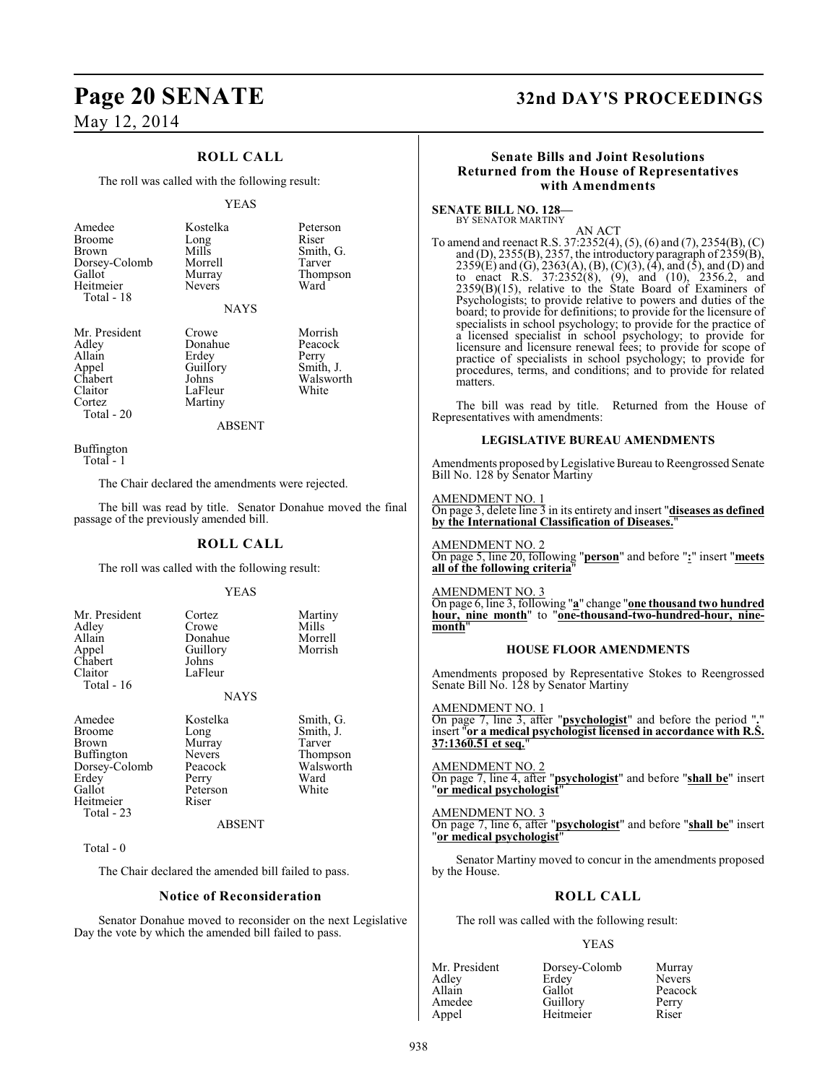### **ROLL CALL**

The roll was called with the following result:

#### YEAS

| Smith, G. |
|-----------|
|           |
| Thompson  |
|           |
|           |
|           |
|           |
|           |
|           |
|           |

Chabert Johns Walsworth<br>Claitor LaFleur White Claitor LaFleur<br>Cortez Martiny Total - 20

Appel Guillory Smith, J.<br>Chabert Johns Walswor Martiny

ABSENT

Buffington Total - 1

The Chair declared the amendments were rejected.

The bill was read by title. Senator Donahue moved the final passage of the previously amended bill.

#### **ROLL CALL**

The roll was called with the following result:

#### YEAS

| Mr. President<br>Adley<br>Allain<br>Appel<br>Chabert<br>Claitor<br>Total - 16 | Cortez<br>Crowe<br>Donahue<br>Guillory<br>Johns<br>LaFleur | Martiny<br>Mills<br>Morrell<br>Morrish |
|-------------------------------------------------------------------------------|------------------------------------------------------------|----------------------------------------|
|                                                                               | <b>NAYS</b>                                                |                                        |
|                                                                               |                                                            |                                        |
| Amedee<br><b>Broome</b>                                                       | Kostelka<br>Long                                           | Smith, G.<br>Smith, J.                 |
| <b>Brown</b>                                                                  | Murray                                                     | Tarver                                 |
| Buffington                                                                    | <b>Nevers</b>                                              | Thompson                               |
| Dorsey-Colomb                                                                 | Peacock                                                    | Walsworth                              |
| Erdey                                                                         | Perry                                                      | Ward                                   |
| Gallot                                                                        | Peterson                                                   | White                                  |
| Heitmeier                                                                     | Riser                                                      |                                        |

 Total - 23 Total - 0

Heitmeier

The Chair declared the amended bill failed to pass.

#### **Notice of Reconsideration**

ABSENT

Senator Donahue moved to reconsider on the next Legislative Day the vote by which the amended bill failed to pass.

### **Page 20 SENATE 32nd DAY'S PROCEEDINGS**

### **Senate Bills and Joint Resolutions Returned from the House of Representatives with Amendments**

**SENATE BILL NO. 128—** BY SENATOR MARTINY

AN ACT

To amend and reenact R.S. 37:2352(4), (5), (6) and (7), 2354(B), (C) and (D), 2355(B), 2357, the introductory paragraph of 2359(B), 2359(E) and (G), 2363(A), (B), (C)(3), (4), and (5), and (D) and to enact R.S. 37:2352(8), (9), and (10), 2356.2, and 2359(B)(15), relative to the State Board of Examiners of Psychologists; to provide relative to powers and duties of the board; to provide for definitions; to provide for the licensure of specialists in school psychology; to provide for the practice of a licensed specialist in school psychology; to provide for licensure and licensure renewal fees; to provide for scope of practice of specialists in school psychology; to provide for procedures, terms, and conditions; and to provide for related matters.

The bill was read by title. Returned from the House of Representatives with amendments:

#### **LEGISLATIVE BUREAU AMENDMENTS**

Amendments proposed byLegislative Bureau to Reengrossed Senate Bill No. 128 by Senator Martiny

AMENDMENT NO. 1 On page 3, delete line 3 in its entirety and insert "**diseases as defined by the International Classification of Diseases.**"

#### AMENDMENT NO. 2 On page 5, line 20, following "**person**" and before "**:**" insert "**meets all of the following criteria**"

AMENDMENT NO. 3 On page 6, line 3, following "**a**" change "**one thousand two hundred hour, nine month**" to "**one-thousand-two-hundred-hour, ninemonth**"

#### **HOUSE FLOOR AMENDMENTS**

Amendments proposed by Representative Stokes to Reengrossed Senate Bill No. 128 by Senator Martiny

AMENDMENT NO. 1

On page 7, line 3, after "**psychologist**" and before the period "**.**" insert "**or a medical psychologist licensed in accordance with R.S. 37:1360.51 et seq.**"

AMENDMENT NO. 2 On page 7, line 4, after "**psychologist**" and before "**shall be**" insert "**or medical psychologist**"

AMENDMENT NO. 3 On page 7, line 6, after "**psychologist**" and before "**shall be**" insert "**or medical psychologist**"

Senator Martiny moved to concur in the amendments proposed by the House.

### **ROLL CALL**

The roll was called with the following result:

#### YEAS

| Mr. President | Dorsey-Colomb | Murray        |
|---------------|---------------|---------------|
| Adley         | Erdey         | <b>Nevers</b> |
| Allain        | Gallot        | Peacock       |
| Amedee        | Guillory      | Perry         |
| Appel         | Heitmeier     | Riser         |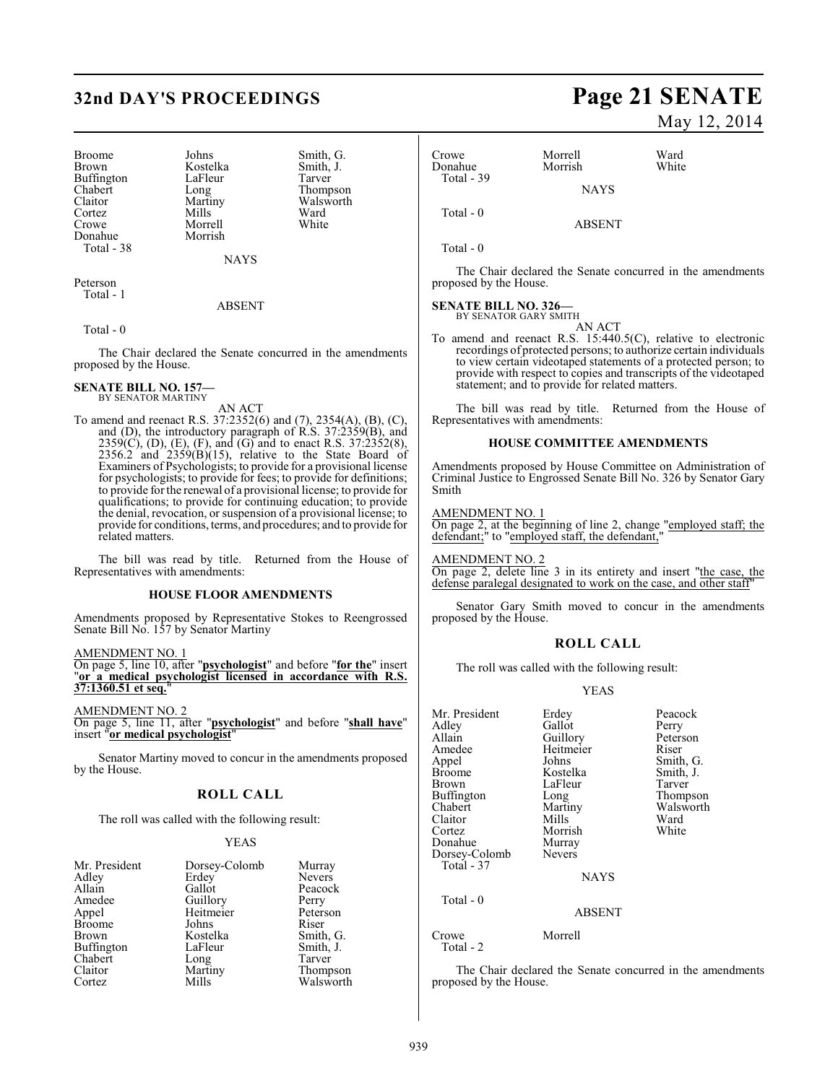## **32nd DAY'S PROCEEDINGS Page 21 SENATE**

Broome Johns Smith, G.<br>Brown Kostelka Smith, J. Buffington LaFle<br>Chabert Long Chabert Long Thompson<br>Claitor Martiny Walsworth Cortez Mills Ward<br>Crowe Morrell White Donahue Morrish Total - 38

Kostelka Smith,<br>LaFleur Tarver Martiny Walsworth<br>
Mills Ward Morrell

NAYS

Peterson Total - 1

#### ABSENT

Total - 0

The Chair declared the Senate concurred in the amendments proposed by the House.

### **SENATE BILL NO. 157—** BY SENATOR MARTINY

AN ACT

To amend and reenact R.S. 37:2352(6) and (7), 2354(A), (B), (C), and (D), the introductory paragraph of R.S. 37:2359(B), and  $2359(C)$ , (D), (E), (F), and (G) and to enact R.S.  $37:2352(8)$ ,  $2356.2$  and  $2359(B)(15)$ , relative to the State Board of Examiners of Psychologists; to provide for a provisional license for psychologists; to provide for fees; to provide for definitions; to provide for the renewal of a provisional license; to provide for qualifications; to provide for continuing education; to provide the denial, revocation, or suspension of a provisional license; to provide for conditions, terms, and procedures; and to provide for related matters.

The bill was read by title. Returned from the House of Representatives with amendments:

#### **HOUSE FLOOR AMENDMENTS**

Amendments proposed by Representative Stokes to Reengrossed Senate Bill No. 157 by Senator Martiny

AMENDMENT NO. 1

On page 5, line 10, after "**psychologist**" and before "**for the**" insert "**or a medical psychologist licensed in accordance with R.S. 37:1360.51 et seq.**"

AMENDMENT NO. 2

On page 5, line 11, after "**psychologist**" and before "**shall have**" insert "**or medical psychologist**"

Senator Martiny moved to concur in the amendments proposed by the House.

#### **ROLL CALL**

The roll was called with the following result:

#### YEAS

| Mr. President | Dorsey-Colomb | Murray        |
|---------------|---------------|---------------|
| Adley         | Erdey         | <b>Nevers</b> |
| Allain        | Gallot        | Peacock       |
| Amedee        | Guillory      | Perry         |
| Appel         | Heitmeier     | Peterson      |
| <b>Broome</b> | Johns         | Riser         |
| <b>Brown</b>  | Kostelka      | Smith, G.     |
| Buffington    | LaFleur       | Smith, J.     |
| Chabert       | Long          | Tarver        |
| Claitor       | Martiny       | Thompson      |
| Cortez        | Mills         | Walsworth     |

May 12, 2014

| Crowe<br>Donahue<br>Total - 39 | Morrell<br>Morrish | Ward<br>White |
|--------------------------------|--------------------|---------------|
|                                | <b>NAYS</b>        |               |
| Total $-0$                     | ARSENT             |               |

Total - 0

The Chair declared the Senate concurred in the amendments proposed by the House.

#### **SENATE BILL NO. 326—** BY SENATOR GARY SMITH

AN ACT

To amend and reenact R.S. 15:440.5(C), relative to electronic recordings of protected persons; to authorize certain individuals to view certain videotaped statements of a protected person; to provide with respect to copies and transcripts of the videotaped statement; and to provide for related matters.

The bill was read by title. Returned from the House of Representatives with amendments:

#### **HOUSE COMMITTEE AMENDMENTS**

Amendments proposed by House Committee on Administration of Criminal Justice to Engrossed Senate Bill No. 326 by Senator Gary Smith

AMENDMENT NO. 1

On page 2, at the beginning of line 2, change "employed staff; the defendant;" to "employed staff, the defendant,"

AMENDMENT NO. 2 On page 2, delete line 3 in its entirety and insert "the case, the defense paralegal designated to work on the case, and other staff"

Senator Gary Smith moved to concur in the amendments proposed by the House.

#### **ROLL CALL**

The roll was called with the following result:

#### YEAS

| Mr. President<br>Adley<br>Allain<br>Amedee<br>Appel<br><b>Broome</b><br>Brown<br>Buffington<br>Chabert<br>Claitor<br>Cortez<br>Donahue<br>Dorsey-Colomb<br>Total - 37 | Erdey<br>Gallot<br>Guillory<br>Heitmeier<br>Johns<br>Kostelka<br>LaFleur<br>Long<br>Martiny<br>Mills<br>Morrish<br>Murray<br><b>Nevers</b><br><b>NAYS</b> | Peacock<br>Perry<br>Peterson<br>Riser<br>Smith, G.<br>Smith, J.<br>Tarver<br>Thompson<br>Walsworth<br>Ward<br>White |
|-----------------------------------------------------------------------------------------------------------------------------------------------------------------------|-----------------------------------------------------------------------------------------------------------------------------------------------------------|---------------------------------------------------------------------------------------------------------------------|
| Total - 0                                                                                                                                                             | ABSENT                                                                                                                                                    |                                                                                                                     |
| Crowe<br>Total - 2                                                                                                                                                    | Morrell                                                                                                                                                   |                                                                                                                     |

The Chair declared the Senate concurred in the amendments proposed by the House.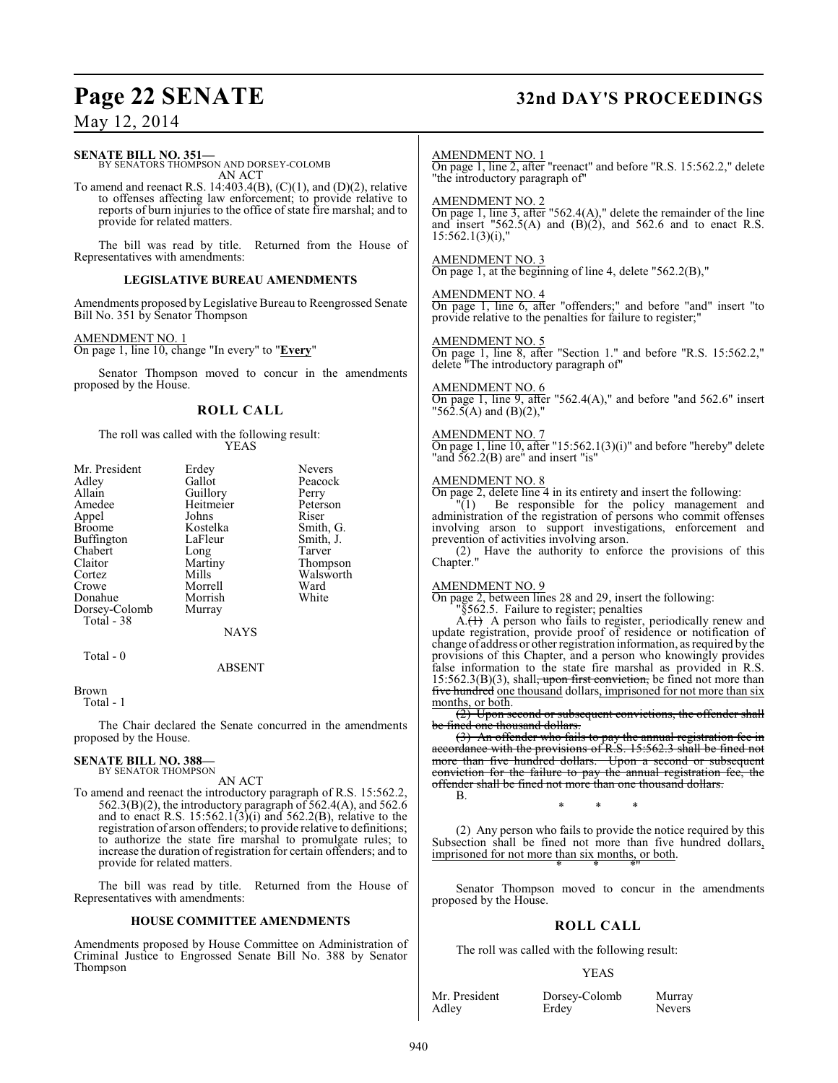## **Page 22 SENATE 32nd DAY'S PROCEEDINGS**

### May 12, 2014

**SENATE BILL NO. 351—** BY SENATORS THOMPSON AND DORSEY-COLOMB AN ACT To amend and reenact R.S. 14:403.4(B),  $(C)(1)$ , and  $(D)(2)$ , relative to offenses affecting law enforcement; to provide relative to

reports of burn injuries to the office of state fire marshal; and to provide for related matters.

The bill was read by title. Returned from the House of Representatives with amendments:

#### **LEGISLATIVE BUREAU AMENDMENTS**

Amendments proposed by Legislative Bureau to Reengrossed Senate Bill No. 351 by Senator Thompson

#### AMENDMENT NO. 1

On page 1, line 10, change "In every" to "**Every**"

Senator Thompson moved to concur in the amendments proposed by the House.

### **ROLL CALL**

The roll was called with the following result: YEAS

| Mr. President<br>Adley<br>Allain<br>Amedee<br>Appel<br><b>Broome</b><br>Buffington<br>Chabert<br>Claitor<br>Cortez | Erdey<br>Gallot<br>Guillory<br>Heitmeier<br>Johns<br>Kostelka<br>LaFleur<br>Long<br>Martiny<br>Mills | <b>Nevers</b><br>Peacock<br>Perry<br>Peterson<br>Riser<br>Smith, G.<br>Smith, J.<br>Tarver<br>Thompson<br>Walsworth |
|--------------------------------------------------------------------------------------------------------------------|------------------------------------------------------------------------------------------------------|---------------------------------------------------------------------------------------------------------------------|
| Crowe                                                                                                              | Morrell                                                                                              | Ward                                                                                                                |
| Donahue                                                                                                            | Morrish                                                                                              | White                                                                                                               |
| Dorsey-Colomb<br>Total - 38                                                                                        | Murray                                                                                               |                                                                                                                     |
|                                                                                                                    | <b>NAYS</b>                                                                                          |                                                                                                                     |
| Total - 0                                                                                                          |                                                                                                      |                                                                                                                     |

#### ABSENT

Brown

Total - 1

The Chair declared the Senate concurred in the amendments proposed by the House.

#### **SENATE BILL NO. 388—** BY SENATOR THOMPSON

AN ACT

To amend and reenact the introductory paragraph of R.S. 15:562.2,  $562.3(B)(2)$ , the introductory paragraph of  $562.4(A)$ , and  $562.6$ and to enact R.S.  $15:562.1(3)(i)$  and  $562.2(B)$ , relative to the registration of arson offenders; to provide relative to definitions; to authorize the state fire marshal to promulgate rules; to increase the duration of registration for certain offenders; and to provide for related matters.

The bill was read by title. Returned from the House of Representatives with amendments:

#### **HOUSE COMMITTEE AMENDMENTS**

Amendments proposed by House Committee on Administration of Criminal Justice to Engrossed Senate Bill No. 388 by Senator Thompson

#### AMENDMENT NO. 1

On page 1, line 2, after "reenact" and before "R.S. 15:562.2," delete "the introductory paragraph of"

#### AMENDMENT NO. 2

On page 1, line 3, after "562.4(A)," delete the remainder of the line and insert "562.5(A) and  $(B)(2)$ , and 562.6 and to enact R.S.  $15:562.1(3)(i)$ ,

#### AMENDMENT NO. 3

On page 1, at the beginning of line 4, delete "562.2(B),"

#### AMENDMENT NO. 4

On page 1, line 6, after "offenders;" and before "and" insert "to provide relative to the penalties for failure to register;"

#### AMENDMENT NO. 5

On page 1, line 8, after "Section 1." and before "R.S. 15:562.2," delete "The introductory paragraph of"

#### AMENDMENT NO. 6

On page 1, line 9, after "562.4(A)," and before "and 562.6" insert "562.5(A) and (B)(2),"

### AMENDMENT NO. 7

On page 1, line 10, after "15:562.1(3)(i)" and before "hereby" delete "and  $562.2(B)$  are" and insert "is"

#### AMENDMENT NO. 8

On page 2, delete line 4 in its entirety and insert the following: "(1) Be responsible for the policy management and administration of the registration of persons who commit offenses involving arson to support investigations, enforcement and prevention of activities involving arson.

(2) Have the authority to enforce the provisions of this Chapter."

#### AMENDMENT NO. 9

On page 2, between lines 28 and 29, insert the following:

"§562.5. Failure to register; penalties  $A<sub>i</sub>(1)$  A person who fails to register, periodically renew and update registration, provide proof of residence or notification of

change of address or other registration information, as required by the provisions of this Chapter, and a person who knowingly provides false information to the state fire marshal as provided in R.S.  $15:562.3(B)(3)$ , shall<del>, upon first conviction,</del> be fined not more than five hundred one thousand dollars, imprisoned for not more than six months, or both.

(2) Upon second or subsequent convictions, the offender shall be fined one thousand dollars.

(3) An offender who fails to pay the annual registration fee in accordance with the provisions of R.S. 15:562.3 shall be fined not more than five hundred dollars. Upon a second or subsequent conviction for the failure to pay the annual registration fee, the offender shall be fined not more than one thousand dollars. B.

\* \* \*

(2) Any person who fails to provide the notice required by this Subsection shall be fined not more than five hundred dollars, imprisoned for not more than six months, or both. \* \* \*"

Senator Thompson moved to concur in the amendments proposed by the House.

### **ROLL CALL**

The roll was called with the following result:

#### YEAS

Adley Erdey

Mr. President Dorsey-Colomb Murray<br>Adley Erdev Nevers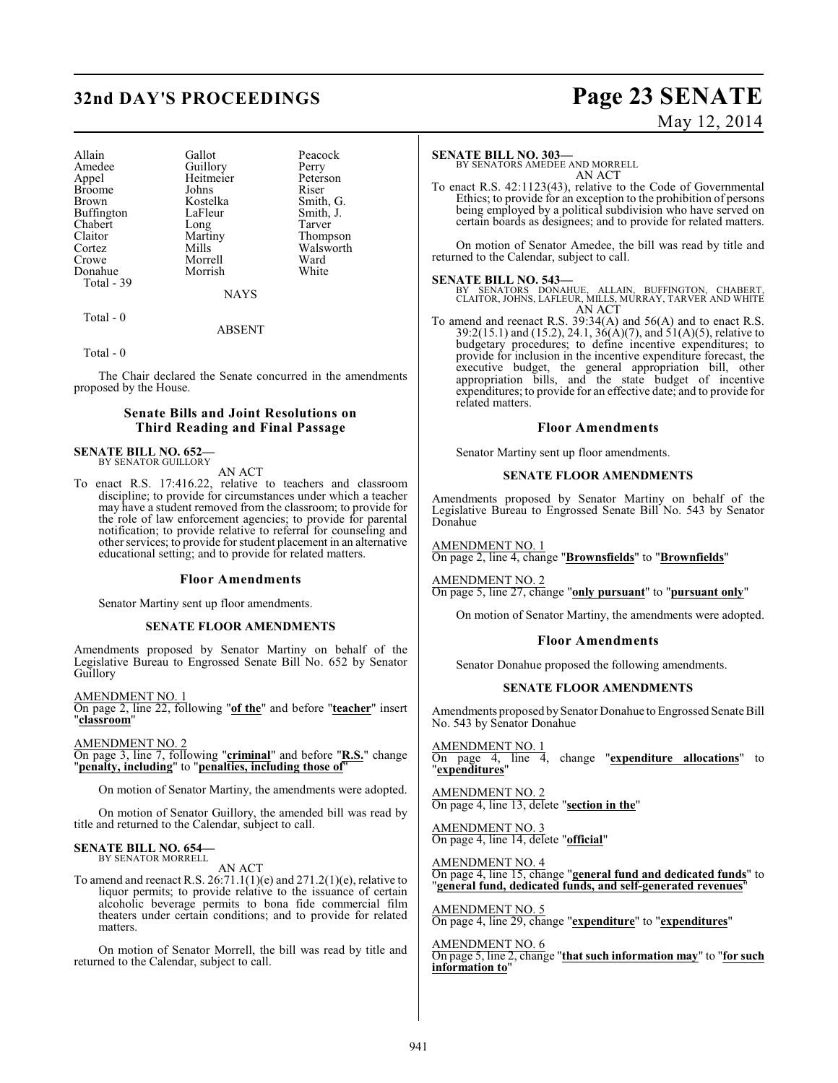## **32nd DAY'S PROCEEDINGS Page 23 SENATE**

| Allain     | Gallot    | Peacock   |
|------------|-----------|-----------|
| Amedee     | Guillory  | Perry     |
| Appel      | Heitmeier | Peterson  |
| Broome     | Johns     | Riser     |
| Brown      | Kostelka  | Smith, G. |
| Buffington | LaFleur   | Smith, J. |
| Chabert    | Long      | Tarver    |
| Claitor    | Martiny   | Thompson  |
| Cortez     | Mills     | Walsworth |
| Crowe      | Morrell   | Ward      |
| Donahue    | Morrish   | White     |
| Total - 39 |           |           |
|            |           |           |

**NAYS** 

#### ABSENT

Total - 0

Total - 0

The Chair declared the Senate concurred in the amendments proposed by the House.

### **Senate Bills and Joint Resolutions on Third Reading and Final Passage**

#### **SENATE BILL NO. 652—** BY SENATOR GUILLORY

AN ACT

To enact R.S. 17:416.22, relative to teachers and classroom discipline; to provide for circumstances under which a teacher may have a student removed from the classroom; to provide for the role of law enforcement agencies; to provide for parental notification; to provide relative to referral for counseling and other services; to provide for student placement in an alternative educational setting; and to provide for related matters.

#### **Floor Amendments**

Senator Martiny sent up floor amendments.

#### **SENATE FLOOR AMENDMENTS**

Amendments proposed by Senator Martiny on behalf of the Legislative Bureau to Engrossed Senate Bill No. 652 by Senator Guillory

AMENDMENT NO. 1 On page 2, line 22, following "**of the**" and before "**teacher**" insert "**classroom**"

AMENDMENT NO. 2

On page 3, line 7, following "**criminal**" and before "**R.S.**" change "**penalty, including**" to "**penalties, including those of**"

On motion of Senator Martiny, the amendments were adopted.

On motion of Senator Guillory, the amended bill was read by title and returned to the Calendar, subject to call.

#### **SENATE BILL NO. 654—** BY SENATOR MORRELL

AN ACT

To amend and reenact R.S.  $26:71.1(1)(e)$  and  $271.2(1)(e)$ , relative to liquor permits; to provide relative to the issuance of certain alcoholic beverage permits to bona fide commercial film theaters under certain conditions; and to provide for related matters.

On motion of Senator Morrell, the bill was read by title and returned to the Calendar, subject to call.

# May 12, 2014

#### **SENATE BILL NO. 303—**

BY SENATORS AMEDEE AND MORRELL AN ACT

To enact R.S. 42:1123(43), relative to the Code of Governmental Ethics; to provide for an exception to the prohibition of persons being employed by a political subdivision who have served on certain boards as designees; and to provide for related matters.

On motion of Senator Amedee, the bill was read by title and returned to the Calendar, subject to call.

**SENATE BILL NO. 543—**<br>BY SENATORS DONAHUE, ALLAIN, BUFFINGTON, CHABERT, CLAITOR, JOHNS, LAFLEUR, MILLS, MURRAY, TARVER AND WHITE AN ACT

To amend and reenact R.S. 39:34(A) and 56(A) and to enact R.S. 39:2(15.1) and (15.2), 24.1, 36(A)(7), and  $51(A)(5)$ , relative to budgetary procedures; to define incentive expenditures; to provide for inclusion in the incentive expenditure forecast, the executive budget, the general appropriation bill, other appropriation bills, and the state budget of incentive expenditures; to provide for an effective date; and to provide for related matters.

#### **Floor Amendments**

Senator Martiny sent up floor amendments.

#### **SENATE FLOOR AMENDMENTS**

Amendments proposed by Senator Martiny on behalf of the Legislative Bureau to Engrossed Senate Bill No. 543 by Senator Donahue

### AMENDMENT NO. 1

On page 2, line 4, change "**Brownsfields**" to "**Brownfields**"

### AMENDMENT NO. 2

On page 5, line 27, change "**only pursuant**" to "**pursuant only**"

On motion of Senator Martiny, the amendments were adopted.

#### **Floor Amendments**

Senator Donahue proposed the following amendments.

#### **SENATE FLOOR AMENDMENTS**

Amendments proposed by Senator Donahue to Engrossed Senate Bill No. 543 by Senator Donahue

AMENDMENT NO. 1 On page 4, line 4, change "**expenditure allocations**" to "**expenditures**"

AMENDMENT NO. 2 On page 4, line 13, delete "**section in the**"

AMENDMENT NO. 3 On page 4, line 14, delete "**official**"

AMENDMENT NO. 4 On page 4, line 15, change "**general fund and dedicated funds**" to "**general fund, dedicated funds, and self-generated revenues**"

AMENDMENT NO. 5 On page 4, line 29, change "**expenditure**" to "**expenditures**"

AMENDMENT NO. 6 On page 5, line 2, change "**that such information may**" to "**for such information to**"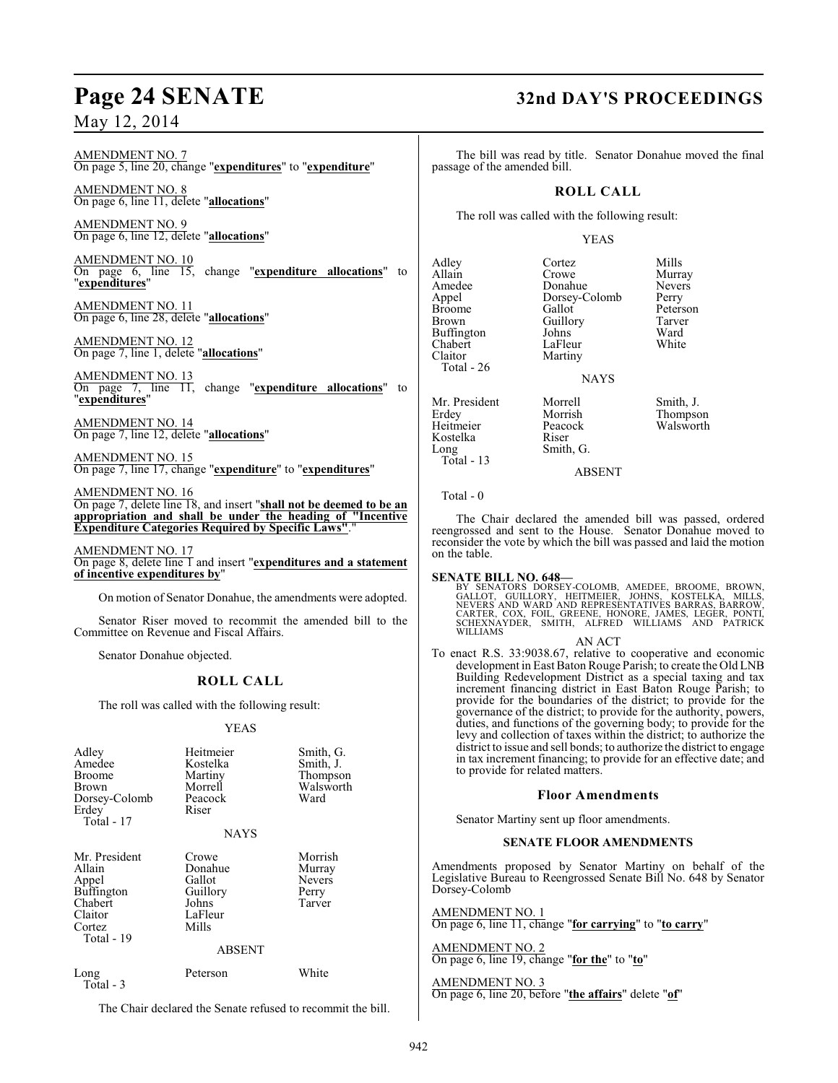#### AMENDMENT NO. 7 On page 5, line 20, change "**expenditures**" to "**expenditure**"

AMENDMENT NO. 8 On page 6, line 11, delete "**allocations**"

AMENDMENT NO. 9 On page 6, line 12, delete "**allocations**"

AMENDMENT NO. 10 On page 6, line 15, change "**expenditure allocations**" to "**expenditures**"

AMENDMENT NO. 11 On page 6, line 28, delete "**allocations**"

AMENDMENT NO. 12 On page 7, line 1, delete "**allocations**"

AMENDMENT NO. 13 On page 7, line 11, change "**expenditure allocations**" to "**expenditures**"

AMENDMENT NO. 14 On page 7, line 12, delete "**allocations**"

AMENDMENT NO. 15 On page 7, line 17, change "**expenditure**" to "**expenditures**"

### AMENDMENT NO. 16

On page 7, delete line 18, and insert "**shall not be deemed to be an appropriation and shall be under the heading of "Incentive Expenditure Categories Required by Specific Laws"**."

#### AMENDMENT NO. 17

On page 8, delete line 1 and insert "**expenditures and a statement of incentive expenditures by**"

On motion of Senator Donahue, the amendments were adopted.

Senator Riser moved to recommit the amended bill to the Committee on Revenue and Fiscal Affairs.

Senator Donahue objected.

### **ROLL CALL**

The roll was called with the following result:

#### YEAS

| Adley<br>Amedee<br><b>Broome</b><br>Brown<br>Dorsey-Colomb<br>Erdey<br>Total - 17                   | Heitmeier<br>Kostelka<br>Martiny<br>Morrell<br>Peacock<br>Riser<br><b>NAYS</b> | Smith, G.<br>Smith, J.<br>Thompson<br>Walsworth<br>Ward |
|-----------------------------------------------------------------------------------------------------|--------------------------------------------------------------------------------|---------------------------------------------------------|
| Mr. President<br>Allain<br>Appel<br><b>Buffington</b><br>Chabert<br>Claitor<br>Cortez<br>Total - 19 | Crowe<br>Donahue<br>Gallot<br>Guillory<br>Johns<br>LaFleur<br>Mills<br>ABSENT  | Morrish<br>Murray<br><b>Nevers</b><br>Perry<br>Tarver   |
| Long<br>Total - 3                                                                                   | Peterson                                                                       | White                                                   |

The Chair declared the Senate refused to recommit the bill.

### **Page 24 SENATE 32nd DAY'S PROCEEDINGS**

The bill was read by title. Senator Donahue moved the final passage of the amended bill.

### **ROLL CALL**

The roll was called with the following result:

#### YEAS

Adley Cortez Mills<br>Allain Crowe Murra Allain Crowe Murray<br>
Amedee Donahue Nevers Amedee Donahue Never<br>
Appel Dorsey-Colomb Perry Appel Dorsey-Colomb<br>Broome Gallot Broome Gallot Peterson<br>Brown Guillory Tarver Buffington Johns Ward<br>Chabert LaFleur White Chabert LaFleur<br>Claitor Martiny Total - 26

Martiny

Guillory Tarve<br>Johns Ward

### NAYS

Smith, G.

Mr. President Morrell Smith, J.<br>
Erdey Morrish Thompsc Heitmeier Peaco<br>Kostelka Riser Kostelka<br>Long Total - 13

Morrish Thompson<br>Peacock Walsworth

Total - 0

The Chair declared the amended bill was passed, ordered reengrossed and sent to the House. Senator Donahue moved to reconsider the vote by which the bill was passed and laid the motion on the table.

ABSENT

#### **SENATE BILL NO. 648—**

BY SENATORS DORSEY-COLOMB, AMEDEE, BROOME, BROWN,<br>GALLOT, GUILLORY, HEITMEIER, JOHNS, KOSTELKA, MILLS,<br>NEVERS AND WARD AND REPRESENTATIVES BARRAS, BARROW,<br>CARTER, COX, FOIL, GREENE, HONORE, JAMES, LEGER, PONTI,<br>SCHEXNAYDER WILLIAMS

#### AN ACT

To enact R.S. 33:9038.67, relative to cooperative and economic development in East Baton Rouge Parish; to create the Old LNB Building Redevelopment District as a special taxing and tax increment financing district in East Baton Rouge Parish; to provide for the boundaries of the district; to provide for the governance of the district; to provide for the authority, powers, duties, and functions of the governing body; to provide for the levy and collection of taxes within the district; to authorize the district to issue and sell bonds; to authorize the district to engage in tax increment financing; to provide for an effective date; and to provide for related matters.

#### **Floor Amendments**

Senator Martiny sent up floor amendments.

#### **SENATE FLOOR AMENDMENTS**

Amendments proposed by Senator Martiny on behalf of the Legislative Bureau to Reengrossed Senate Bill No. 648 by Senator Dorsey-Colomb

AMENDMENT NO. 1 On page 6, line 11, change "**for carrying**" to "**to carry**"

### AMENDMENT NO. 2

On page 6, line 19, change "**for the**" to "**to**"

AMENDMENT NO. 3 On page 6, line 20, before "**the affairs**" delete "**of**"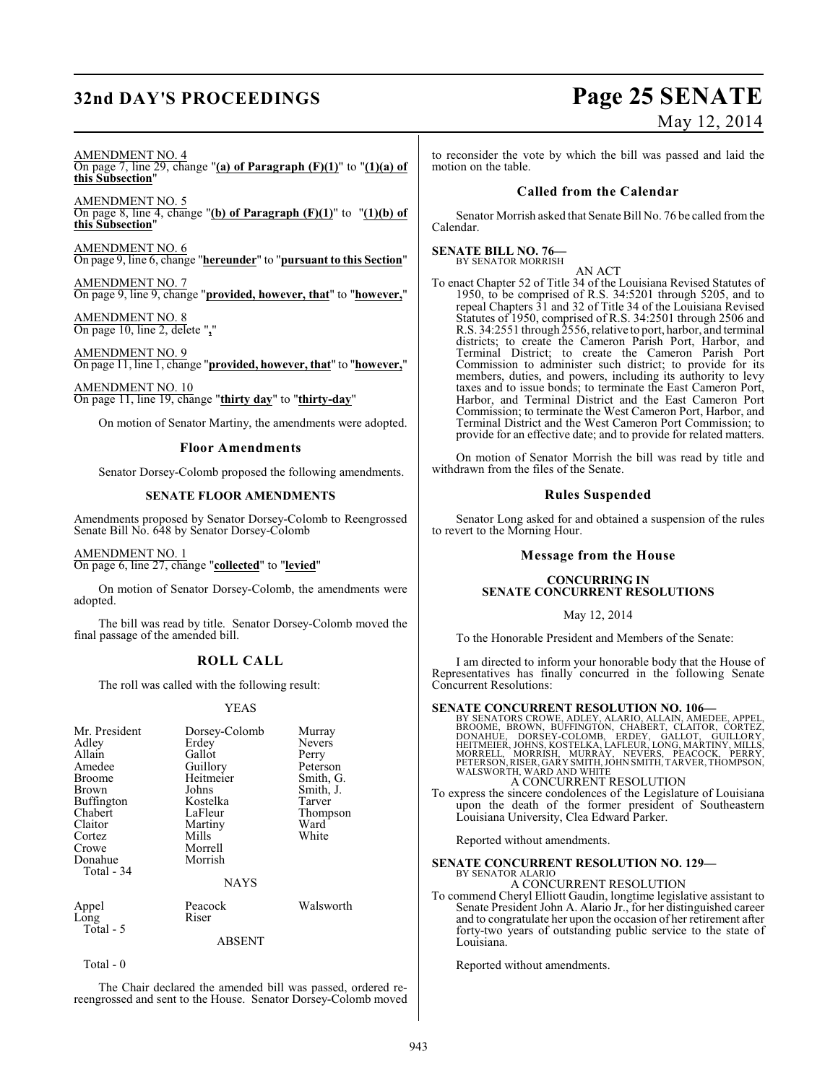## **32nd DAY'S PROCEEDINGS Page 25 SENATE**

# May 12, 2014

#### AMENDMENT NO. 4

On page 7, line 29, change "**(a) of Paragraph (F)(1)**" to "**(1)(a) of this Subsection**"

AMENDMENT NO. 5 On page 8, line 4, change "**(b) of Paragraph (F)(1)**" to "**(1)(b) of this Subsection**"

AMENDMENT NO. 6 On page 9, line 6, change "**hereunder**" to "**pursuant to this Section**"

AMENDMENT NO. 7 On page 9, line 9, change "**provided, however, that**" to "**however,**"

AMENDMENT NO. 8 On page 10, line 2, delete "**,**"

AMENDMENT NO. 9 On page 11, line 1, change "**provided, however, that**" to "**however,**"

AMENDMENT NO. 10 On page 11, line 19, change "**thirty day**" to "**thirty-day**"

On motion of Senator Martiny, the amendments were adopted.

#### **Floor Amendments**

Senator Dorsey-Colomb proposed the following amendments.

#### **SENATE FLOOR AMENDMENTS**

Amendments proposed by Senator Dorsey-Colomb to Reengrossed Senate Bill No. 648 by Senator Dorsey-Colomb

AMENDMENT NO. 1 On page 6, line 27, change "**collected**" to "**levied**"

On motion of Senator Dorsey-Colomb, the amendments were adopted.

The bill was read by title. Senator Dorsey-Colomb moved the final passage of the amended bill.

#### **ROLL CALL**

The roll was called with the following result:

#### YEAS

| Mr. President<br>Adley<br>Allain<br>Amedee<br><b>Broome</b><br><b>Brown</b><br>Buffington<br>Chabert<br>Claitor<br>Cortez<br>Crowe<br>Donahue<br>Total - 34 | Dorsey-Colomb<br>Erdey<br>Gallot<br>Guillory<br>Heitmeier<br>Johns<br>Kostelka<br>LaFleur<br>Martiny<br>Mills<br>Morrell<br>Morrish | Murray<br><b>Nevers</b><br>Perry<br>Peterson<br>Smith, G.<br>Smith, J.<br>Tarver<br>Thompson<br>Ward<br>White |
|-------------------------------------------------------------------------------------------------------------------------------------------------------------|-------------------------------------------------------------------------------------------------------------------------------------|---------------------------------------------------------------------------------------------------------------|
|                                                                                                                                                             | <b>NAYS</b>                                                                                                                         |                                                                                                               |
| Appel<br>Long<br>Total - 5                                                                                                                                  | Peacock<br>Riser                                                                                                                    | Walsworth                                                                                                     |

ABSENT

Total - 0

The Chair declared the amended bill was passed, ordered rereengrossed and sent to the House. Senator Dorsey-Colomb moved to reconsider the vote by which the bill was passed and laid the motion on the table.

#### **Called from the Calendar**

Senator Morrish asked that Senate Bill No. 76 be called from the Calendar.

**SENATE BILL NO. 76—**<br>BY SENATOR MORRISH

AN ACT

To enact Chapter 52 of Title 34 of the Louisiana Revised Statutes of 1950, to be comprised of R.S. 34:5201 through 5205, and to repeal Chapters 31 and 32 of Title 34 of the Louisiana Revised Statutes of 1950, comprised of R.S. 34:2501 through 2506 and R.S. 34:2551 through 2556, relative to port, harbor, and terminal districts; to create the Cameron Parish Port, Harbor, and Terminal District; to create the Cameron Parish Port Commission to administer such district; to provide for its members, duties, and powers, including its authority to levy taxes and to issue bonds; to terminate the East Cameron Port, Harbor, and Terminal District and the East Cameron Port Commission; to terminate the West Cameron Port, Harbor, and Terminal District and the West Cameron Port Commission; to provide for an effective date; and to provide for related matters.

On motion of Senator Morrish the bill was read by title and withdrawn from the files of the Senate.

#### **Rules Suspended**

Senator Long asked for and obtained a suspension of the rules to revert to the Morning Hour.

### **Message from the House**

#### **CONCURRING IN SENATE CONCURRENT RESOLUTIONS**

#### May 12, 2014

To the Honorable President and Members of the Senate:

I am directed to inform your honorable body that the House of Representatives has finally concurred in the following Senate Concurrent Resolutions:

**SENATE CONCURRENT RESOLUTION NO. 106—**<br>BY SENATORS CROWE, ADLEY, ALARIO, ALLAIN, AMEDEE, APPEL, BROOME, BROWE, BOOKE, BOOKE, CLAITOR, CORTEZ,<br>DONAHUE, DORSEY-COLOMB, ERDEY, GALLOT, GUILLORY,<br>HEITMEIER, JOHNS, KOSTELKA, LA

### A CONCURRENT RESOLUTION

To express the sincere condolences of the Legislature of Louisiana upon the death of the former president of Southeastern Louisiana University, Clea Edward Parker.

Reported without amendments.

#### **SENATE CONCURRENT RESOLUTION NO. 129—** BY SENATOR ALARIO

#### A CONCURRENT RESOLUTION

To commend Cheryl Elliott Gaudin, longtime legislative assistant to Senate President John A. Alario Jr., for her distinguished career and to congratulate her upon the occasion of her retirement after forty-two years of outstanding public service to the state of Louisiana.

Reported without amendments.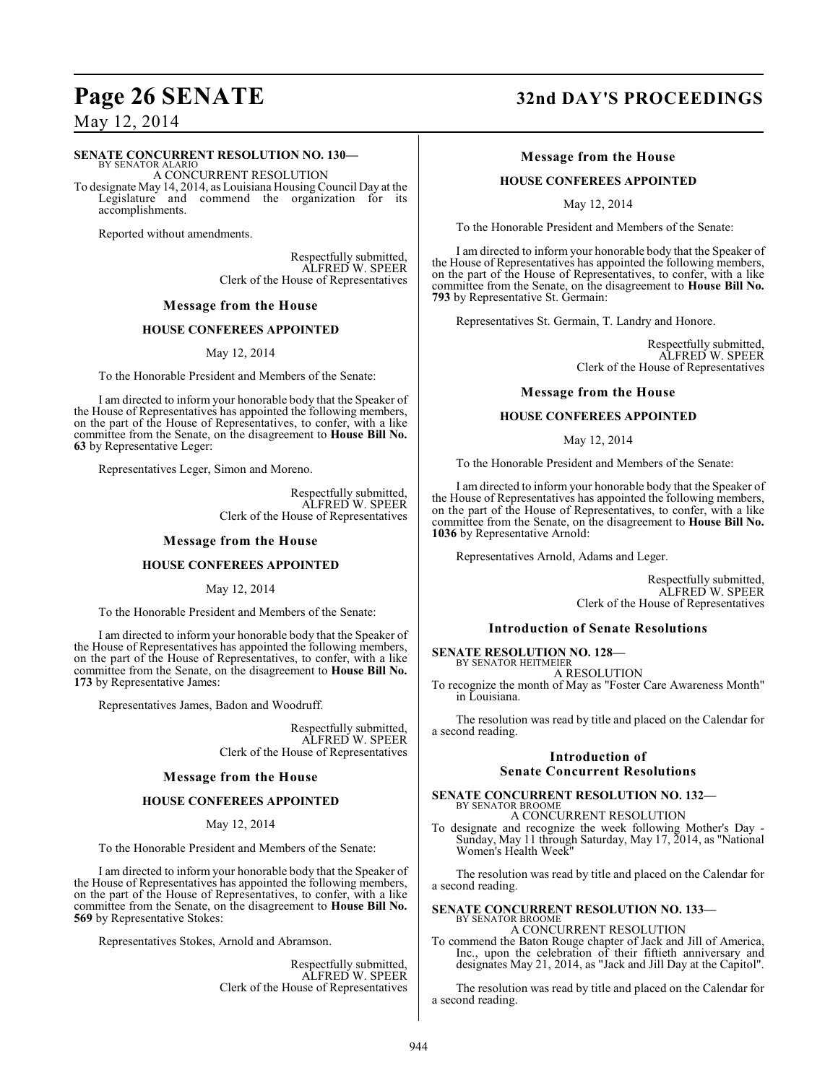## **Page 26 SENATE 32nd DAY'S PROCEEDINGS**

May 12, 2014

#### **SENATE CONCURRENT RESOLUTION NO. 130—**

BY SENATOR ALARIO A CONCURRENT RESOLUTION To designate May 14, 2014, as Louisiana Housing Council Day at the Legislature and commend the organization for its accomplishments.

Reported without amendments.

Respectfully submitted, ALFRED W. SPEER Clerk of the House of Representatives

#### **Message from the House**

#### **HOUSE CONFEREES APPOINTED**

May 12, 2014

To the Honorable President and Members of the Senate:

I am directed to inform your honorable body that the Speaker of the House of Representatives has appointed the following members, on the part of the House of Representatives, to confer, with a like committee from the Senate, on the disagreement to **House Bill No. 63** by Representative Leger:

Representatives Leger, Simon and Moreno.

Respectfully submitted, ALFRED W. SPEER Clerk of the House of Representatives

#### **Message from the House**

#### **HOUSE CONFEREES APPOINTED**

May 12, 2014

To the Honorable President and Members of the Senate:

I am directed to inform your honorable body that the Speaker of the House of Representatives has appointed the following members, on the part of the House of Representatives, to confer, with a like committee from the Senate, on the disagreement to **House Bill No. 173** by Representative James:

Representatives James, Badon and Woodruff.

Respectfully submitted, ALFRED W. SPEER Clerk of the House of Representatives

#### **Message from the House**

#### **HOUSE CONFEREES APPOINTED**

May 12, 2014

To the Honorable President and Members of the Senate:

I am directed to inform your honorable body that the Speaker of the House of Representatives has appointed the following members, on the part of the House of Representatives, to confer, with a like committee from the Senate, on the disagreement to **House Bill No. 569** by Representative Stokes:

Representatives Stokes, Arnold and Abramson.

Respectfully submitted, ALFRED W. SPEER Clerk of the House of Representatives

#### **Message from the House**

#### **HOUSE CONFEREES APPOINTED**

May 12, 2014

To the Honorable President and Members of the Senate:

I am directed to inform your honorable body that the Speaker of the House of Representatives has appointed the following members, on the part of the House of Representatives, to confer, with a like committee from the Senate, on the disagreement to **House Bill No. 793** by Representative St. Germain:

Representatives St. Germain, T. Landry and Honore.

Respectfully submitted, ALFRED W. SPEER Clerk of the House of Representatives

#### **Message from the House**

#### **HOUSE CONFEREES APPOINTED**

May 12, 2014

To the Honorable President and Members of the Senate:

I am directed to inform your honorable body that the Speaker of the House of Representatives has appointed the following members, on the part of the House of Representatives, to confer, with a like committee from the Senate, on the disagreement to **House Bill No. 1036** by Representative Arnold:

Representatives Arnold, Adams and Leger.

Respectfully submitted, ALFRED W. SPEER Clerk of the House of Representatives

#### **Introduction of Senate Resolutions**

**SENATE RESOLUTION NO. 128—** BY SENATOR HEITMEIER

A RESOLUTION

To recognize the month of May as "Foster Care Awareness Month" in Louisiana.

The resolution was read by title and placed on the Calendar for a second reading.

#### **Introduction of Senate Concurrent Resolutions**

**SENATE CONCURRENT RESOLUTION NO. 132—** BY SENATOR BROOME A CONCURRENT RESOLUTION

To designate and recognize the week following Mother's Day - Sunday, May 11 through Saturday, May 17, 2014, as "National Women's Health Week"

The resolution was read by title and placed on the Calendar for a second reading.

#### **SENATE CONCURRENT RESOLUTION NO. 133—** BY SENATOR BROOME A CONCURRENT RESOLUTION

To commend the Baton Rouge chapter of Jack and Jill of America, Inc., upon the celebration of their fiftieth anniversary and designates May 21, 2014, as "Jack and Jill Day at the Capitol".

The resolution was read by title and placed on the Calendar for a second reading.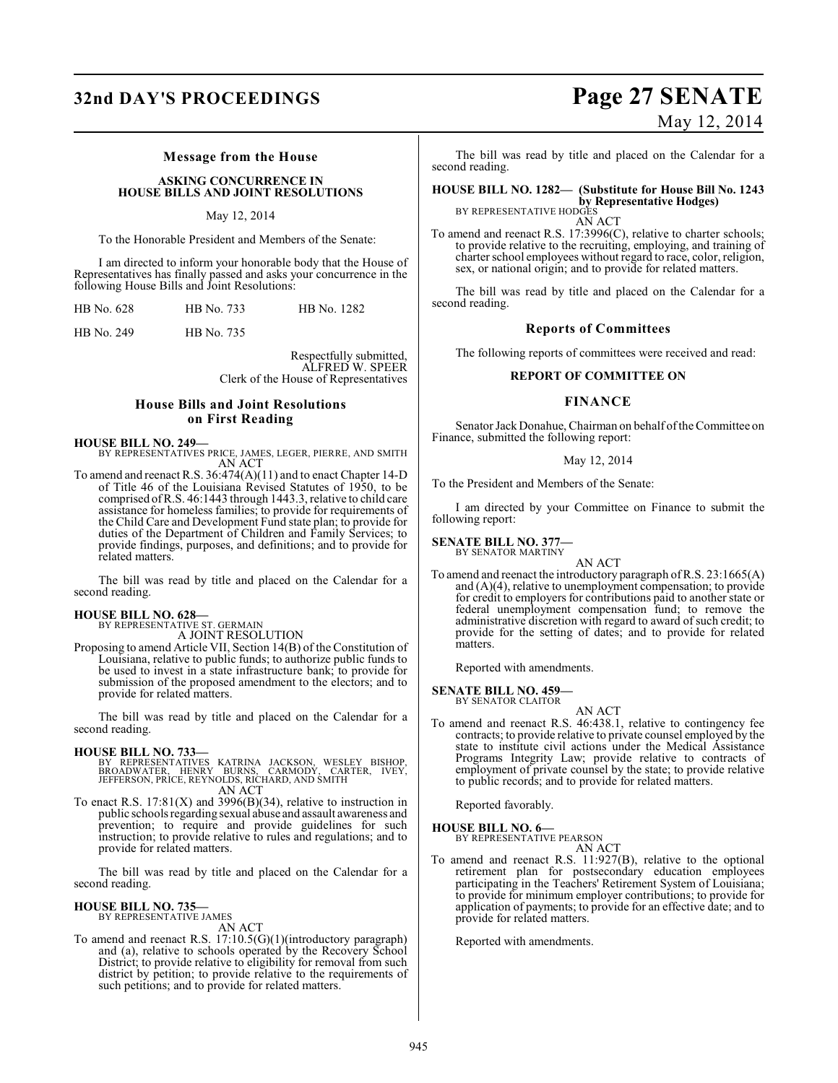## **32nd DAY'S PROCEEDINGS Page 27 SENATE**

#### **Message from the House**

**ASKING CONCURRENCE IN HOUSE BILLS AND JOINT RESOLUTIONS**

#### May 12, 2014

To the Honorable President and Members of the Senate:

I am directed to inform your honorable body that the House of Representatives has finally passed and asks your concurrence in the following House Bills and Joint Resolutions:

| HB No. 628 | HB No. 733 | HB No. 1282 |  |
|------------|------------|-------------|--|
|------------|------------|-------------|--|

HB No. 249 HB No. 735

Respectfully submitted, ALFRED W. SPEER Clerk of the House of Representatives

#### **House Bills and Joint Resolutions on First Reading**

**HOUSE BILL NO. 249—**

BY REPRESENTATIVES PRICE, JAMES, LEGER, PIERRE, AND SMITH AN ACT

To amend and reenact R.S. 36:474(A)(11) and to enact Chapter 14-D of Title 46 of the Louisiana Revised Statutes of 1950, to be comprised of R.S. 46:1443 through 1443.3, relative to child care assistance for homeless families; to provide for requirements of the Child Care and Development Fund state plan; to provide for duties of the Department of Children and Family Services; to provide findings, purposes, and definitions; and to provide for related matters.

The bill was read by title and placed on the Calendar for a second reading.

## **HOUSE BILL NO. 628—** BY REPRESENTATIVE ST. GERMAIN

A JOINT RESOLUTION Proposing to amend Article VII, Section 14(B) of the Constitution of Louisiana, relative to public funds; to authorize public funds to be used to invest in a state infrastructure bank; to provide for submission of the proposed amendment to the electors; and to provide for related matters.

The bill was read by title and placed on the Calendar for a second reading.

#### **HOUSE BILL NO. 733—**

BY REPRESENTATIVES KATRINA JACKSON, WESLEY BISHOP,<br>BROADWATER, HENRY BURNS, CARMODY, CARTER, IVEY,<br>JEFFERSON,PRICE,REYNOLDS,RICHARD,ANDSMITH AN ACT

To enact R.S.  $17:81(X)$  and  $3996(B)(34)$ , relative to instruction in public schools regarding sexual abuse and assault awareness and prevention; to require and provide guidelines for such instruction; to provide relative to rules and regulations; and to provide for related matters.

The bill was read by title and placed on the Calendar for a second reading.

#### **HOUSE BILL NO. 735—**

BY REPRESENTATIVE JAMES AN ACT

To amend and reenact R.S. 17:10.5(G)(1)(introductory paragraph) and (a), relative to schools operated by the Recovery School District; to provide relative to eligibility for removal from such district by petition; to provide relative to the requirements of such petitions; and to provide for related matters.

# May 12, 2014

The bill was read by title and placed on the Calendar for a second reading.

**HOUSE BILL NO. 1282— (Substitute for House Bill No. 1243 by Representative Hodges)**<br>BY REPRESENTATIVE HODGES

AN ACT

To amend and reenact R.S. 17:3996(C), relative to charter schools; to provide relative to the recruiting, employing, and training of charter school employees without regard to race, color, religion, sex, or national origin; and to provide for related matters.

The bill was read by title and placed on the Calendar for a second reading.

#### **Reports of Committees**

The following reports of committees were received and read:

#### **REPORT OF COMMITTEE ON**

### **FINANCE**

Senator Jack Donahue, Chairman on behalf of the Committee on Finance, submitted the following report:

#### May 12, 2014

To the President and Members of the Senate:

I am directed by your Committee on Finance to submit the following report:

## **SENATE BILL NO. 377—** BY SENATOR MARTINY

AN ACT

To amend and reenact the introductory paragraph of R.S. 23:1665(A) and (A)(4), relative to unemployment compensation; to provide for credit to employers for contributions paid to another state or federal unemployment compensation fund; to remove the administrative discretion with regard to award of such credit; to provide for the setting of dates; and to provide for related matters.

Reported with amendments.

#### **SENATE BILL NO. 459—**

BY SENATOR CLAITOR

AN ACT To amend and reenact R.S. 46:438.1, relative to contingency fee contracts; to provide relative to private counsel employed by the state to institute civil actions under the Medical Assistance Programs Integrity Law; provide relative to contracts of employment of private counsel by the state; to provide relative to public records; and to provide for related matters.

Reported favorably.

#### **HOUSE BILL NO. 6—**

BY REPRESENTATIVE PEARSON AN ACT

To amend and reenact R.S. 11:927(B), relative to the optional retirement plan for postsecondary education employees participating in the Teachers' Retirement System of Louisiana; to provide for minimum employer contributions; to provide for application of payments; to provide for an effective date; and to provide for related matters.

Reported with amendments.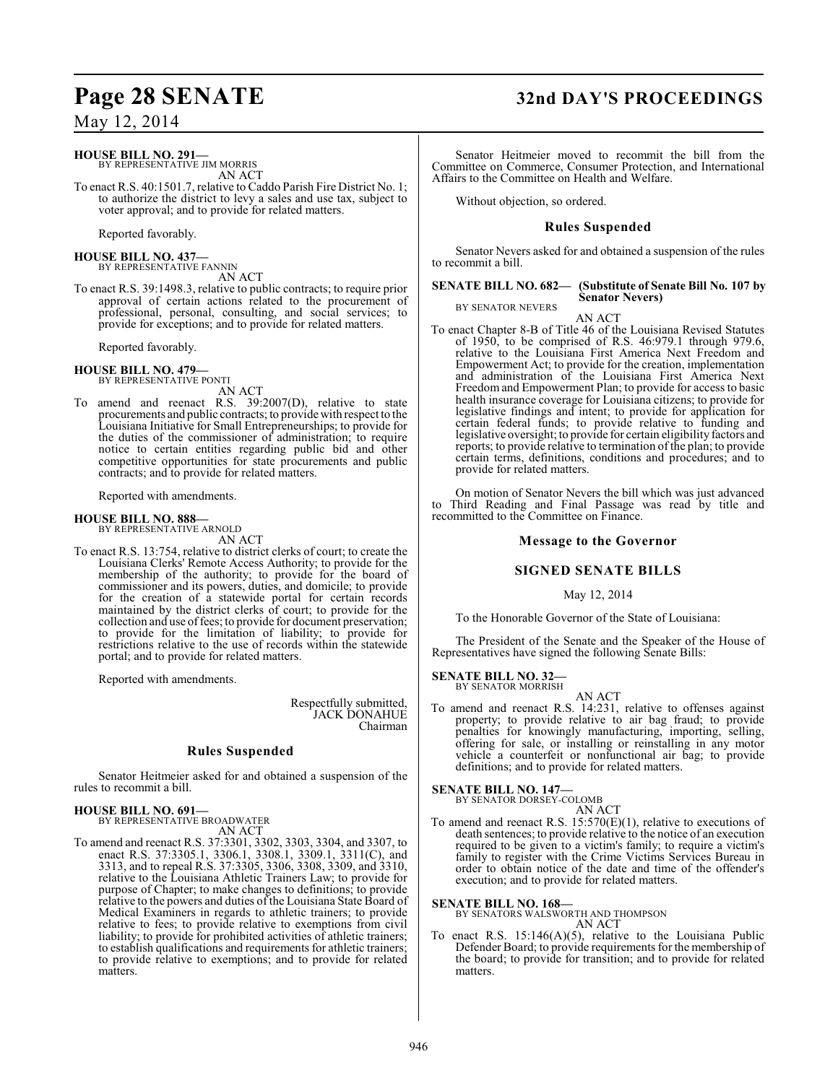### **HOUSE BILL NO. 291—**

BY REPRESENTATIVE JIM MORRIS AN ACT

To enact R.S. 40:1501.7, relative to Caddo Parish Fire District No. 1; to authorize the district to levy a sales and use tax, subject to voter approval; and to provide for related matters.

Reported favorably.

**HOUSE BILL NO. 437—** BY REPRESENTATIVE FANNIN AN ACT

To enact R.S. 39:1498.3, relative to public contracts; to require prior approval of certain actions related to the procurement of professional, personal, consulting, and social services; to provide for exceptions; and to provide for related matters.

Reported favorably.

#### **HOUSE BILL NO. 479—** BY REPRESENTATIVE PONTI

AN ACT

To amend and reenact R.S. 39:2007(D), relative to state procurements and public contracts; to provide with respect to the Louisiana Initiative for Small Entrepreneurships; to provide for the duties of the commissioner of administration; to require notice to certain entities regarding public bid and other competitive opportunities for state procurements and public contracts; and to provide for related matters.

Reported with amendments.

#### **HOUSE BILL NO. 888—** BY REPRESENTATIVE ARNOLD

AN ACT

To enact R.S. 13:754, relative to district clerks of court; to create the Louisiana Clerks' Remote Access Authority; to provide for the membership of the authority; to provide for the board of commissioner and its powers, duties, and domicile; to provide for the creation of a statewide portal for certain records maintained by the district clerks of court; to provide for the collection and use of fees; to provide for document preservation; to provide for the limitation of liability; to provide for restrictions relative to the use of records within the statewide portal; and to provide for related matters.

Reported with amendments.

Respectfully submitted, JACK DONAHUE Chairman

### **Rules Suspended**

Senator Heitmeier asked for and obtained a suspension of the rules to recommit a bill.

**HOUSE BILL NO. 691—** BY REPRESENTATIVE BROADWATER AN ACT

To amend and reenact R.S. 37:3301, 3302, 3303, 3304, and 3307, to enact R.S. 37:3305.1, 3306.1, 3308.1, 3309.1, 3311(C), and 3313, and to repeal R.S. 37:3305, 3306, 3308, 3309, and 3310, relative to the Louisiana Athletic Trainers Law; to provide for purpose of Chapter; to make changes to definitions; to provide relative to the powers and duties of the Louisiana State Board of Medical Examiners in regards to athletic trainers; to provide relative to fees; to provide relative to exemptions from civil liability; to provide for prohibited activities of athletic trainers; to establish qualifications and requirements for athletic trainers; to provide relative to exemptions; and to provide for related matters.

### **Page 28 SENATE 32nd DAY'S PROCEEDINGS**

Senator Heitmeier moved to recommit the bill from the Committee on Commerce, Consumer Protection, and International Affairs to the Committee on Health and Welfare.

Without objection, so ordered.

#### **Rules Suspended**

Senator Nevers asked for and obtained a suspension of the rules to recommit a bill.

#### **SENATE BILL NO. 682— (Substitute of Senate Bill No. 107 by Senator Nevers)**

BY SENATOR NEVERS

AN ACT To enact Chapter 8-B of Title 46 of the Louisiana Revised Statutes of 1950, to be comprised of R.S. 46:979.1 through 979.6, relative to the Louisiana First America Next Freedom and Empowerment Act; to provide for the creation, implementation and administration of the Louisiana First America Next Freedom and Empowerment Plan; to provide for access to basic health insurance coverage for Louisiana citizens; to provide for legislative findings and intent; to provide for application for certain federal funds; to provide relative to funding and legislative oversight; to provide for certain eligibility factors and reports; to provide relative to termination of the plan; to provide certain terms, definitions, conditions and procedures; and to provide for related matters.

On motion of Senator Nevers the bill which was just advanced to Third Reading and Final Passage was read by title and recommitted to the Committee on Finance.

#### **Message to the Governor**

#### **SIGNED SENATE BILLS**

#### May 12, 2014

To the Honorable Governor of the State of Louisiana:

The President of the Senate and the Speaker of the House of Representatives have signed the following Senate Bills:

#### **SENATE BILL NO. 32—** BY SENATOR MORRISH

AN ACT

To amend and reenact R.S. 14:231, relative to offenses against property; to provide relative to air bag fraud; to provide penalties for knowingly manufacturing, importing, selling, offering for sale, or installing or reinstalling in any motor vehicle a counterfeit or nonfunctional air bag; to provide definitions; and to provide for related matters.

### **SENATE BILL NO. 147—**

BY SENATOR DORSEY-COLOMB AN ACT

To amend and reenact R.S. 15:570(E)(1), relative to executions of death sentences; to provide relative to the notice of an execution required to be given to a victim's family; to require a victim's family to register with the Crime Victims Services Bureau in order to obtain notice of the date and time of the offender's execution; and to provide for related matters.

**SENATE BILL NO. 168—** BY SENATORS WALSWORTH AND THOMPSON

AN ACT

To enact R.S. 15:146(A)(5), relative to the Louisiana Public Defender Board; to provide requirements for the membership of the board; to provide for transition; and to provide for related matters.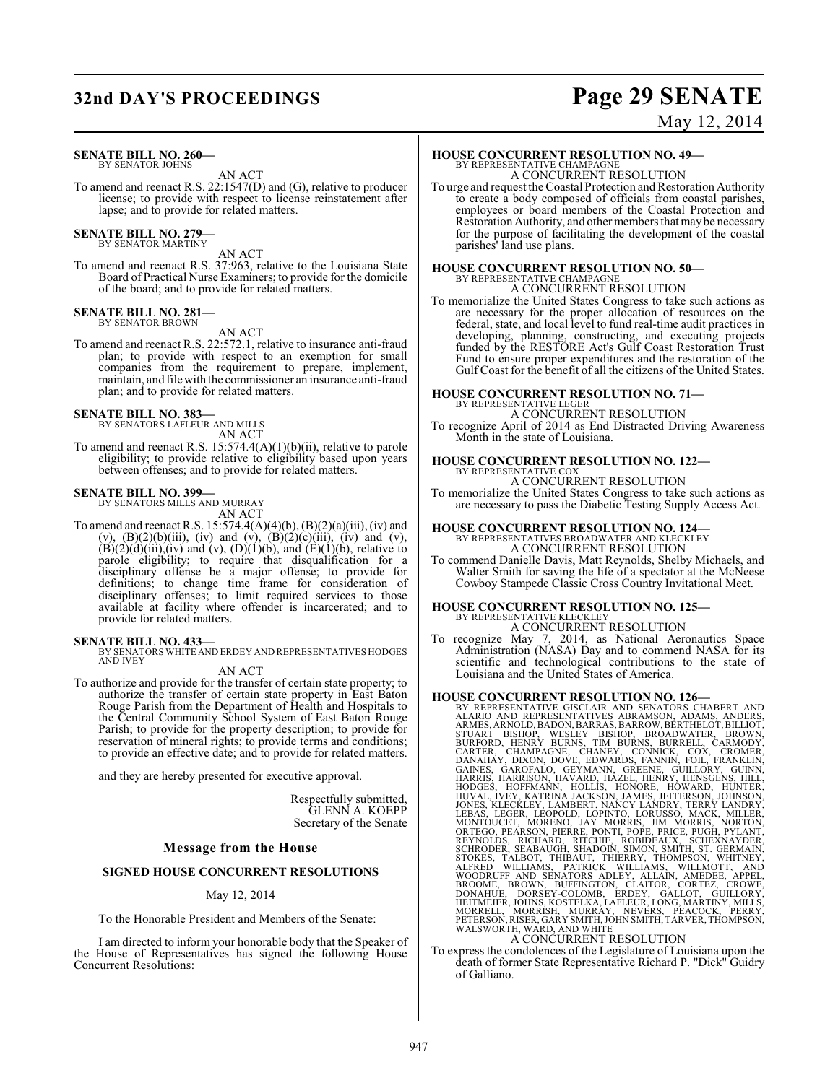## **32nd DAY'S PROCEEDINGS Page 29 SENATE**

#### **SENATE BILL NO. 260—** BY SENATOR JOHNS

AN ACT

To amend and reenact R.S. 22:1547(D) and (G), relative to producer license; to provide with respect to license reinstatement after lapse; and to provide for related matters.

#### **SENATE BILL NO. 279—** BY SENATOR MARTINY

AN ACT

To amend and reenact R.S. 37:963, relative to the Louisiana State Board of Practical Nurse Examiners; to provide for the domicile of the board; and to provide for related matters.

#### **SENATE BILL NO. 281—**

BY SENATOR BROWN

AN ACT

To amend and reenact R.S. 22:572.1, relative to insurance anti-fraud plan; to provide with respect to an exemption for small companies from the requirement to prepare, implement, maintain, and filewith the commissioner an insurance anti-fraud plan; and to provide for related matters.

#### **SENATE BILL NO. 383—**

BY SENATORS LAFLEUR AND MILLS AN ACT

To amend and reenact R.S. 15:574.4(A)(1)(b)(ii), relative to parole eligibility; to provide relative to eligibility based upon years between offenses; and to provide for related matters.

#### **SENATE BILL NO. 399—**

BY SENATORS MILLS AND MURRAY AN ACT

To amend and reenact R.S. 15:574.4(A)(4)(b), (B)(2)(a)(iii), (iv) and (v),  $(B)(2)(b)(iii)$ , (iv) and (v),  $(B)(2)(c)(iii)$ , (iv) and (v),  $(B)(2)(d)(iii)$ , (iv) and (v),  $(D)(1)(b)$ , and  $(E)(1)(b)$ , relative to parole eligibility; to require that disqualification for a disciplinary offense be a major offense; to provide for definitions; to change time frame for consideration of disciplinary offenses; to limit required services to those available at facility where offender is incarcerated; and to provide for related matters.

**SENATE BILL NO. 433—** BY SENATORS WHITE AND ERDEY AND REPRESENTATIVES HODGES AND IVEY

#### AN ACT

To authorize and provide for the transfer of certain state property; to authorize the transfer of certain state property in East Baton Rouge Parish from the Department of Health and Hospitals to the Central Community School System of East Baton Rouge Parish; to provide for the property description; to provide for reservation of mineral rights; to provide terms and conditions; to provide an effective date; and to provide for related matters.

and they are hereby presented for executive approval.

Respectfully submitted, GLENN A. KOEPP Secretary of the Senate

#### **Message from the House**

#### **SIGNED HOUSE CONCURRENT RESOLUTIONS**

#### May 12, 2014

To the Honorable President and Members of the Senate:

I am directed to inform your honorable body that the Speaker of the House of Representatives has signed the following House Concurrent Resolutions:

# May 12, 2014

### **HOUSE CONCURRENT RESOLUTION NO. 49—**

BY REPRESENTATIVE CHAMPAGNE A CONCURRENT RESOLUTION

To urge and request the Coastal Protection and Restoration Authority to create a body composed of officials from coastal parishes, employees or board members of the Coastal Protection and Restoration Authority, and other members that maybe necessary for the purpose of facilitating the development of the coastal parishes' land use plans.

### **HOUSE CONCURRENT RESOLUTION NO. 50—** BY REPRESENTATIVE CHAMPAGNE A CONCURRENT RESOLUTION

To memorialize the United States Congress to take such actions as are necessary for the proper allocation of resources on the federal, state, and local level to fund real-time audit practices in developing, planning, constructing, and executing projects funded by the RESTORE Act's Gulf Coast Restoration Trust Fund to ensure proper expenditures and the restoration of the Gulf Coast for the benefit of all the citizens of the United States.

#### **HOUSE CONCURRENT RESOLUTION NO. 71—**

BY REPRESENTATIVE LEGER A CONCURRENT RESOLUTION

To recognize April of 2014 as End Distracted Driving Awareness Month in the state of Louisiana.

### **HOUSE CONCURRENT RESOLUTION NO. 122—** BY REPRESENTATIVE COX A CONCURRENT RESOLUTION

To memorialize the United States Congress to take such actions as are necessary to pass the Diabetic Testing Supply Access Act.

## **HOUSE CONCURRENT RESOLUTION NO. 124—** BY REPRESENTATIVES BROADWATER AND KLECKLEY

A CONCURRENT RESOLUTION

To commend Danielle Davis, Matt Reynolds, Shelby Michaels, and Walter Smith for saving the life of a spectator at the McNeese Cowboy Stampede Classic Cross Country Invitational Meet.

#### **HOUSE CONCURRENT RESOLUTION NO. 125—** BY REPRESENTATIVE KLECKLEY A CONCURRENT RESOLUTION

To recognize May 7, 2014, as National Aeronautics Space Administration (NASA) Day and to commend NASA for its scientific and technological contributions to the state of Louisiana and the United States of America.

HOUSE CONCURRENT RESOLUTION NO. 126—<br>BY REPRESENTATIVE GISCLAIR AND SENATORS CHABERT AND<br>ALARIO AND REPRESENTATIVES ABRAMSON, ADAMS, ANDERS,<br>ARMES, ARNOLD, BADON, BARRAS, BARROW, BERTHELOT, BILLIOT,<br>STUART BISHOP, WESLEY B

A CONCURRENT RESOLUTION<br>To express the condolences of the Legislature of Louisiana upon the death of former State Representative Richard P. "Dick" Guidry of Galliano.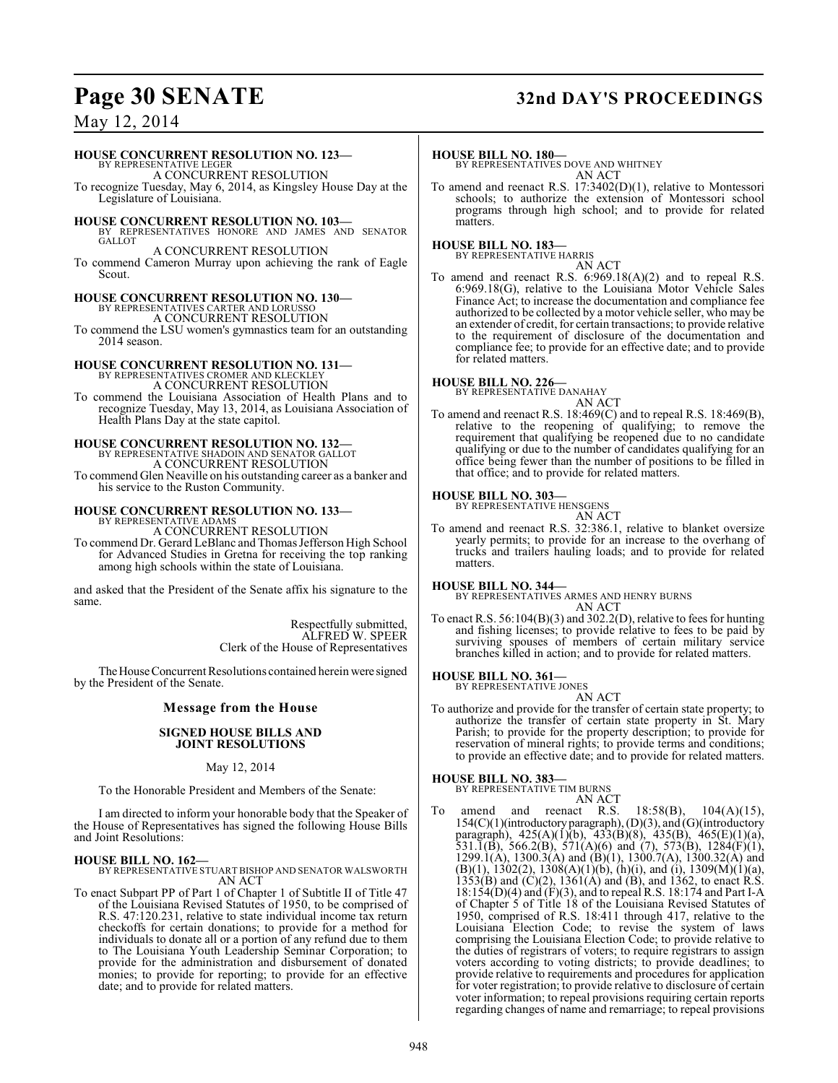## **Page 30 SENATE 32nd DAY'S PROCEEDINGS**

### May 12, 2014

#### **HOUSE CONCURRENT RESOLUTION NO. 123—**

BY REPRESENTATIVE LEGER A CONCURRENT RESOLUTION

To recognize Tuesday, May 6, 2014, as Kingsley House Day at the Legislature of Louisiana.

**HOUSE CONCURRENT RESOLUTION NO. 103—** BY REPRESENTATIVES HONORE AND JAMES AND SENATOR

**GALLOT** A CONCURRENT RESOLUTION

To commend Cameron Murray upon achieving the rank of Eagle Scout.

**HOUSE CONCURRENT RESOLUTION NO. 130—** BY REPRESENTATIVES CARTER AND LORUSS A CONCURRENT RESOLUTION

To commend the LSU women's gymnastics team for an outstanding 2014 season.

### **HOUSE CONCURRENT RESOLUTION NO. 131—** BY REPRESENTATIVES CROMER AND KLECKLEY

A CONCURRENT RESOLUTION

To commend the Louisiana Association of Health Plans and to recognize Tuesday, May 13, 2014, as Louisiana Association of Health Plans Day at the state capitol.

#### **HOUSE CONCURRENT RESOLUTION NO. 132—**

BY REPRESENTATIVE SHADOIN AND SENATOR GALLOT A CONCURRENT RESOLUTION

To commend Glen Neaville on his outstanding career as a banker and his service to the Ruston Community.

## **HOUSE CONCURRENT RESOLUTION NO. 133—** BY REPRESENTATIVE ADAMS

A CONCURRENT RESOLUTION To commend Dr. Gerard LeBlanc and Thomas Jefferson High School for Advanced Studies in Gretna for receiving the top ranking among high schools within the state of Louisiana.

and asked that the President of the Senate affix his signature to the same.

> Respectfully submitted, ALFRED W. SPEER Clerk of the House of Representatives

The House Concurrent Resolutions contained herein were signed by the President of the Senate.

#### **Message from the House**

#### **SIGNED HOUSE BILLS AND JOINT RESOLUTIONS**

May 12, 2014

To the Honorable President and Members of the Senate:

I am directed to inform your honorable body that the Speaker of the House of Representatives has signed the following House Bills and Joint Resolutions:

**HOUSE BILL NO. 162—** BY REPRESENTATIVE STUART BISHOP AND SENATOR WALSWORTH AN ACT

To enact Subpart PP of Part 1 of Chapter 1 of Subtitle II of Title 47 of the Louisiana Revised Statutes of 1950, to be comprised of R.S. 47:120.231, relative to state individual income tax return checkoffs for certain donations; to provide for a method for individuals to donate all or a portion of any refund due to them to The Louisiana Youth Leadership Seminar Corporation; to provide for the administration and disbursement of donated monies; to provide for reporting; to provide for an effective date; and to provide for related matters.

#### **HOUSE BILL NO. 180—**

BY REPRESENTATIVES DOVE AND WHITNEY AN ACT

To amend and reenact R.S. 17:3402(D)(1), relative to Montessori schools; to authorize the extension of Montessori school programs through high school; and to provide for related matters.

#### **HOUSE BILL NO. 183—**

BY REPRESENTATIVE HARRIS

AN ACT To amend and reenact R.S. 6:969.18(A)(2) and to repeal R.S. 6:969.18(G), relative to the Louisiana Motor Vehicle Sales Finance Act; to increase the documentation and compliance fee authorized to be collected by a motor vehicle seller, who may be an extender of credit, for certain transactions; to provide relative to the requirement of disclosure of the documentation and compliance fee; to provide for an effective date; and to provide for related matters.

### **HOUSE BILL NO. 226—**

BY REPRESENTATIVE DANAHAY

AN ACT To amend and reenact R.S. 18:469(C) and to repeal R.S. 18:469(B), relative to the reopening of qualifying; to remove the requirement that qualifying be reopened due to no candidate qualifying or due to the number of candidates qualifying for an office being fewer than the number of positions to be filled in that office; and to provide for related matters.

**HOUSE BILL NO. 303—** BY REPRESENTATIVE HENSGENS

```
AN ACT
```
To amend and reenact R.S. 32:386.1, relative to blanket oversize yearly permits; to provide for an increase to the overhang of trucks and trailers hauling loads; and to provide for related matters.

**HOUSE BILL NO. 344—** BY REPRESENTATIVES ARMES AND HENRY BURNS AN ACT

To enact R.S. 56:104(B)(3) and 302.2(D), relative to fees for hunting and fishing licenses; to provide relative to fees to be paid by surviving spouses of members of certain military service branches killed in action; and to provide for related matters.

## **HOUSE BILL NO. 361—** BY REPRESENTATIVE JONES

AN ACT

To authorize and provide for the transfer of certain state property; to authorize the transfer of certain state property in St. Mary Parish; to provide for the property description; to provide for reservation of mineral rights; to provide terms and conditions; to provide an effective date; and to provide for related matters.

### **HOUSE BILL NO. 383—**

BY REPRESENTATIVE TIM BURNS

AN ACT<br>reenact R.S. To amend and reenact R.S. 18:58(B), 104(A)(15), 154(C)(1)(introductory paragraph), (D)(3), and (G)(introductory paragraph), 425(A)(1)(b), 433(B)(8), 435(B), 465(E)(1)(a), 531.1(B), 566.2(B), 571(A)(6) and (7), 573(B), 1284(F)(1), 1299.1(A), 1300.3(A) and (B)(1), 1300.7(A), 1300.32(A) and  $(B)(1)$ , 1302(2), 1308(A)(1)(b), (h)(i), and (i), 1309(M)(1)(a),  $1353(B)$  and  $(C)(2)$ ,  $1361(A)$  and  $(B)$ , and  $1362$ , to enact R.S. 18:154(D)(4) and (F)(3), and to repeal R.S. 18:174 and Part I-A of Chapter 5 of Title 18 of the Louisiana Revised Statutes of 1950, comprised of R.S. 18:411 through 417, relative to the Louisiana Election Code; to revise the system of laws comprising the Louisiana Election Code; to provide relative to the duties of registrars of voters; to require registrars to assign voters according to voting districts; to provide deadlines; to provide relative to requirements and procedures for application for voter registration; to provide relative to disclosure of certain voter information; to repeal provisions requiring certain reports regarding changes of name and remarriage; to repeal provisions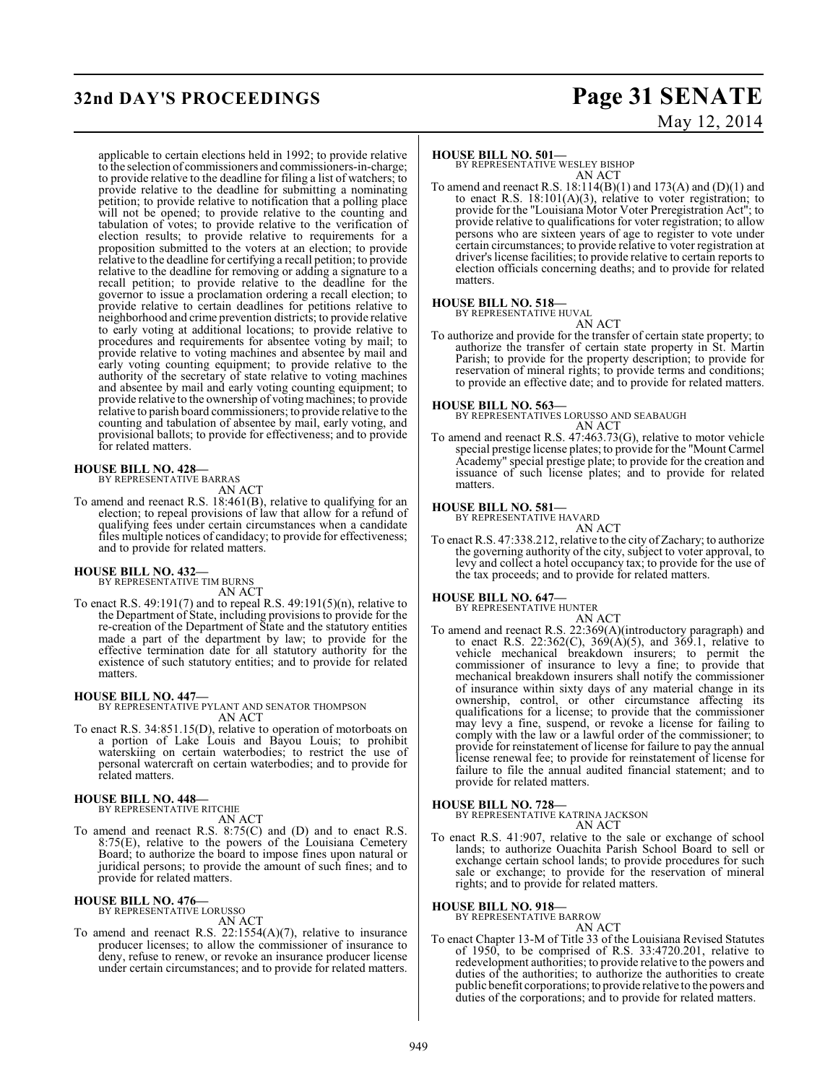## **32nd DAY'S PROCEEDINGS Page 31 SENATE**

# May 12, 2014

applicable to certain elections held in 1992; to provide relative to the selection of commissioners and commissioners-in-charge; to provide relative to the deadline for filing a list of watchers; to provide relative to the deadline for submitting a nominating petition; to provide relative to notification that a polling place will not be opened; to provide relative to the counting and tabulation of votes; to provide relative to the verification of election results; to provide relative to requirements for a proposition submitted to the voters at an election; to provide relative to the deadline for certifying a recall petition; to provide relative to the deadline for removing or adding a signature to a recall petition; to provide relative to the deadline for the governor to issue a proclamation ordering a recall election; to provide relative to certain deadlines for petitions relative to neighborhood and crime prevention districts; to provide relative to early voting at additional locations; to provide relative to procedures and requirements for absentee voting by mail; to provide relative to voting machines and absentee by mail and early voting counting equipment; to provide relative to the authority of the secretary of state relative to voting machines and absentee by mail and early voting counting equipment; to provide relative to the ownership of voting machines; to provide relative to parish board commissioners; to provide relative to the counting and tabulation of absentee by mail, early voting, and provisional ballots; to provide for effectiveness; and to provide for related matters.

#### **HOUSE BILL NO. 428—**

BY REPRESENTATIVE BARRAS AN ACT

To amend and reenact R.S. 18:461(B), relative to qualifying for an election; to repeal provisions of law that allow for a refund of qualifying fees under certain circumstances when a candidate files multiple notices of candidacy; to provide for effectiveness; and to provide for related matters.

## **HOUSE BILL NO. 432—** BY REPRESENTATIVE TIM BURNS

AN ACT

To enact R.S. 49:191(7) and to repeal R.S. 49:191(5)(n), relative to the Department of State, including provisionsto provide for the re-creation of the Department of State and the statutory entities made a part of the department by law; to provide for the effective termination date for all statutory authority for the existence of such statutory entities; and to provide for related matters.

### **HOUSE BILL NO. 447—**

BY REPRESENTATIVE PYLANT AND SENATOR THOMPSON AN ACT

To enact R.S. 34:851.15(D), relative to operation of motorboats on a portion of Lake Louis and Bayou Louis; to prohibit waterskiing on certain waterbodies; to restrict the use of personal watercraft on certain waterbodies; and to provide for related matters.

#### **HOUSE BILL NO. 448—**

BY REPRESENTATIVE RITCHIE

AN ACT

To amend and reenact R.S. 8:75(C) and (D) and to enact R.S. 8:75(E), relative to the powers of the Louisiana Cemetery Board; to authorize the board to impose fines upon natural or juridical persons; to provide the amount of such fines; and to provide for related matters.

### **HOUSE BILL NO. 476—**

BY REPRESENTATIVE LORUSSO AN ACT

To amend and reenact R.S. 22:1554(A)(7), relative to insurance producer licenses; to allow the commissioner of insurance to deny, refuse to renew, or revoke an insurance producer license under certain circumstances; and to provide for related matters.

#### **HOUSE BILL NO. 501—**

BY REPRESENTATIVE WESLEY BISHOP AN ACT

To amend and reenact R.S.  $18:114(B)(1)$  and  $173(A)$  and  $(D)(1)$  and to enact R.S.  $18:101(A)(3)$ , relative to voter registration; to provide for the "Louisiana Motor Voter Preregistration Act"; to provide relative to qualifications for voter registration; to allow persons who are sixteen years of age to register to vote under certain circumstances; to provide relative to voter registration at driver's license facilities; to provide relative to certain reports to election officials concerning deaths; and to provide for related matters.

#### **HOUSE BILL NO. 518—** BY REPRESENTATIVE HUVAL

AN ACT

To authorize and provide for the transfer of certain state property; to authorize the transfer of certain state property in St. Martin Parish; to provide for the property description; to provide for reservation of mineral rights; to provide terms and conditions; to provide an effective date; and to provide for related matters.

**HOUSE BILL NO. 563—** BY REPRESENTATIVES LORUSSO AND SEABAUGH AN ACT

To amend and reenact R.S. 47:463.73(G), relative to motor vehicle special prestige license plates; to provide for the "Mount Carmel Academy" special prestige plate; to provide for the creation and issuance of such license plates; and to provide for related matters.

### **HOUSE BILL NO. 581—**

BY REPRESENTATIVE HAVARD AN ACT

To enact R.S. 47:338.212, relative to the city of Zachary; to authorize the governing authority of the city, subject to voter approval, to levy and collect a hotel occupancy tax; to provide for the use of the tax proceeds; and to provide for related matters.

## **HOUSE BILL NO. 647—** BY REPRESENTATIVE HUNTER

AN ACT To amend and reenact R.S. 22:369(A)(introductory paragraph) and to enact R.S. 22:362(C), 369(A)(5), and 369.1, relative to vehicle mechanical breakdown insurers; to permit the commissioner of insurance to levy a fine; to provide that mechanical breakdown insurers shall notify the commissioner of insurance within sixty days of any material change in its ownership, control, or other circumstance affecting its qualifications for a license; to provide that the commissioner may levy a fine, suspend, or revoke a license for failing to comply with the law or a lawful order of the commissioner; to provide for reinstatement of license for failure to pay the annual license renewal fee; to provide for reinstatement of license for failure to file the annual audited financial statement; and to provide for related matters.

#### **HOUSE BILL NO. 728—**

BY REPRESENTATIVE KATRINA JACKSON AN ACT

To enact R.S. 41:907, relative to the sale or exchange of school lands; to authorize Ouachita Parish School Board to sell or exchange certain school lands; to provide procedures for such sale or exchange; to provide for the reservation of mineral rights; and to provide for related matters.

#### **HOUSE BILL NO. 918—**

BY REPRESENTATIVE BARROW

### AN ACT

To enact Chapter 13-M of Title 33 of the Louisiana Revised Statutes of 1950, to be comprised of R.S. 33:4720.201, relative to redevelopment authorities; to provide relative to the powers and duties of the authorities; to authorize the authorities to create public benefit corporations; to provide relative to the powers and duties of the corporations; and to provide for related matters.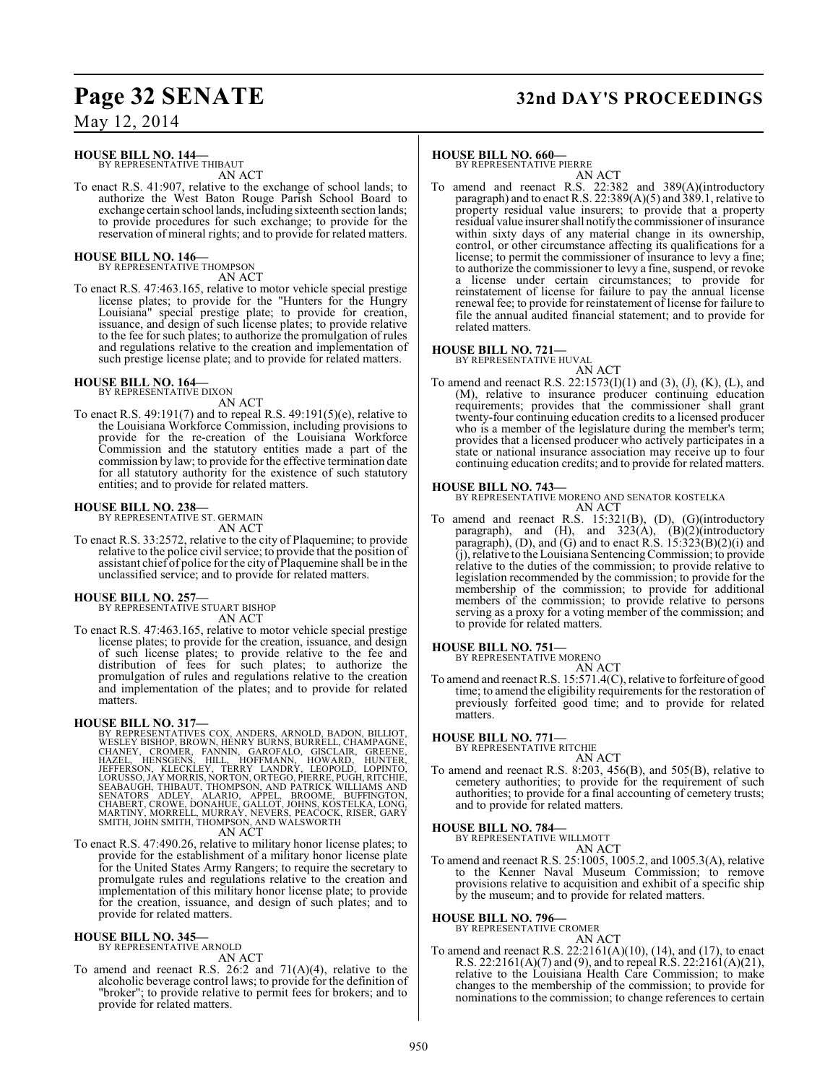## **Page 32 SENATE 32nd DAY'S PROCEEDINGS**

May 12, 2014

### **HOUSE BILL NO. 144—**

BY REPRESENTATIVE THIBAUT AN ACT

To enact R.S. 41:907, relative to the exchange of school lands; to authorize the West Baton Rouge Parish School Board to exchange certain school lands, including sixteenth section lands; to provide procedures for such exchange; to provide for the reservation of mineral rights; and to provide for related matters.

#### **HOUSE BILL NO. 146—**

BY REPRESENTATIVE THOMPSON AN ACT

To enact R.S. 47:463.165, relative to motor vehicle special prestige license plates; to provide for the "Hunters for the Hungry Louisiana" special prestige plate; to provide for creation, issuance, and design of such license plates; to provide relative to the fee for such plates; to authorize the promulgation of rules and regulations relative to the creation and implementation of such prestige license plate; and to provide for related matters.

#### **HOUSE BILL NO. 164—** BY REPRESENTATIVE DIXON

AN ACT

To enact R.S. 49:191(7) and to repeal R.S. 49:191(5)(e), relative to the Louisiana Workforce Commission, including provisions to provide for the re-creation of the Louisiana Workforce Commission and the statutory entities made a part of the commission by law; to provide for the effective termination date for all statutory authority for the existence of such statutory entities; and to provide for related matters.

#### **HOUSE BILL NO. 238—**

BY REPRESENTATIVE ST. GERMAIN AN ACT

To enact R.S. 33:2572, relative to the city of Plaquemine; to provide relative to the police civil service; to provide that the position of assistant chief of police for the city of Plaquemine shall be in the unclassified service; and to provide for related matters.

## **HOUSE BILL NO. 257—** BY REPRESENTATIVE STUART BISHOP

AN ACT

To enact R.S. 47:463.165, relative to motor vehicle special prestige license plates; to provide for the creation, issuance, and design of such license plates; to provide relative to the fee and distribution of fees for such plates; to authorize the promulgation of rules and regulations relative to the creation and implementation of the plates; and to provide for related matters.

**HOUSE BILL NO. 317—** BY REPRESENTATIVES COX, ANDERS, ARNOLD, BADON, BILLIOT,<br>WESLEY BISHOP, BROWN, HÉNRY BURNS, BURRELL, CHANEY GRONE, CHANEY, CROMER, FANNIN, GAROFALO, GISCLAIR, GREENE,<br>HAZEL, HENSGENS, HILL, HOFFMANN, HOWARD, INCLAIR, GREENE AN ACT

To enact R.S. 47:490.26, relative to military honor license plates; to provide for the establishment of a military honor license plate for the United States Army Rangers; to require the secretary to promulgate rules and regulations relative to the creation and implementation of this military honor license plate; to provide for the creation, issuance, and design of such plates; and to provide for related matters.

#### **HOUSE BILL NO. 345—** BY REPRESENTATIVE ARNOLD

AN ACT

To amend and reenact R.S. 26:2 and  $71(A)(4)$ , relative to the alcoholic beverage control laws; to provide for the definition of "broker"; to provide relative to permit fees for brokers; and to provide for related matters.

#### **HOUSE BILL NO. 660—**

BY REPRESENTATIVE PIERRE

AN ACT To amend and reenact R.S. 22:382 and 389(A)(introductory paragraph) and to enact R.S. 22:389(A)(5) and 389.1, relative to property residual value insurers; to provide that a property residual value insurer shall notifythe commissioner of insurance within sixty days of any material change in its ownership, control, or other circumstance affecting its qualifications for a license; to permit the commissioner of insurance to levy a fine; to authorize the commissioner to levy a fine, suspend, or revoke a license under certain circumstances; to provide for reinstatement of license for failure to pay the annual license renewal fee; to provide for reinstatement of license for failure to file the annual audited financial statement; and to provide for related matters.

#### **HOUSE BILL NO. 721—**

BY REPRESENTATIVE HUVAL

AN ACT To amend and reenact R.S. 22:1573(I)(1) and (3), (J), (K), (L), and (M), relative to insurance producer continuing education requirements; provides that the commissioner shall grant twenty-four continuing education credits to a licensed producer who is a member of the legislature during the member's term; provides that a licensed producer who actively participates in a state or national insurance association may receive up to four continuing education credits; and to provide for related matters.

#### **HOUSE BILL NO. 743—**

BY REPRESENTATIVE MORENO AND SENATOR KOSTELKA AN ACT

To amend and reenact R.S. 15:321(B), (D), (G)(introductory paragraph), and  $(H)$ , and  $323(A)$ ,  $(B)(2)$ (introductory paragraph), (D), and (G) and to enact R.S.  $15:323(B)(2)(i)$  and  $(i)$ , relative to the Louisiana Sentencing Commission; to provide relative to the duties of the commission; to provide relative to legislation recommended by the commission; to provide for the membership of the commission; to provide for additional members of the commission; to provide relative to persons serving as a proxy for a voting member of the commission; and to provide for related matters.

## **HOUSE BILL NO. 751—** BY REPRESENTATIVE MORENO

AN ACT

To amend and reenact R.S. 15:571.4(C), relative to forfeiture of good time; to amend the eligibility requirements for the restoration of previously forfeited good time; and to provide for related matters.

## **HOUSE BILL NO. 771—** BY REPRESENTATIVE RITCHIE

AN ACT

To amend and reenact R.S. 8:203, 456(B), and 505(B), relative to cemetery authorities; to provide for the requirement of such authorities; to provide for a final accounting of cemetery trusts; and to provide for related matters.

## **HOUSE BILL NO. 784—** BY REPRESENTATIVE WILLMOTT

AN ACT

To amend and reenact R.S. 25:1005, 1005.2, and 1005.3(A), relative to the Kenner Naval Museum Commission; to remove provisions relative to acquisition and exhibit of a specific ship by the museum; and to provide for related matters.

#### **HOUSE BILL NO. 796—**

BY REPRESENTATIVE CROMER

AN ACT To amend and reenact R.S. 22:2161(A)(10), (14), and (17), to enact R.S. 22:2161(A)(7) and (9), and to repeal R.S. 22:2161(A)(21), relative to the Louisiana Health Care Commission; to make changes to the membership of the commission; to provide for nominations to the commission; to change references to certain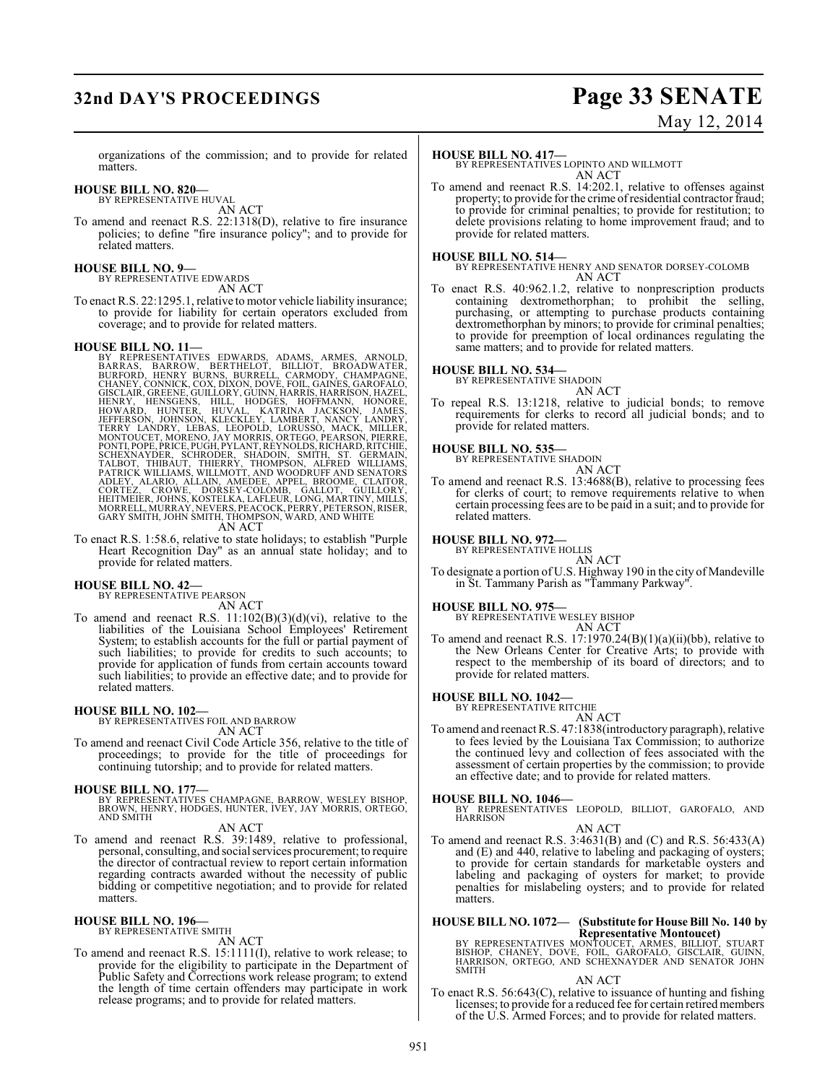## **32nd DAY'S PROCEEDINGS Page 33 SENATE** May 12, 2014

organizations of the commission; and to provide for related matters.

#### **HOUSE BILL NO. 820—** BY REPRESENTATIVE HUVAL

AN ACT

To amend and reenact R.S. 22:1318(D), relative to fire insurance policies; to define "fire insurance policy"; and to provide for related matters.

### **HOUSE BILL NO. 9—** BY REPRESENTATIVE EDWARDS

AN ACT

To enact R.S. 22:1295.1, relative to motor vehicle liability insurance; to provide for liability for certain operators excluded from coverage; and to provide for related matters.

HOUSE BILL NO. 11—<br>
BY REPRESENTATIVES EDWARDS, ADAMS, ARMES, ARNOLD,<br>
BARRAS, BARROW, BERTHELOT, BILLIOT, BROADWATER,<br>
BURFORD, HENRY BURNS, BURRELL, CARMODY, CHAMPAGNE,<br>
CHANEY, CONNICK, COX, DIXON, DOVE, FOIL, GAINES, G

To enact R.S. 1:58.6, relative to state holidays; to establish "Purple Heart Recognition Day" as an annual state holiday; and to provide for related matters.

## **HOUSE BILL NO. 42—** BY REPRESENTATIVE PEARSON

AN ACT To amend and reenact R.S.  $11:102(B)(3)(d)(vi)$ , relative to the liabilities of the Louisiana School Employees' Retirement System; to establish accounts for the full or partial payment of such liabilities; to provide for credits to such accounts; to provide for application of funds from certain accounts toward

### related matters. **HOUSE BILL NO. 102—**

BY REPRESENTATIVES FOIL AND BARROW AN ACT

To amend and reenact Civil Code Article 356, relative to the title of proceedings; to provide for the title of proceedings for continuing tutorship; and to provide for related matters.

such liabilities; to provide an effective date; and to provide for

#### **HOUSE BILL NO. 177—**

BY REPRESENTATIVES CHAMPAGNE, BARROW, WESLEY BISHOP, BROWN, HENRY, HODGES, HUNTER, IVEY, JAY MORRIS, ORTEGO, AND SMITH

#### AN ACT

To amend and reenact R.S. 39:1489, relative to professional, personal, consulting, and social services procurement; to require the director of contractual review to report certain information regarding contracts awarded without the necessity of public bidding or competitive negotiation; and to provide for related matters.

#### **HOUSE BILL NO. 196—**

BY REPRESENTATIVE SMITH AN ACT

To amend and reenact R.S. 15:1111(I), relative to work release; to provide for the eligibility to participate in the Department of Public Safety and Corrections work release program; to extend the length of time certain offenders may participate in work release programs; and to provide for related matters.

#### **HOUSE BILL NO. 417—**

BY REPRESENTATIVES LOPINTO AND WILLMOTT AN ACT

To amend and reenact R.S. 14:202.1, relative to offenses against property; to provide for the crime of residential contractor fraud; to provide for criminal penalties; to provide for restitution; to delete provisions relating to home improvement fraud; and to provide for related matters.

#### **HOUSE BILL NO. 514—**

BY REPRESENTATIVE HENRY AND SENATOR DORSEY-COLOMB AN ACT

To enact R.S. 40:962.1.2, relative to nonprescription products containing dextromethorphan; to prohibit the selling, purchasing, or attempting to purchase products containing dextromethorphan by minors; to provide for criminal penalties; to provide for preemption of local ordinances regulating the same matters; and to provide for related matters.

#### **HOUSE BILL NO. 534—** BY REPRESENTATIVE SHADOIN

AN ACT

To repeal R.S. 13:1218, relative to judicial bonds; to remove requirements for clerks to record all judicial bonds; and to provide for related matters.

## **HOUSE BILL NO. 535—** BY REPRESENTATIVE SHADOIN

AN ACT

To amend and reenact R.S. 13:4688(B), relative to processing fees for clerks of court; to remove requirements relative to when certain processing fees are to be paid in a suit; and to provide for related matters.

## **HOUSE BILL NO. 972—** BY REPRESENTATIVE HOLLIS

AN ACT

To designate a portion of U.S. Highway 190 in the city of Mandeville in St. Tammany Parish as "Tammany Parkway".

#### **HOUSE BILL NO. 975—**

BY REPRESENTATIVE WESLEY BISHOP AN ACT

To amend and reenact R.S. 17:1970.24(B)(1)(a)(ii)(bb), relative to the New Orleans Center for Creative Arts; to provide with respect to the membership of its board of directors; and to provide for related matters.

#### **HOUSE BILL NO. 1042—**

BY REPRESENTATIVE RITCHIE AN ACT

To amend and reenact R.S. 47:1838(introductory paragraph), relative to fees levied by the Louisiana Tax Commission; to authorize the continued levy and collection of fees associated with the assessment of certain properties by the commission; to provide an effective date; and to provide for related matters.

**HOUSE BILL NO. 1046—** BY REPRESENTATIVES LEOPOLD, BILLIOT, GAROFALO, AND HARRISON

AN ACT

To amend and reenact R.S. 3:4631(B) and (C) and R.S. 56:433(A) and (E) and 440, relative to labeling and packaging of oysters; to provide for certain standards for marketable oysters and labeling and packaging of oysters for market; to provide penalties for mislabeling oysters; and to provide for related matters.

## **HOUSE BILL NO. 1072— (Substitute for House Bill No. 140 by**

**Representative Montoucet)<br>BY REPRESENTATIVES MONTOUCET, ARMES, BILLIOT, STUART<br>BISHOP, CHANEY, DOVE, FOIL, GAROFALO, GISCLAIR, GUINN,<br>HARRISON, ORTEGO, AND SCHEXNAYDER AND SENATOR JOHN SMITH** 

#### AN ACT

To enact R.S. 56:643(C), relative to issuance of hunting and fishing licenses; to provide for a reduced fee for certain retired members of the U.S. Armed Forces; and to provide for related matters.